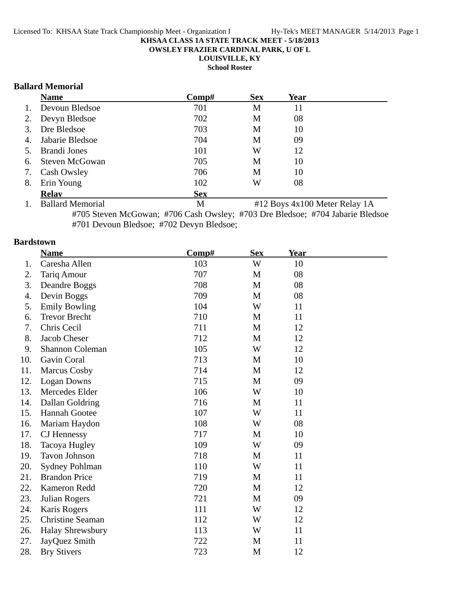**OWSLEY FRAZIER CARDINAL PARK, U OF L**

**LOUISVILLE, KY**

**School Roster**

### **Ballard Memorial**

|    | <b>Name</b>           | Comp#      | <b>Sex</b> | Year |  |
|----|-----------------------|------------|------------|------|--|
| 1. | Devoun Bledsoe        | 701        | M          | 11   |  |
| 2. | Devyn Bledsoe         | 702        | M          | 08   |  |
| 3. | Dre Bledsoe           | 703        | M          | 10   |  |
| 4. | Jabarie Bledsoe       | 704        | M          | 09   |  |
|    | 5. Brandi Jones       | 101        | W          | 12   |  |
| 6. | <b>Steven McGowan</b> | 705        | M          | 10   |  |
| 7. | Cash Owsley           | 706        | M          | 10   |  |
| 8. | Erin Young            | 102        | W          | 08   |  |
|    | <b>Relav</b>          | <b>Sex</b> |            |      |  |

1. Ballard Memorial M #12 Boys 4x100 Meter Relay 1A #705 Steven McGowan; #706 Cash Owsley; #703 Dre Bledsoe; #704 Jabarie Bledsoe #701 Devoun Bledsoe; #702 Devyn Bledsoe;

### **Bardstown**

|     | <b>Name</b>             | Comp# | <b>Sex</b> | <b>Year</b> |  |
|-----|-------------------------|-------|------------|-------------|--|
| 1.  | Caresha Allen           | 103   | W          | 10          |  |
| 2.  | Tariq Amour             | 707   | M          | 08          |  |
| 3.  | Deandre Boggs           | 708   | M          | 08          |  |
| 4.  | Devin Boggs             | 709   | M          | 08          |  |
| 5.  | <b>Emily Bowling</b>    | 104   | W          | 11          |  |
| 6.  | <b>Trevor Brecht</b>    | 710   | M          | 11          |  |
| 7.  | Chris Cecil             | 711   | M          | 12          |  |
| 8.  | Jacob Cheser            | 712   | M          | 12          |  |
| 9.  | <b>Shannon Coleman</b>  | 105   | W          | 12          |  |
| 10. | Gavin Coral             | 713   | M          | 10          |  |
| 11. | <b>Marcus Cosby</b>     | 714   | M          | 12          |  |
| 12. | Logan Downs             | 715   | M          | 09          |  |
| 13. | Mercedes Elder          | 106   | W          | 10          |  |
| 14. | Dallan Goldring         | 716   | M          | 11          |  |
| 15. | <b>Hannah Gootee</b>    | 107   | W          | 11          |  |
| 16. | Mariam Haydon           | 108   | W          | 08          |  |
| 17. | CJ Hennessy             | 717   | M          | 10          |  |
| 18. | Tacoya Hugley           | 109   | W          | 09          |  |
| 19. | <b>Tavon Johnson</b>    | 718   | M          | 11          |  |
| 20. | <b>Sydney Pohlman</b>   | 110   | W          | 11          |  |
| 21. | <b>Brandon Price</b>    | 719   | M          | 11          |  |
| 22. | Kameron Redd            | 720   | M          | 12          |  |
| 23. | Julian Rogers           | 721   | M          | 09          |  |
| 24. | Karis Rogers            | 111   | W          | 12          |  |
| 25. | <b>Christine Seaman</b> | 112   | W          | 12          |  |
| 26. | <b>Halay Shrewsbury</b> | 113   | W          | 11          |  |
| 27. | JayQuez Smith           | 722   | M          | 11          |  |
| 28. | <b>Bry Stivers</b>      | 723   | M          | 12          |  |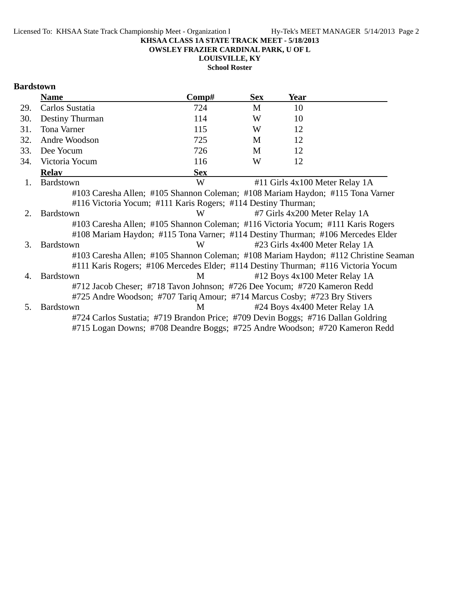**OWSLEY FRAZIER CARDINAL PARK, U OF L**

**LOUISVILLE, KY**

**School Roster**

### **Bardstown**

|     | <b>Name</b>                                                                         | $\bf Comp\#$ | <b>Sex</b> | Year                           |  |
|-----|-------------------------------------------------------------------------------------|--------------|------------|--------------------------------|--|
| 29. | Carlos Sustatia                                                                     | 724          | M          | 10                             |  |
| 30. | Destiny Thurman                                                                     | 114          | W          | 10                             |  |
| 31. | Tona Varner                                                                         | 115          | W          | 12                             |  |
| 32. | Andre Woodson                                                                       | 725          | M          | 12                             |  |
| 33. | Dee Yocum                                                                           | 726          | M          | 12                             |  |
| 34. | Victoria Yocum                                                                      | 116          | W          | 12                             |  |
|     | <b>Relav</b>                                                                        | <b>Sex</b>   |            |                                |  |
| 1.  | Bardstown                                                                           | W            |            | #11 Girls 4x100 Meter Relay 1A |  |
|     | #103 Caresha Allen; #105 Shannon Coleman; #108 Mariam Haydon; #115 Tona Varner      |              |            |                                |  |
|     | #116 Victoria Yocum; #111 Karis Rogers; #114 Destiny Thurman;                       |              |            |                                |  |
| 2.  | <b>Bardstown</b>                                                                    | W            |            | #7 Girls 4x200 Meter Relay 1A  |  |
|     | #103 Caresha Allen; #105 Shannon Coleman; #116 Victoria Yocum; #111 Karis Rogers    |              |            |                                |  |
|     | #108 Mariam Haydon; #115 Tona Varner; #114 Destiny Thurman; #106 Mercedes Elder     |              |            |                                |  |
| 3.  | <b>Bardstown</b>                                                                    | W            |            | #23 Girls 4x400 Meter Relay 1A |  |
|     | #103 Caresha Allen; #105 Shannon Coleman; #108 Mariam Haydon; #112 Christine Seaman |              |            |                                |  |
|     | #111 Karis Rogers; #106 Mercedes Elder; #114 Destiny Thurman; #116 Victoria Yocum   |              |            |                                |  |
| 4.  | <b>Bardstown</b>                                                                    | M            |            | #12 Boys 4x100 Meter Relay 1A  |  |
|     | #712 Jacob Cheser; #718 Tavon Johnson; #726 Dee Yocum; #720 Kameron Redd            |              |            |                                |  |
|     | #725 Andre Woodson; #707 Tariq Amour; #714 Marcus Cosby; #723 Bry Stivers           |              |            |                                |  |
| 5.  | <b>Bardstown</b>                                                                    | M            |            | #24 Boys 4x400 Meter Relay 1A  |  |
|     | #724 Carlos Sustatia; #719 Brandon Price; #709 Devin Boggs; #716 Dallan Goldring    |              |            |                                |  |
|     | #715 Logan Downs; #708 Deandre Boggs; #725 Andre Woodson; #720 Kameron Redd         |              |            |                                |  |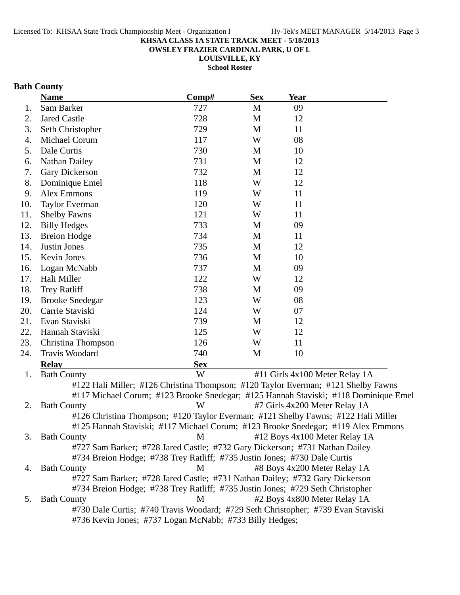**OWSLEY FRAZIER CARDINAL PARK, U OF L**

**LOUISVILLE, KY School Roster**

# **Bath County**

|     | <b>Name</b>                                                                         | Comp#      | <b>Sex</b> | <b>Year</b>                   |                                |
|-----|-------------------------------------------------------------------------------------|------------|------------|-------------------------------|--------------------------------|
| 1.  | Sam Barker                                                                          | 727        | M          | 09                            |                                |
| 2.  | <b>Jared Castle</b>                                                                 | 728        | M          | 12                            |                                |
| 3.  | Seth Christopher                                                                    | 729        | M          | 11                            |                                |
| 4.  | Michael Corum                                                                       | 117        | W          | 08                            |                                |
| 5.  | Dale Curtis                                                                         | 730        | M          | 10                            |                                |
| 6.  | <b>Nathan Dailey</b>                                                                | 731        | M          | 12                            |                                |
| 7.  | Gary Dickerson                                                                      | 732        | M          | 12                            |                                |
| 8.  | Dominique Emel                                                                      | 118        | W          | 12                            |                                |
| 9.  | <b>Alex Emmons</b>                                                                  | 119        | W          | 11                            |                                |
| 10. | <b>Taylor Everman</b>                                                               | 120        | W          | 11                            |                                |
| 11. | <b>Shelby Fawns</b>                                                                 | 121        | W          | 11                            |                                |
| 12. | <b>Billy Hedges</b>                                                                 | 733        | M          | 09                            |                                |
| 13. | <b>Breion Hodge</b>                                                                 | 734        | M          | 11                            |                                |
| 14. | Justin Jones                                                                        | 735        | M          | 12                            |                                |
| 15. | Kevin Jones                                                                         | 736        | M          | 10                            |                                |
| 16. | Logan McNabb                                                                        | 737        | M          | 09                            |                                |
| 17. | Hali Miller                                                                         | 122        | W          | 12                            |                                |
| 18. | <b>Trey Ratliff</b>                                                                 | 738        | M          | 09                            |                                |
| 19. | <b>Brooke Snedegar</b>                                                              | 123        | W          | 08                            |                                |
| 20. | Carrie Staviski                                                                     | 124        | W          | 07                            |                                |
| 21. | Evan Staviski                                                                       | 739        | M          | 12                            |                                |
| 22. | Hannah Staviski                                                                     | 125        | W          | 12                            |                                |
| 23. | Christina Thompson                                                                  | 126        | W          | 11                            |                                |
| 24. | Travis Woodard                                                                      | 740        | M          | 10                            |                                |
|     | <b>Relay</b>                                                                        | <b>Sex</b> |            |                               |                                |
| 1.  | <b>Bath County</b>                                                                  | W          |            |                               | #11 Girls 4x100 Meter Relay 1A |
|     | #122 Hali Miller; #126 Christina Thompson; #120 Taylor Everman; #121 Shelby Fawns   |            |            |                               |                                |
|     | #117 Michael Corum; #123 Brooke Snedegar; #125 Hannah Staviski; #118 Dominique Emel |            |            |                               |                                |
| 2.  | <b>Bath County</b>                                                                  | W          |            | #7 Girls 4x200 Meter Relay 1A |                                |
|     | #126 Christina Thompson; #120 Taylor Everman; #121 Shelby Fawns; #122 Hali Miller   |            |            |                               |                                |
|     | #125 Hannah Staviski; #117 Michael Corum; #123 Brooke Snedegar; #119 Alex Emmons    |            |            |                               |                                |
| 3.  | <b>Bath County</b>                                                                  | M          |            |                               | #12 Boys 4x100 Meter Relay 1A  |
|     | #727 Sam Barker; #728 Jared Castle; #732 Gary Dickerson; #731 Nathan Dailey         |            |            |                               |                                |
|     | #734 Breion Hodge; #738 Trey Ratliff; #735 Justin Jones; #730 Dale Curtis           |            |            |                               |                                |
| 4.  | <b>Bath County</b>                                                                  | M          |            | #8 Boys 4x200 Meter Relay 1A  |                                |
|     | #727 Sam Barker; #728 Jared Castle; #731 Nathan Dailey; #732 Gary Dickerson         |            |            |                               |                                |
|     | #734 Breion Hodge; #738 Trey Ratliff; #735 Justin Jones; #729 Seth Christopher      |            |            |                               |                                |
| 5.  | <b>Bath County</b>                                                                  | M          |            | #2 Boys 4x800 Meter Relay 1A  |                                |
|     | #730 Dale Curtis; #740 Travis Woodard; #729 Seth Christopher; #739 Evan Staviski    |            |            |                               |                                |
|     | #736 Kevin Jones; #737 Logan McNabb; #733 Billy Hedges;                             |            |            |                               |                                |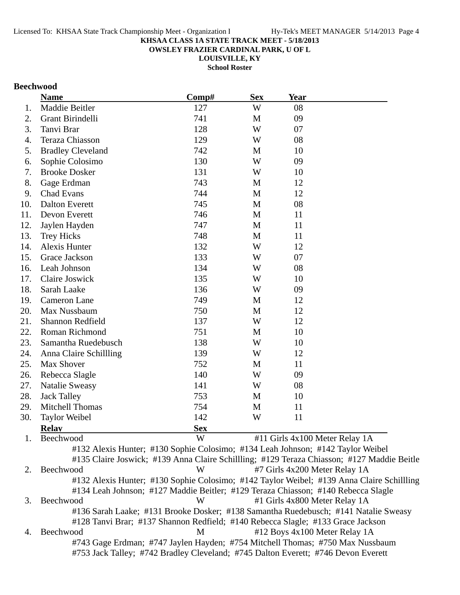**OWSLEY FRAZIER CARDINAL PARK, U OF L**

**LOUISVILLE, KY**

**School Roster**

### **Beechwood**

|     | <b>Name</b>                                                                         | Comp#      | <b>Sex</b> | <b>Year</b> |                                                                                            |
|-----|-------------------------------------------------------------------------------------|------------|------------|-------------|--------------------------------------------------------------------------------------------|
| 1.  | Maddie Beitler                                                                      | 127        | W          | 08          |                                                                                            |
| 2.  | Grant Birindelli                                                                    | 741        | M          | 09          |                                                                                            |
| 3.  | Tanvi Brar                                                                          | 128        | W          | 07          |                                                                                            |
| 4.  | <b>Teraza Chiasson</b>                                                              | 129        | W          | 08          |                                                                                            |
| 5.  | <b>Bradley Cleveland</b>                                                            | 742        | M          | 10          |                                                                                            |
| 6.  | Sophie Colosimo                                                                     | 130        | W          | 09          |                                                                                            |
| 7.  | <b>Brooke Dosker</b>                                                                | 131        | W          | 10          |                                                                                            |
| 8.  | Gage Erdman                                                                         | 743        | M          | 12          |                                                                                            |
| 9.  | <b>Chad Evans</b>                                                                   | 744        | M          | 12          |                                                                                            |
| 10. | <b>Dalton Everett</b>                                                               | 745        | M          | 08          |                                                                                            |
| 11. | Devon Everett                                                                       | 746        | M          | 11          |                                                                                            |
| 12. | Jaylen Hayden                                                                       | 747        | M          | 11          |                                                                                            |
| 13. | <b>Trey Hicks</b>                                                                   | 748        | M          | 11          |                                                                                            |
| 14. | Alexis Hunter                                                                       | 132        | W          | 12          |                                                                                            |
| 15. | Grace Jackson                                                                       | 133        | W          | 07          |                                                                                            |
| 16. | Leah Johnson                                                                        | 134        | W          | 08          |                                                                                            |
| 17. | Claire Joswick                                                                      | 135        | W          | 10          |                                                                                            |
| 18. | Sarah Laake                                                                         | 136        | W          | 09          |                                                                                            |
| 19. | <b>Cameron Lane</b>                                                                 | 749        | M          | 12          |                                                                                            |
| 20. | Max Nussbaum                                                                        | 750        | M          | 12          |                                                                                            |
| 21. | Shannon Redfield                                                                    | 137        | W          | 12          |                                                                                            |
| 22. | Roman Richmond                                                                      | 751        | M          | 10          |                                                                                            |
| 23. | Samantha Ruedebusch                                                                 | 138        | W          | 10          |                                                                                            |
| 24. | Anna Claire Schillling                                                              | 139        | W          | 12          |                                                                                            |
| 25. | Max Shover                                                                          | 752        | M          | 11          |                                                                                            |
| 26. | Rebecca Slagle                                                                      | 140        | W          | 09          |                                                                                            |
| 27. | <b>Natalie Sweasy</b>                                                               | 141        | W          | 08          |                                                                                            |
| 28. | <b>Jack Talley</b>                                                                  | 753        | M          | 10          |                                                                                            |
| 29. | Mitchell Thomas                                                                     | 754        | M          | 11          |                                                                                            |
| 30. | <b>Taylor Weibel</b>                                                                | 142        | W          | 11          |                                                                                            |
|     | <b>Relay</b>                                                                        | <b>Sex</b> |            |             |                                                                                            |
| 1.  | Beechwood                                                                           | W          |            |             | #11 Girls 4x100 Meter Relay 1A                                                             |
|     | #132 Alexis Hunter; #130 Sophie Colosimo; #134 Leah Johnson; #142 Taylor Weibel     |            |            |             |                                                                                            |
|     |                                                                                     |            |            |             | #135 Claire Joswick; #139 Anna Claire Schillling; #129 Teraza Chiasson; #127 Maddie Beitle |
| 2.  | Beechwood                                                                           | W          |            |             | #7 Girls 4x200 Meter Relay 1A                                                              |
|     |                                                                                     |            |            |             | #132 Alexis Hunter; #130 Sophie Colosimo; #142 Taylor Weibel; #139 Anna Claire Schillling  |
|     | #134 Leah Johnson; #127 Maddie Beitler; #129 Teraza Chiasson; #140 Rebecca Slagle   |            |            |             |                                                                                            |
| 3.  | Beechwood                                                                           | W          |            |             | #1 Girls 4x800 Meter Relay 1A                                                              |
|     | #136 Sarah Laake; #131 Brooke Dosker; #138 Samantha Ruedebusch; #141 Natalie Sweasy |            |            |             |                                                                                            |
|     | #128 Tanvi Brar; #137 Shannon Redfield; #140 Rebecca Slagle; #133 Grace Jackson     |            |            |             |                                                                                            |
| 4.  | Beechwood                                                                           | M          |            |             | #12 Boys 4x100 Meter Relay 1A                                                              |
|     | #743 Gage Erdman; #747 Jaylen Hayden; #754 Mitchell Thomas; #750 Max Nussbaum       |            |            |             |                                                                                            |
|     | #753 Jack Talley; #742 Bradley Cleveland; #745 Dalton Everett; #746 Devon Everett   |            |            |             |                                                                                            |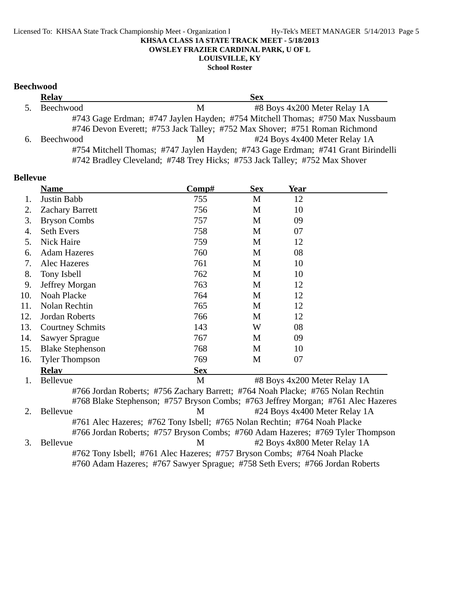#### Licensed To: KHSAA State Track Championship Meet - Organization I Hy-Tek's MEET MANAGER 5/14/2013 Page 5 **KHSAA CLASS 1A STATE TRACK MEET - 5/18/2013 OWSLEY FRAZIER CARDINAL PARK, U OF L LOUISVILLE, KY School Roster**

### **Beechwood**

|                | <b>Relay</b> |   | <b>Sex</b>                                                                        |  |
|----------------|--------------|---|-----------------------------------------------------------------------------------|--|
| 5 <sub>1</sub> | Beechwood    | M | #8 Boys 4x200 Meter Relay 1A                                                      |  |
|                |              |   | #743 Gage Erdman; #747 Jaylen Hayden; #754 Mitchell Thomas; #750 Max Nussbaum     |  |
|                |              |   | #746 Devon Everett; #753 Jack Talley; #752 Max Shover; #751 Roman Richmond        |  |
| 6.             | Beechwood    | M | #24 Boys 4x400 Meter Relay 1A                                                     |  |
|                |              |   | #754 Mitchell Thomas; #747 Jaylen Hayden; #743 Gage Erdman; #741 Grant Birindelli |  |
|                |              |   | #742 Bradley Cleveland; #748 Trey Hicks; #753 Jack Talley; #752 Max Shover        |  |

| <b>Bellevue</b> |                              |                                                                                 |            |      |  |
|-----------------|------------------------------|---------------------------------------------------------------------------------|------------|------|--|
|                 | <b>Name</b>                  | $\bf Comp\#$                                                                    | <b>Sex</b> | Year |  |
| 1.              | Justin Babb                  | 755                                                                             | M          | 12   |  |
| 2.              | <b>Zachary Barrett</b>       | 756                                                                             | M          | 10   |  |
| 3.              | <b>Bryson Combs</b>          | 757                                                                             | M          | 09   |  |
| 4.              | <b>Seth Evers</b>            | 758                                                                             | M          | 07   |  |
| 5.              | Nick Haire                   | 759                                                                             | M          | 12   |  |
| 6.              | <b>Adam Hazeres</b>          | 760                                                                             | M          | 08   |  |
| 7.              | Alec Hazeres                 | 761                                                                             | M          | 10   |  |
| 8.              | Tony Isbell                  | 762                                                                             | M          | 10   |  |
| 9.              | Jeffrey Morgan               | 763                                                                             | M          | 12   |  |
| 10.             | Noah Placke                  | 764                                                                             | M          | 12   |  |
| 11.             | Nolan Rechtin                | 765                                                                             | M          | 12   |  |
| 12.             | Jordan Roberts               | 766                                                                             | M          | 12   |  |
| 13.             | <b>Courtney Schmits</b>      | 143                                                                             | W          | 08   |  |
| 14.             | Sawyer Sprague               | 767                                                                             | M          | 09   |  |
| 15.             | <b>Blake Stephenson</b>      | 768                                                                             | M          | 10   |  |
| 16.             | <b>Tyler Thompson</b>        | 769                                                                             | M          | 07   |  |
|                 | <b>Relav</b>                 | <b>Sex</b>                                                                      |            |      |  |
| 1.              | #8 Boys 4x200 Meter Relay 1A |                                                                                 |            |      |  |
|                 |                              | #766 Jordan Roberts; #756 Zachary Barrett; #764 Noah Placke; #765 Nolan Rechtin |            |      |  |
|                 |                              | #768 Blake Stephenson: #757 Bryson Combs: #763 Jeffrey Morgan: #761 Alec Haze   |            |      |  |

#768 Blake Stephenson; #757 Bryson Combs; #763 Jeffrey Morgan; #761 Alec Hazeres 2. Bellevue M #24 Boys 4x400 Meter Relay 1A #761 Alec Hazeres; #762 Tony Isbell; #765 Nolan Rechtin; #764 Noah Placke #766 Jordan Roberts; #757 Bryson Combs; #760 Adam Hazeres; #769 Tyler Thompson 3. Bellevue M #2 Boys 4x800 Meter Relay 1A #762 Tony Isbell; #761 Alec Hazeres; #757 Bryson Combs; #764 Noah Placke #760 Adam Hazeres; #767 Sawyer Sprague; #758 Seth Evers; #766 Jordan Roberts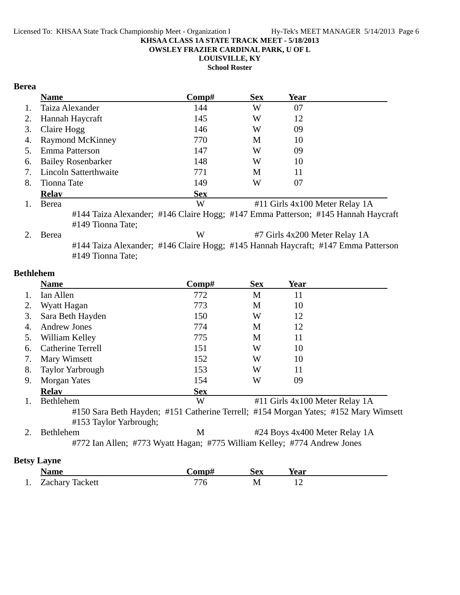**OWSLEY FRAZIER CARDINAL PARK, U OF L**

**LOUISVILLE, KY**

**School Roster**

### **Berea**

|    | <b>Name</b>                  | Comp#      | <b>Sex</b>                     | Year |  |  |
|----|------------------------------|------------|--------------------------------|------|--|--|
| 1. | Taiza Alexander              | 144        | W                              | 07   |  |  |
| 2. | Hannah Haycraft              | 145        | W                              | 12   |  |  |
| 3. | Claire Hogg                  | 146        | W                              | 09   |  |  |
| 4. | <b>Raymond McKinney</b>      | 770        | M                              | 10   |  |  |
| 5. | Emma Patterson               | 147        | W                              | 09   |  |  |
| 6. | <b>Bailey Rosenbarker</b>    | 148        | W                              | 10   |  |  |
| 7. | <b>Lincoln Satterthwaite</b> | 771        | М                              | 11   |  |  |
| 8. | Tionna Tate                  | 149        | W                              | 07   |  |  |
|    | <b>Relay</b>                 | <b>Sex</b> |                                |      |  |  |
|    | Berea                        | W          | #11 Girls 4x100 Meter Relay 1A |      |  |  |
|    |                              |            |                                |      |  |  |

#144 Taiza Alexander; #146 Claire Hogg; #147 Emma Patterson; #145 Hannah Haycraft #149 Tionna Tate;

| 2. Berea | #7 Girls 4x200 Meter Relay 1A<br>W |  |                                                                                   |  |
|----------|------------------------------------|--|-----------------------------------------------------------------------------------|--|
|          |                                    |  | #144 Taiza Alexander; #146 Claire Hogg; #145 Hannah Haycraft; #147 Emma Patterson |  |
|          | #149 Tionna Tate;                  |  |                                                                                   |  |

### **Bethlehem**

|                    | <b>Name</b>                                                              | Comp#      | <b>Sex</b> | <b>Year</b>                                                                         |
|--------------------|--------------------------------------------------------------------------|------------|------------|-------------------------------------------------------------------------------------|
| 1.                 | Ian Allen                                                                | 772        | M          | 11                                                                                  |
|                    | Wyatt Hagan                                                              | 773        | M          | 10                                                                                  |
| 3.                 | Sara Beth Hayden                                                         | 150        | W          | 12                                                                                  |
| 4.                 | <b>Andrew Jones</b>                                                      | 774        | M          | 12                                                                                  |
| 5.                 | William Kelley                                                           | 775        | M          | 11                                                                                  |
| 6.                 | <b>Catherine Terrell</b>                                                 | 151        | W          | 10                                                                                  |
| 7.                 | Mary Wimsett                                                             | 152        | W          | 10                                                                                  |
| 8.                 | <b>Taylor Yarbrough</b>                                                  | 153        | W          | 11                                                                                  |
| 9.                 | Morgan Yates                                                             | 154        | W          | 09                                                                                  |
|                    | <b>Relav</b>                                                             | <b>Sex</b> |            |                                                                                     |
|                    | Bethlehem                                                                | W          |            | #11 Girls 4x100 Meter Relay 1A                                                      |
|                    | #153 Taylor Yarbrough;                                                   |            |            | #150 Sara Beth Hayden; #151 Catherine Terrell; #154 Morgan Yates; #152 Mary Wimsett |
| $2_{\cdot}$        | Bethlehem                                                                | M          |            | #24 Boys 4x400 Meter Relay 1A                                                       |
|                    | #772 Ian Allen; #773 Wyatt Hagan; #775 William Kelley; #774 Andrew Jones |            |            |                                                                                     |
| <b>Betsy Layne</b> |                                                                          |            |            |                                                                                     |

|    | Name            | `omn# | Sex | rear |
|----|-----------------|-------|-----|------|
| 1. | Zachary Tackett | 776 - | IV. |      |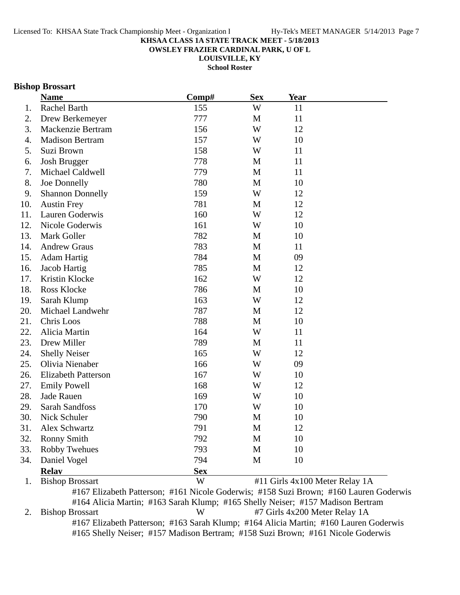**OWSLEY FRAZIER CARDINAL PARK, U OF L**

**LOUISVILLE, KY**

**School Roster**

### **Bishop Brossart**

|     | <b>Name</b>                | Comp#      | <b>Sex</b>   | <b>Year</b>                    |  |
|-----|----------------------------|------------|--------------|--------------------------------|--|
| 1.  | Rachel Barth               | 155        | W            | 11                             |  |
| 2.  | Drew Berkemeyer            | 777        | $\mathbf{M}$ | 11                             |  |
| 3.  | Mackenzie Bertram          | 156        | W            | 12                             |  |
| 4.  | <b>Madison Bertram</b>     | 157        | W            | 10                             |  |
| 5.  | Suzi Brown                 | 158        | W            | 11                             |  |
| 6.  | <b>Josh Brugger</b>        | 778        | M            | 11                             |  |
| 7.  | Michael Caldwell           | 779        | M            | 11                             |  |
| 8.  | Joe Donnelly               | 780        | M            | 10                             |  |
| 9.  | <b>Shannon Donnelly</b>    | 159        | W            | 12                             |  |
| 10. | <b>Austin Frey</b>         | 781        | M            | 12                             |  |
| 11. | Lauren Goderwis            | 160        | W            | 12                             |  |
| 12. | Nicole Goderwis            | 161        | W            | 10                             |  |
| 13. | Mark Goller                | 782        | $\mathbf{M}$ | 10                             |  |
| 14. | <b>Andrew Graus</b>        | 783        | M            | 11                             |  |
| 15. | <b>Adam Hartig</b>         | 784        | M            | 09                             |  |
| 16. | Jacob Hartig               | 785        | M            | 12                             |  |
| 17. | Kristin Klocke             | 162        | W            | 12                             |  |
| 18. | Ross Klocke                | 786        | M            | 10                             |  |
| 19. | Sarah Klump                | 163        | W            | 12                             |  |
| 20. | Michael Landwehr           | 787        | M            | 12                             |  |
| 21. | Chris Loos                 | 788        | M            | 10                             |  |
| 22. | Alicia Martin              | 164        | W            | 11                             |  |
| 23. | Drew Miller                | 789        | M            | 11                             |  |
| 24. | <b>Shelly Neiser</b>       | 165        | W            | 12                             |  |
| 25. | Olivia Nienaber            | 166        | W            | 09                             |  |
| 26. | <b>Elizabeth Patterson</b> | 167        | W            | 10                             |  |
| 27. | <b>Emily Powell</b>        | 168        | W            | 12                             |  |
| 28. | Jade Rauen                 | 169        | W            | 10                             |  |
| 29. | Sarah Sandfoss             | 170        | W            | 10                             |  |
| 30. | Nick Schuler               | 790        | M            | 10                             |  |
| 31. | Alex Schwartz              | 791        | M            | 12                             |  |
| 32. | Ronny Smith                | 792        | M            | 10                             |  |
| 33. | Robby Twehues              | 793        | M            | 10                             |  |
| 34. | Daniel Vogel               | 794        | M            | 10                             |  |
|     | <b>Relay</b>               | <b>Sex</b> |              |                                |  |
| 1.  | <b>Bishop Brossart</b>     | W          |              | #11 Girls 4x100 Meter Relay 1A |  |

#167 Elizabeth Patterson; #161 Nicole Goderwis; #158 Suzi Brown; #160 Lauren Goderwis #164 Alicia Martin; #163 Sarah Klump; #165 Shelly Neiser; #157 Madison Bertram 2. Bishop Brossart W #7 Girls 4x200 Meter Relay 1A #167 Elizabeth Patterson; #163 Sarah Klump; #164 Alicia Martin; #160 Lauren Goderwis #165 Shelly Neiser; #157 Madison Bertram; #158 Suzi Brown; #161 Nicole Goderwis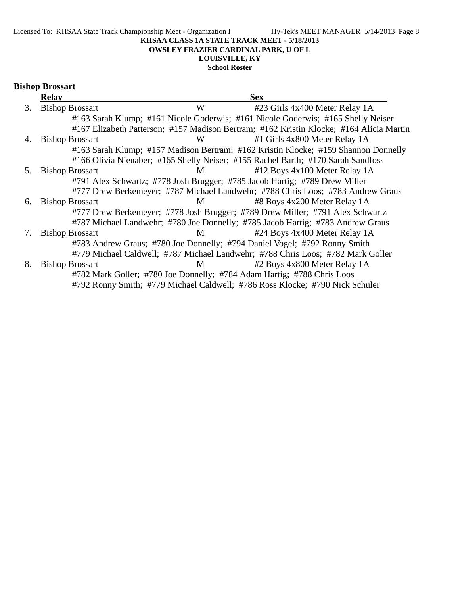**OWSLEY FRAZIER CARDINAL PARK, U OF L**

# **LOUISVILLE, KY**

**School Roster**

|  | <b>Bishop Brossart</b> |
|--|------------------------|
|--|------------------------|

| <b>Relay</b>           |                        | <b>Sex</b>                                                                                                                                                                                                                                                                                                                                                                                                                                                                                                                                                               |
|------------------------|------------------------|--------------------------------------------------------------------------------------------------------------------------------------------------------------------------------------------------------------------------------------------------------------------------------------------------------------------------------------------------------------------------------------------------------------------------------------------------------------------------------------------------------------------------------------------------------------------------|
| <b>Bishop Brossart</b> | W                      | #23 Girls 4x400 Meter Relay 1A                                                                                                                                                                                                                                                                                                                                                                                                                                                                                                                                           |
|                        |                        | #163 Sarah Klump; #161 Nicole Goderwis; #161 Nicole Goderwis; #165 Shelly Neiser                                                                                                                                                                                                                                                                                                                                                                                                                                                                                         |
|                        |                        | #167 Elizabeth Patterson; #157 Madison Bertram; #162 Kristin Klocke; #164 Alicia Martin                                                                                                                                                                                                                                                                                                                                                                                                                                                                                  |
| <b>Bishop Brossart</b> | W                      | #1 Girls 4x800 Meter Relay 1A                                                                                                                                                                                                                                                                                                                                                                                                                                                                                                                                            |
|                        |                        | #163 Sarah Klump; #157 Madison Bertram; #162 Kristin Klocke; #159 Shannon Donnelly                                                                                                                                                                                                                                                                                                                                                                                                                                                                                       |
|                        |                        |                                                                                                                                                                                                                                                                                                                                                                                                                                                                                                                                                                          |
|                        | M                      | #12 Boys 4x100 Meter Relay 1A                                                                                                                                                                                                                                                                                                                                                                                                                                                                                                                                            |
|                        |                        |                                                                                                                                                                                                                                                                                                                                                                                                                                                                                                                                                                          |
|                        |                        | #777 Drew Berkemeyer; #787 Michael Landwehr; #788 Chris Loos; #783 Andrew Graus                                                                                                                                                                                                                                                                                                                                                                                                                                                                                          |
| <b>Bishop Brossart</b> | M                      | #8 Boys 4x200 Meter Relay 1A                                                                                                                                                                                                                                                                                                                                                                                                                                                                                                                                             |
|                        |                        |                                                                                                                                                                                                                                                                                                                                                                                                                                                                                                                                                                          |
|                        |                        |                                                                                                                                                                                                                                                                                                                                                                                                                                                                                                                                                                          |
| <b>Bishop Brossart</b> | M                      | #24 Boys 4x400 Meter Relay 1A                                                                                                                                                                                                                                                                                                                                                                                                                                                                                                                                            |
|                        |                        |                                                                                                                                                                                                                                                                                                                                                                                                                                                                                                                                                                          |
|                        |                        | #779 Michael Caldwell; #787 Michael Landwehr; #788 Chris Loos; #782 Mark Goller                                                                                                                                                                                                                                                                                                                                                                                                                                                                                          |
| <b>Bishop Brossart</b> | M                      | #2 Boys 4x800 Meter Relay 1A                                                                                                                                                                                                                                                                                                                                                                                                                                                                                                                                             |
|                        |                        |                                                                                                                                                                                                                                                                                                                                                                                                                                                                                                                                                                          |
|                        |                        |                                                                                                                                                                                                                                                                                                                                                                                                                                                                                                                                                                          |
|                        | <b>Bishop Brossart</b> | #166 Olivia Nienaber; #165 Shelly Neiser; #155 Rachel Barth; #170 Sarah Sandfoss<br>#791 Alex Schwartz; #778 Josh Brugger; #785 Jacob Hartig; #789 Drew Miller<br>#777 Drew Berkemeyer; #778 Josh Brugger; #789 Drew Miller; #791 Alex Schwartz<br>#787 Michael Landwehr; #780 Joe Donnelly; #785 Jacob Hartig; #783 Andrew Graus<br>#783 Andrew Graus; #780 Joe Donnelly; #794 Daniel Vogel; #792 Ronny Smith<br>#782 Mark Goller; #780 Joe Donnelly; #784 Adam Hartig; #788 Chris Loos<br>#792 Ronny Smith; #779 Michael Caldwell; #786 Ross Klocke; #790 Nick Schuler |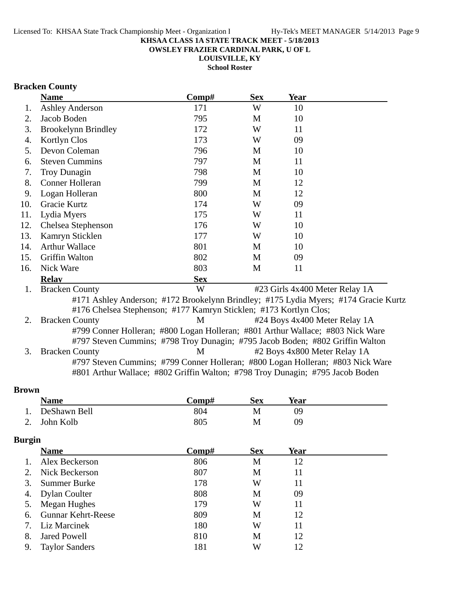**OWSLEY FRAZIER CARDINAL PARK, U OF L**

**LOUISVILLE, KY**

**School Roster**

# **Bracken County**

|     | <b>Name</b>                                                       | Comp#      | <b>Sex</b> | <b>Year</b>                                                                         |  |
|-----|-------------------------------------------------------------------|------------|------------|-------------------------------------------------------------------------------------|--|
| 1.  | <b>Ashley Anderson</b>                                            | 171        | W          | 10                                                                                  |  |
| 2.  | Jacob Boden                                                       | 795        | M          | 10                                                                                  |  |
| 3.  | <b>Brookelynn Brindley</b>                                        | 172        | W          | 11                                                                                  |  |
| 4.  | Kortlyn Clos                                                      | 173        | W          | 09                                                                                  |  |
| 5.  | Devon Coleman                                                     | 796        | M          | 10                                                                                  |  |
| 6.  | <b>Steven Cummins</b>                                             | 797        | M          | 11                                                                                  |  |
| 7.  | Troy Dunagin                                                      | 798        | M          | 10                                                                                  |  |
| 8.  | <b>Conner Holleran</b>                                            | 799        | M          | 12                                                                                  |  |
| 9.  | Logan Holleran                                                    | 800        | M          | 12                                                                                  |  |
| 10. | Gracie Kurtz                                                      | 174        | W          | 09                                                                                  |  |
| 11. | Lydia Myers                                                       | 175        | W          | 11                                                                                  |  |
| 12. | Chelsea Stephenson                                                | 176        | W          | 10                                                                                  |  |
| 13. | Kamryn Sticklen                                                   | 177        | W          | 10                                                                                  |  |
| 14. | <b>Arthur Wallace</b>                                             | 801        | M          | 10                                                                                  |  |
| 15. | <b>Griffin Walton</b>                                             | 802        | M          | 09                                                                                  |  |
| 16. | Nick Ware                                                         | 803        | M          | 11                                                                                  |  |
|     | <b>Relav</b>                                                      | <b>Sex</b> |            |                                                                                     |  |
| 1.  | <b>Bracken County</b>                                             | W          |            | #23 Girls 4x400 Meter Relay 1A                                                      |  |
|     |                                                                   |            |            | #171 Ashley Anderson; #172 Brookelynn Brindley; #175 Lydia Myers; #174 Gracie Kurtz |  |
|     | #176 Chelsea Stephenson; #177 Kamryn Sticklen; #173 Kortlyn Clos; |            |            |                                                                                     |  |
| 2.  | <b>Bracken County</b>                                             | M          |            | #24 Boys 4x400 Meter Relay 1A                                                       |  |
|     |                                                                   |            |            | #799 Conner Holleran; #800 Logan Holleran; #801 Arthur Wallace; #803 Nick Ware      |  |
|     |                                                                   |            |            | #797 Steven Cummins; #798 Troy Dunagin; #795 Jacob Boden; #802 Griffin Walton       |  |
| 3.  | <b>Bracken County</b>                                             | M          |            | #2 Boys 4x800 Meter Relay 1A                                                        |  |
|     |                                                                   |            |            | #797 Steven Cummins; #799 Conner Holleran; #800 Logan Holleran; #803 Nick Ware      |  |
|     |                                                                   |            |            | #801 Arthur Wallace; #802 Griffin Walton; #798 Troy Dunagin; #795 Jacob Boden       |  |

### **Brown**

| <b>Name</b>  | C <b>omp#</b> | Sex | Year |  |
|--------------|---------------|-----|------|--|
| DeShawn Bell | 804           | M   | ηg   |  |
| 2. John Kolb | 805           | М   | Ŋ9   |  |

# **Burgin**

|         | <b>Name</b>               | Comp# | <b>Sex</b> | Year |  |
|---------|---------------------------|-------|------------|------|--|
| $1_{-}$ | Alex Beckerson            | 806   | М          | 12   |  |
| 2.      | Nick Beckerson            | 807   | M          | 11   |  |
| 3.      | Summer Burke              | 178   | W          | 11   |  |
| 4.      | Dylan Coulter             | 808   | M          | 09   |  |
|         | 5. Megan Hughes           | 179   | W          | 11   |  |
| 6.      | <b>Gunnar Kehrt-Reese</b> | 809   | М          | 12   |  |
|         | 7. Liz Marcinek           | 180   | W          | 11   |  |
| 8.      | <b>Jared Powell</b>       | 810   | M          | 12   |  |
| 9.      | <b>Taylor Sanders</b>     | 181   | W          | 12   |  |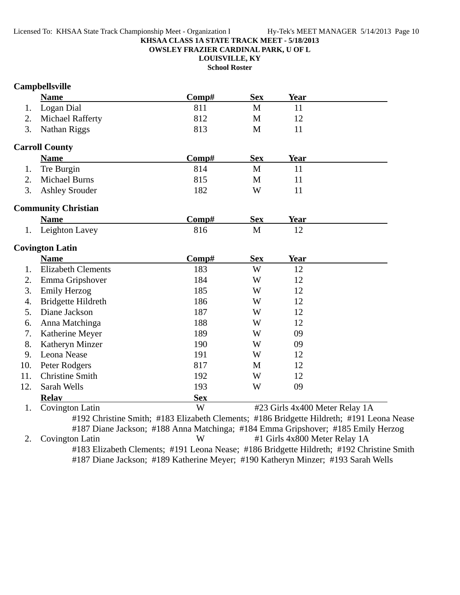**OWSLEY FRAZIER CARDINAL PARK, U OF L**

**LOUISVILLE, KY**

**School Roster**

# **Campbellsville**

|     | <b>Name</b>                | Comp#                                                                                 | <b>Sex</b>   | <b>Year</b>                    |                                                                                          |
|-----|----------------------------|---------------------------------------------------------------------------------------|--------------|--------------------------------|------------------------------------------------------------------------------------------|
| 1.  | Logan Dial                 | 811                                                                                   | M            | 11                             |                                                                                          |
| 2.  | <b>Michael Rafferty</b>    | 812                                                                                   | $\mathbf{M}$ | 12                             |                                                                                          |
| 3.  | Nathan Riggs               | 813                                                                                   | M            | 11                             |                                                                                          |
|     | <b>Carroll County</b>      |                                                                                       |              |                                |                                                                                          |
|     | <b>Name</b>                | Comp#                                                                                 | <b>Sex</b>   | Year                           |                                                                                          |
| 1.  | Tre Burgin                 | 814                                                                                   | M            | 11                             |                                                                                          |
| 2.  | <b>Michael Burns</b>       | 815                                                                                   | M            | 11                             |                                                                                          |
| 3.  | <b>Ashley Srouder</b>      | 182                                                                                   | W            | 11                             |                                                                                          |
|     | <b>Community Christian</b> |                                                                                       |              |                                |                                                                                          |
|     | <b>Name</b>                | Comp#                                                                                 | <b>Sex</b>   | Year                           |                                                                                          |
| 1.  | Leighton Lavey             | 816                                                                                   | M            | 12                             |                                                                                          |
|     | <b>Covington Latin</b>     |                                                                                       |              |                                |                                                                                          |
|     | <b>Name</b>                | Comp#                                                                                 | <b>Sex</b>   | Year                           |                                                                                          |
| 1.  | <b>Elizabeth Clements</b>  | 183                                                                                   | W            | 12                             |                                                                                          |
| 2.  | Emma Gripshover            | 184                                                                                   | W            | 12                             |                                                                                          |
| 3.  | <b>Emily Herzog</b>        | 185                                                                                   | W            | 12                             |                                                                                          |
| 4.  | <b>Bridgette Hildreth</b>  | 186                                                                                   | W            | 12                             |                                                                                          |
| 5.  | Diane Jackson              | 187                                                                                   | W            | 12                             |                                                                                          |
| 6.  | Anna Matchinga             | 188                                                                                   | W            | 12                             |                                                                                          |
| 7.  | Katherine Meyer            | 189                                                                                   | W            | 09                             |                                                                                          |
| 8.  | Katheryn Minzer            | 190                                                                                   | W            | 09                             |                                                                                          |
| 9.  | Leona Nease                | 191                                                                                   | W            | 12                             |                                                                                          |
| 10. | Peter Rodgers              | 817                                                                                   | M            | 12                             |                                                                                          |
| 11. | <b>Christine Smith</b>     | 192                                                                                   | W            | 12                             |                                                                                          |
| 12. | Sarah Wells                | 193                                                                                   | W            | 09                             |                                                                                          |
|     | <b>Relay</b>               | <b>Sex</b>                                                                            |              |                                |                                                                                          |
| 1.  | <b>Covington Latin</b>     | W                                                                                     |              | #23 Girls 4x400 Meter Relay 1A |                                                                                          |
| 2.  |                            | #187 Diane Jackson; #188 Anna Matchinga; #184 Emma Gripshover; #185 Emily Herzog<br>W |              |                                | #192 Christine Smith; #183 Elizabeth Clements; #186 Bridgette Hildreth; #191 Leona Nease |
|     | Covington Latin            |                                                                                       |              | #1 Girls 4x800 Meter Relay 1A  |                                                                                          |
|     |                            | #187 Diane Jackson; #189 Katherine Meyer; #190 Katheryn Minzer; #193 Sarah Wells      |              |                                | #183 Elizabeth Clements; #191 Leona Nease; #186 Bridgette Hildreth; #192 Christine Smith |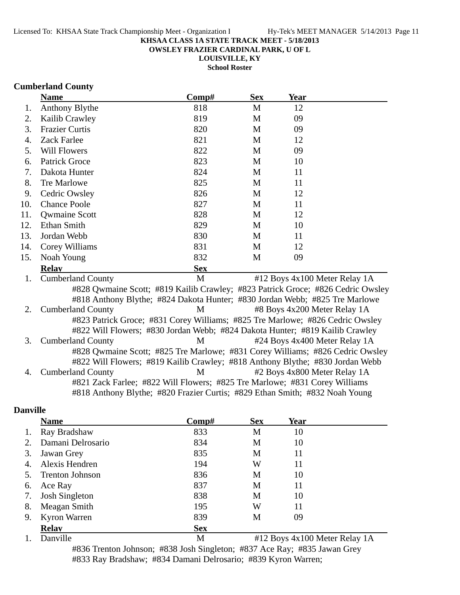**OWSLEY FRAZIER CARDINAL PARK, U OF L**

**LOUISVILLE, KY School Roster**

### **Cumberland County**

|     | <b>Name</b>                                                                     | Comp#      | <b>Sex</b> | Year |                               |
|-----|---------------------------------------------------------------------------------|------------|------------|------|-------------------------------|
| 1.  | <b>Anthony Blythe</b>                                                           | 818        | M          | 12   |                               |
| 2.  | Kailib Crawley                                                                  | 819        | M          | 09   |                               |
| 3.  | <b>Frazier Curtis</b>                                                           | 820        | M          | 09   |                               |
| 4.  | Zack Farlee                                                                     | 821        | M          | 12   |                               |
| 5.  | <b>Will Flowers</b>                                                             | 822        | M          | 09   |                               |
| 6.  | <b>Patrick Groce</b>                                                            | 823        | M          | 10   |                               |
| 7.  | Dakota Hunter                                                                   | 824        | M          | 11   |                               |
| 8.  | Tre Marlowe                                                                     | 825        | M          | 11   |                               |
| 9.  | Cedric Owsley                                                                   | 826        | M          | 12   |                               |
| 10. | <b>Chance Poole</b>                                                             | 827        | M          | 11   |                               |
| 11. | <b>Qwmaine Scott</b>                                                            | 828        | M          | 12   |                               |
| 12. | Ethan Smith                                                                     | 829        | M          | 10   |                               |
| 13. | Jordan Webb                                                                     | 830        | M          | 11   |                               |
| 14. | Corey Williams                                                                  | 831        | M          | 12   |                               |
| 15. | Noah Young                                                                      | 832        | M          | 09   |                               |
|     | <b>Relav</b>                                                                    | <b>Sex</b> |            |      |                               |
| 1.  | <b>Cumberland County</b>                                                        | M          |            |      | #12 Boys 4x100 Meter Relay 1A |
|     | #828 Qwmaine Scott; #819 Kailib Crawley; #823 Patrick Groce; #826 Cedric Owsley |            |            |      |                               |
|     | #818 Anthony Blythe; #824 Dakota Hunter; #830 Jordan Webb; #825 Tre Marlowe     |            |            |      |                               |
| 2.  | <b>Cumberland County</b>                                                        | M          |            |      | #8 Boys 4x200 Meter Relay 1A  |
|     | #823 Patrick Groce; #831 Corey Williams; #825 Tre Marlowe; #826 Cedric Owsley   |            |            |      |                               |
|     | #822 Will Flowers; #830 Jordan Webb; #824 Dakota Hunter; #819 Kailib Crawley    |            |            |      |                               |
| 3.  | <b>Cumberland County</b>                                                        | M          |            |      | #24 Boys 4x400 Meter Relay 1A |
|     | #828 Qwmaine Scott; #825 Tre Marlowe; #831 Corey Williams; #826 Cedric Owsley   |            |            |      |                               |
|     | #822 Will Flowers; #819 Kailib Crawley; #818 Anthony Blythe; #830 Jordan Webb   |            |            |      |                               |
| 4.  | <b>Cumberland County</b>                                                        | M          |            |      | #2 Boys 4x800 Meter Relay 1A  |
|     | #821 Zack Farlee; #822 Will Flowers; #825 Tre Marlowe; #831 Corey Williams      |            |            |      |                               |
|     | #818 Anthony Blythe; #820 Frazier Curtis; #829 Ethan Smith; #832 Noah Young     |            |            |      |                               |

# **Danville**

|    | <b>Name</b>            | Comp#      | <b>Sex</b> | Year                          |
|----|------------------------|------------|------------|-------------------------------|
| 1. | Ray Bradshaw           | 833        | M          | 10                            |
| 2. | Damani Delrosario      | 834        | M          | 10                            |
| 3. | Jawan Grey             | 835        | M          | 11                            |
| 4. | Alexis Hendren         | 194        | W          | 11                            |
| 5. | <b>Trenton Johnson</b> | 836        | M          | 10                            |
| 6. | Ace Ray                | 837        | M          | 11                            |
| 7. | <b>Josh Singleton</b>  | 838        | M          | 10                            |
| 8. | Meagan Smith           | 195        | W          | 11                            |
| 9. | Kyron Warren           | 839        | M          | 09                            |
|    | <b>Relay</b>           | <b>Sex</b> |            |                               |
| 1. | Danville               | M          |            | #12 Boys 4x100 Meter Relay 1A |

#836 Trenton Johnson; #838 Josh Singleton; #837 Ace Ray; #835 Jawan Grey #833 Ray Bradshaw; #834 Damani Delrosario; #839 Kyron Warren;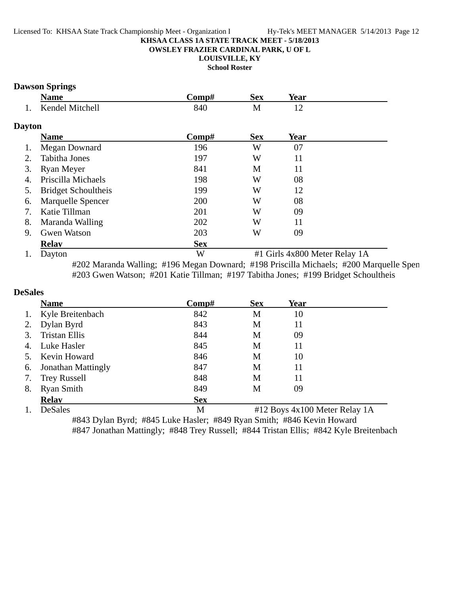#### **OWSLEY FRAZIER CARDINAL PARK, U OF L**

**LOUISVILLE, KY**

**School Roster**

## **Dawson Springs**

|     | <b>Name</b>     | `omn# | Sex | Year |  |
|-----|-----------------|-------|-----|------|--|
| . . | Kendel Mitchell | 840   | TAT |      |  |

### **Dayton**

|    | <b>Name</b>                | Comp#      | <b>Sex</b>                    | Year |  |
|----|----------------------------|------------|-------------------------------|------|--|
|    | Megan Downard              | 196        | W                             | 07   |  |
|    | Tabitha Jones              | 197        | W                             | 11   |  |
| 3. | Ryan Meyer                 | 841        | M                             | 11   |  |
| 4. | Priscilla Michaels         | 198        | W                             | 08   |  |
|    | <b>Bridget Schoultheis</b> | 199        | W                             | 12   |  |
| 6. | Marquelle Spencer          | 200        | W                             | 08   |  |
|    | Katie Tillman              | 201        | W                             | 09   |  |
| 8. | Maranda Walling            | 202        | W                             | 11   |  |
| 9. | <b>Gwen Watson</b>         | 203        | W                             | 09   |  |
|    | <b>Relav</b>               | <b>Sex</b> |                               |      |  |
|    | Dayton                     | W          | #1 Girls 4x800 Meter Relay 1A |      |  |

#202 Maranda Walling; #196 Megan Downard; #198 Priscilla Michaels; #200 Marquelle Spen #203 Gwen Watson; #201 Katie Tillman; #197 Tabitha Jones; #199 Bridget Schoultheis

#### **DeSales**

|    | <b>Name</b>               | Comp#      | <b>Sex</b> | Year                          |  |
|----|---------------------------|------------|------------|-------------------------------|--|
| 1. | Kyle Breitenbach          | 842        | M          | 10                            |  |
| 2. | Dylan Byrd                | 843        | M          | 11                            |  |
| 3. | Tristan Ellis             | 844        | М          | 09                            |  |
| 4. | Luke Hasler               | 845        | M          | 11                            |  |
| 5. | Kevin Howard              | 846        | M          | 10                            |  |
| 6. | <b>Jonathan Mattingly</b> | 847        | M          | 11                            |  |
| 7. | <b>Trey Russell</b>       | 848        | M          | 11                            |  |
| 8. | <b>Ryan Smith</b>         | 849        | М          | 09                            |  |
|    | <b>Relav</b>              | <b>Sex</b> |            |                               |  |
| 1. | DeSales                   | M          |            | #12 Boys 4x100 Meter Relay 1A |  |

#843 Dylan Byrd; #845 Luke Hasler; #849 Ryan Smith; #846 Kevin Howard #847 Jonathan Mattingly; #848 Trey Russell; #844 Tristan Ellis; #842 Kyle Breitenbach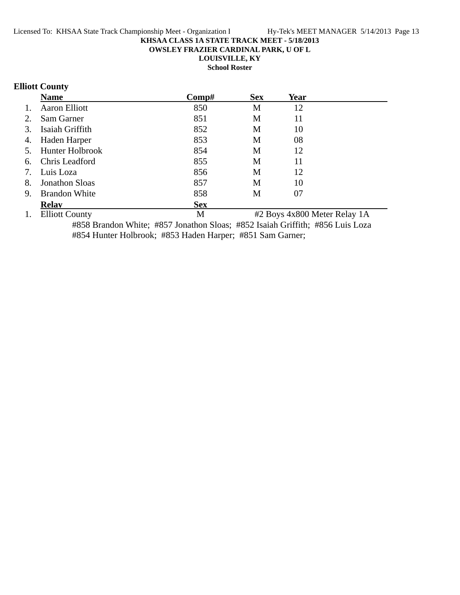**OWSLEY FRAZIER CARDINAL PARK, U OF L**

**LOUISVILLE, KY**

**School Roster**

# **Elliott County**

|    | <b>Name</b>            | Comp#      | <b>Sex</b> | Year |  |
|----|------------------------|------------|------------|------|--|
| 1. | <b>Aaron Elliott</b>   | 850        | M          | 12   |  |
| 2. | Sam Garner             | 851        | M          | 11   |  |
| 3. | Isaiah Griffith        | 852        | M          | 10   |  |
| 4. | Haden Harper           | 853        | M          | 08   |  |
| 5. | <b>Hunter Holbrook</b> | 854        | M          | 12   |  |
| 6. | Chris Leadford         | 855        | M          | 11   |  |
| 7. | Luis Loza              | 856        | M          | 12   |  |
| 8. | <b>Jonathon Sloas</b>  | 857        | M          | 10   |  |
| 9. | <b>Brandon White</b>   | 858        | M          | 07   |  |
|    | <b>Relav</b>           | <b>Sex</b> |            |      |  |
|    |                        |            |            |      |  |

1. Elliott County 1. Elliott County 1. M  $\#2$  Boys 4x800 Meter Relay 1A #858 Brandon White; #857 Jonathon Sloas; #852 Isaiah Griffith; #856 Luis Loza #854 Hunter Holbrook; #853 Haden Harper; #851 Sam Garner;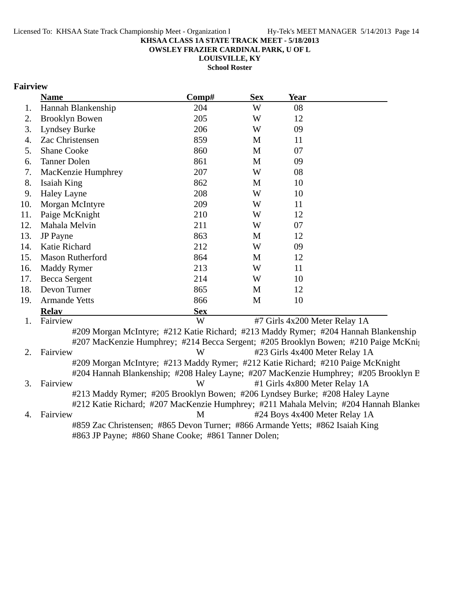**OWSLEY FRAZIER CARDINAL PARK, U OF L**

**LOUISVILLE, KY School Roster**

### **Fairview**

|     | <b>Name</b>             | Comp#                                                                                         | <b>Sex</b>    | <b>Year</b>                                                                          |
|-----|-------------------------|-----------------------------------------------------------------------------------------------|---------------|--------------------------------------------------------------------------------------|
| 1.  | Hannah Blankenship      | 204                                                                                           | W             | 08                                                                                   |
| 2.  | <b>Brooklyn Bowen</b>   | 205                                                                                           | W             | 12                                                                                   |
| 3.  | <b>Lyndsey Burke</b>    | 206                                                                                           | W             | 09                                                                                   |
| 4.  | Zac Christensen         | 859                                                                                           | M             | 11                                                                                   |
| 5.  | <b>Shane Cooke</b>      | 860                                                                                           | M             | 07                                                                                   |
| 6.  | <b>Tanner Dolen</b>     | 861                                                                                           | M             | 09                                                                                   |
| 7.  | MacKenzie Humphrey      | 207                                                                                           | W             | 08                                                                                   |
| 8.  | Isaiah King             | 862                                                                                           | M             | 10                                                                                   |
| 9.  | <b>Haley Layne</b>      | 208                                                                                           | W             | 10                                                                                   |
| 10. | Morgan McIntyre         | 209                                                                                           | W             | 11                                                                                   |
| 11. | Paige McKnight          | 210                                                                                           | W             | 12                                                                                   |
| 12. | Mahala Melvin           | 211                                                                                           | W             | 07                                                                                   |
| 13. | <b>JP</b> Payne         | 863                                                                                           | M             | 12                                                                                   |
| 14. | Katie Richard           | 212                                                                                           | W             | 09                                                                                   |
| 15. | <b>Mason Rutherford</b> | 864                                                                                           | M             | 12                                                                                   |
| 16. | <b>Maddy Rymer</b>      | 213                                                                                           | W             | 11                                                                                   |
| 17. | <b>Becca Sergent</b>    | 214                                                                                           | W             | 10                                                                                   |
| 18. | Devon Turner            | 865                                                                                           | M             | 12                                                                                   |
| 19. | <b>Armande Yetts</b>    | 866                                                                                           | M             | 10                                                                                   |
|     | <b>Relay</b>            | <b>Sex</b>                                                                                    |               |                                                                                      |
| 1.  | Fairview                | W                                                                                             |               | #7 Girls 4x200 Meter Relay 1A                                                        |
|     |                         |                                                                                               |               | #209 Morgan McIntyre; #212 Katie Richard; #213 Maddy Rymer; #204 Hannah Blankenship  |
|     |                         |                                                                                               |               | #207 MacKenzie Humphrey; #214 Becca Sergent; #205 Brooklyn Bowen; #210 Paige McKni;  |
| 2.  | Fairview                | W                                                                                             |               | #23 Girls 4x400 Meter Relay 1A                                                       |
|     |                         |                                                                                               |               | #209 Morgan McIntyre; #213 Maddy Rymer; #212 Katie Richard; #210 Paige McKnight      |
|     |                         |                                                                                               |               | #204 Hannah Blankenship; #208 Haley Layne; #207 MacKenzie Humphrey; #205 Brooklyn B  |
| 3.  | Fairview                | W                                                                                             |               | #1 Girls 4x800 Meter Relay 1A                                                        |
|     |                         |                                                                                               |               | #213 Maddy Rymer; #205 Brooklyn Bowen; #206 Lyndsey Burke; #208 Haley Layne          |
|     |                         |                                                                                               |               | #212 Katie Richard; #207 MacKenzie Humphrey; #211 Mahala Melvin; #204 Hannah Blanker |
| 4.  | Fairview                | M                                                                                             |               | #24 Boys 4x400 Meter Relay 1A                                                        |
|     |                         | $\frac{100}{20}$ $\frac{1}{20}$ $\frac{1}{20}$ $\frac{1}{20}$ $\frac{100}{20}$ $\frac{1}{20}$ | $\sim$ $\sim$ | #859 Zac Christensen; #865 Devon Turner; #866 Armande Yetts; #862 Isaiah King        |

#863 JP Payne; #860 Shane Cooke; #861 Tanner Dolen;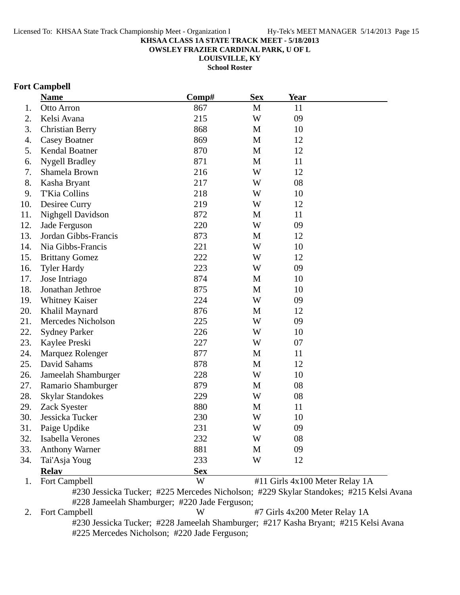**OWSLEY FRAZIER CARDINAL PARK, U OF L**

**LOUISVILLE, KY**

**School Roster**

### **Fort Campbell**

|     | <b>Name</b>             | Comp#      | <b>Sex</b>   | Year                           |  |
|-----|-------------------------|------------|--------------|--------------------------------|--|
| 1.  | Otto Arron              | 867        | M            | 11                             |  |
| 2.  | Kelsi Avana             | 215        | W            | 09                             |  |
| 3.  | <b>Christian Berry</b>  | 868        | M            | 10                             |  |
| 4.  | <b>Casey Boatner</b>    | 869        | $\mathbf M$  | 12                             |  |
| 5.  | Kendal Boatner          | 870        | $\mathbf M$  | 12                             |  |
| 6.  | <b>Nygell Bradley</b>   | 871        | $\mathbf{M}$ | 11                             |  |
| 7.  | Shamela Brown           | 216        | W            | 12                             |  |
| 8.  | Kasha Bryant            | 217        | W            | 08                             |  |
| 9.  | T'Kia Collins           | 218        | W            | 10                             |  |
| 10. | Desiree Curry           | 219        | W            | 12                             |  |
| 11. | Nighgell Davidson       | 872        | M            | 11                             |  |
| 12. | Jade Ferguson           | 220        | W            | 09                             |  |
| 13. | Jordan Gibbs-Francis    | 873        | M            | 12                             |  |
| 14. | Nia Gibbs-Francis       | 221        | W            | 10                             |  |
| 15. | <b>Brittany Gomez</b>   | 222        | W            | 12                             |  |
| 16. | <b>Tyler Hardy</b>      | 223        | W            | 09                             |  |
| 17. | Jose Intriago           | 874        | M            | 10                             |  |
| 18. | Jonathan Jethroe        | 875        | $\mathbf{M}$ | 10                             |  |
| 19. | Whitney Kaiser          | 224        | W            | 09                             |  |
| 20. | Khalil Maynard          | 876        | $\mathbf{M}$ | 12                             |  |
| 21. | Mercedes Nicholson      | 225        | W            | 09                             |  |
| 22. | <b>Sydney Parker</b>    | 226        | W            | 10                             |  |
| 23. | Kaylee Preski           | 227        | W            | 07                             |  |
| 24. | Marquez Rolenger        | 877        | M            | 11                             |  |
| 25. | David Sahams            | 878        | M            | 12                             |  |
| 26. | Jameelah Shamburger     | 228        | W            | 10                             |  |
| 27. | Ramario Shamburger      | 879        | M            | 08                             |  |
| 28. | <b>Skylar Standokes</b> | 229        | W            | 08                             |  |
| 29. | Zack Syester            | 880        | M            | 11                             |  |
| 30. | Jessicka Tucker         | 230        | W            | 10                             |  |
| 31. | Paige Updike            | 231        | W            | 09                             |  |
| 32. | Isabella Verones        | 232        | W            | 08                             |  |
| 33. | <b>Anthony Warner</b>   | 881        | M            | 09                             |  |
| 34. | Tai'Asja Youg           | 233        | W            | 12                             |  |
|     | <b>Relay</b>            | <b>Sex</b> |              |                                |  |
| 1.  | Fort Campbell           | W          |              | #11 Girls 4x100 Meter Relay 1A |  |

#230 Jessicka Tucker; #225 Mercedes Nicholson; #229 Skylar Standokes; #215 Kelsi Avana

#228 Jameelah Shamburger; #220 Jade Ferguson;<br>2. Fort Campbell W  $W$  #7 Girls 4x200 Meter Relay 1A #230 Jessicka Tucker; #228 Jameelah Shamburger; #217 Kasha Bryant; #215 Kelsi Avana #225 Mercedes Nicholson; #220 Jade Ferguson;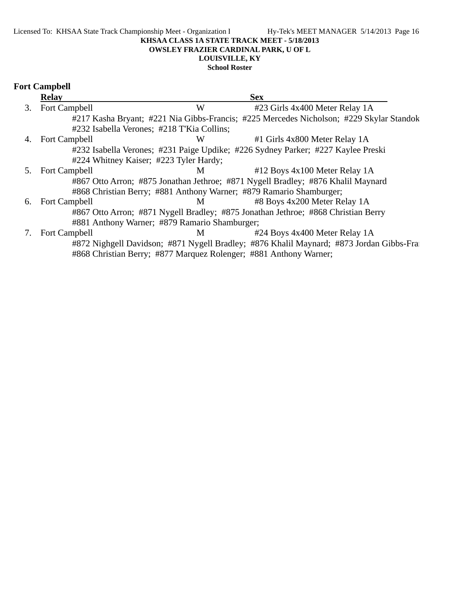#### Licensed To: KHSAA State Track Championship Meet - Organization I Hy-Tek's MEET MANAGER 5/14/2013 Page 16 **KHSAA CLASS 1A STATE TRACK MEET - 5/18/2013 OWSLEY FRAZIER CARDINAL PARK, U OF L LOUISVILLE, KY**

**School Roster**

# **Fort Campbell**

|    | <b>Relay</b>                                                      |   | <b>Sex</b>                                                                              |
|----|-------------------------------------------------------------------|---|-----------------------------------------------------------------------------------------|
| 3. | Fort Campbell                                                     | W | #23 Girls 4x400 Meter Relay 1A                                                          |
|    |                                                                   |   | #217 Kasha Bryant; #221 Nia Gibbs-Francis; #225 Mercedes Nicholson; #229 Skylar Standok |
|    | #232 Isabella Verones; #218 T'Kia Collins;                        |   |                                                                                         |
| 4. | Fort Campbell                                                     | W | #1 Girls 4x800 Meter Relay 1A                                                           |
|    |                                                                   |   | #232 Isabella Verones; #231 Paige Updike; #226 Sydney Parker; #227 Kaylee Preski        |
|    | #224 Whitney Kaiser; #223 Tyler Hardy;                            |   |                                                                                         |
| 5. | <b>Fort Campbell</b>                                              | M | $#12$ Boys 4x100 Meter Relay 1A                                                         |
|    |                                                                   |   | #867 Otto Arron; #875 Jonathan Jethroe; #871 Nygell Bradley; #876 Khalil Maynard        |
|    |                                                                   |   | #868 Christian Berry; #881 Anthony Warner; #879 Ramario Shamburger;                     |
| 6. | Fort Campbell                                                     | M | #8 Boys 4x200 Meter Relay 1A                                                            |
|    |                                                                   |   | #867 Otto Arron; #871 Nygell Bradley; #875 Jonathan Jethroe; #868 Christian Berry       |
|    | #881 Anthony Warner; #879 Ramario Shamburger;                     |   |                                                                                         |
|    | Fort Campbell                                                     | M | #24 Boys 4x400 Meter Relay 1A                                                           |
|    |                                                                   |   | #872 Nighgell Davidson; #871 Nygell Bradley; #876 Khalil Maynard; #873 Jordan Gibbs-Fra |
|    | #868 Christian Berry; #877 Marquez Rolenger; #881 Anthony Warner; |   |                                                                                         |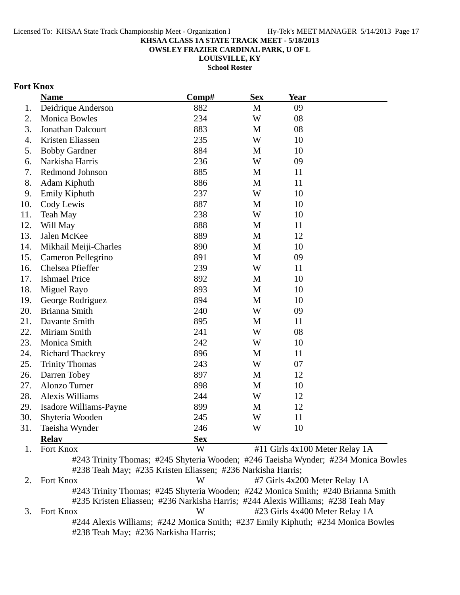**OWSLEY FRAZIER CARDINAL PARK, U OF L**

**LOUISVILLE, KY School Roster**

# **Fort Knox**

| <b>Name</b>                    | Comp#                                                                                                                                                                | <b>Sex</b> | <b>Year</b>                    |  |
|--------------------------------|----------------------------------------------------------------------------------------------------------------------------------------------------------------------|------------|--------------------------------|--|
| Deidrique Anderson<br>1.       | 882                                                                                                                                                                  | M          | 09                             |  |
| <b>Monica Bowles</b><br>2.     | 234                                                                                                                                                                  | W          | 08                             |  |
| Jonathan Dalcourt<br>3.        | 883                                                                                                                                                                  | M          | 08                             |  |
| Kristen Eliassen<br>4.         | 235                                                                                                                                                                  | W          | 10                             |  |
| 5.<br><b>Bobby Gardner</b>     | 884                                                                                                                                                                  | M          | 10                             |  |
| Narkisha Harris<br>6.          | 236                                                                                                                                                                  | W          | 09                             |  |
| Redmond Johnson<br>7.          | 885                                                                                                                                                                  | M          | 11                             |  |
| 8.<br>Adam Kiphuth             | 886                                                                                                                                                                  | M          | 11                             |  |
| Emily Kiphuth<br>9.            | 237                                                                                                                                                                  | W          | 10                             |  |
| 10.<br>Cody Lewis              | 887                                                                                                                                                                  | M          | 10                             |  |
| 11.<br><b>Teah May</b>         | 238                                                                                                                                                                  | W          | 10                             |  |
| Will May<br>12.                | 888                                                                                                                                                                  | M          | 11                             |  |
| 13.<br>Jalen McKee             | 889                                                                                                                                                                  | M          | 12                             |  |
| 14.<br>Mikhail Meiji-Charles   | 890                                                                                                                                                                  | M          | 10                             |  |
| 15.<br>Cameron Pellegrino      | 891                                                                                                                                                                  | M          | 09                             |  |
| Chelsea Pfieffer<br>16.        | 239                                                                                                                                                                  | W          | 11                             |  |
| <b>Ishmael Price</b><br>17.    | 892                                                                                                                                                                  | M          | 10                             |  |
| 18.<br>Miguel Rayo             | 893                                                                                                                                                                  | M          | 10                             |  |
| 19.<br>George Rodriguez        | 894                                                                                                                                                                  | M          | 10                             |  |
| Brianna Smith<br>20.           | 240                                                                                                                                                                  | W          | 09                             |  |
| 21.<br>Davante Smith           | 895                                                                                                                                                                  | M          | 11                             |  |
| 22.<br>Miriam Smith            | 241                                                                                                                                                                  | W          | 08                             |  |
| Monica Smith<br>23.            | 242                                                                                                                                                                  | W          | 10                             |  |
| 24.<br><b>Richard Thackrey</b> | 896                                                                                                                                                                  | M          | 11                             |  |
| 25.<br><b>Trinity Thomas</b>   | 243                                                                                                                                                                  | W          | 07                             |  |
| 26.<br>Darren Tobey            | 897                                                                                                                                                                  | M          | 12                             |  |
| 27.<br>Alonzo Turner           | 898                                                                                                                                                                  | M          | 10                             |  |
| 28.<br><b>Alexis Williams</b>  | 244                                                                                                                                                                  | W          | 12                             |  |
| 29.<br>Isadore Williams-Payne  | 899                                                                                                                                                                  | M          | 12                             |  |
| 30.<br>Shyteria Wooden         | 245                                                                                                                                                                  | W          | 11                             |  |
| 31.<br>Taeisha Wynder          | 246                                                                                                                                                                  | W          | 10                             |  |
| <b>Relay</b>                   | <b>Sex</b>                                                                                                                                                           |            |                                |  |
| Fort Knox<br>1.                | W                                                                                                                                                                    |            | #11 Girls 4x100 Meter Relay 1A |  |
|                                | #243 Trinity Thomas; #245 Shyteria Wooden; #246 Taeisha Wynder; #234 Monica Bowles<br>#238 Teah May; #235 Kristen Eliassen; #236 Narkisha Harris;                    |            |                                |  |
| Fort Knox<br>2.                | W                                                                                                                                                                    |            | #7 Girls 4x200 Meter Relay 1A  |  |
|                                | #243 Trinity Thomas; #245 Shyteria Wooden; #242 Monica Smith; #240 Brianna Smith<br>#235 Kristen Eliassen: #236 Narkisha Harris: #244 Alexis Williams: #238 Teah May |            |                                |  |

Kristen Eliassen; #236 Narkisha Harris; #244 Alexis Williams; #238 Teah May<br>W +23 Girls 4x400 Meter Relay 1A 3. Fort Knox **W** #23 Girls 4x400 Meter Relay 1A #244 Alexis Williams; #242 Monica Smith; #237 Emily Kiphuth; #234 Monica Bowles #238 Teah May; #236 Narkisha Harris;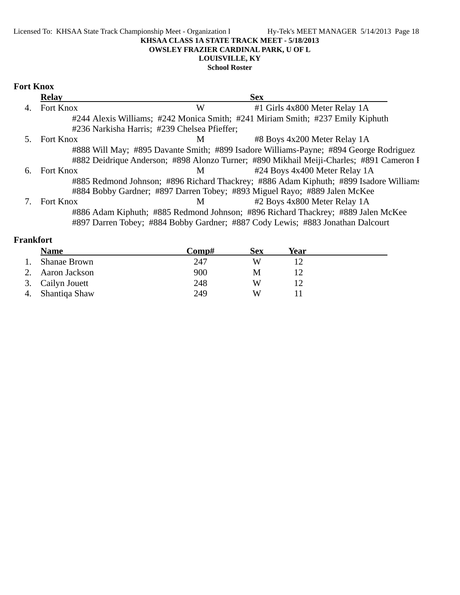#### Licensed To: KHSAA State Track Championship Meet - Organization I Hy-Tek's MEET MANAGER 5/14/2013 Page 18 **KHSAA CLASS 1A STATE TRACK MEET - 5/18/2013 OWSLEY FRAZIER CARDINAL PARK, U OF L LOUISVILLE, KY**

### **School Roster**

## **Fort Knox**

|    | <b>Relay</b>     |                                              | <b>Sex</b>                                                                              |
|----|------------------|----------------------------------------------|-----------------------------------------------------------------------------------------|
| 4. | Fort Knox        | W                                            | #1 Girls 4x800 Meter Relay 1A                                                           |
|    |                  |                                              | #244 Alexis Williams; #242 Monica Smith; #241 Miriam Smith; #237 Emily Kiphuth          |
|    |                  | #236 Narkisha Harris; #239 Chelsea Pfieffer; |                                                                                         |
|    | <b>Fort Knox</b> | M                                            | #8 Boys 4x200 Meter Relay 1A                                                            |
|    |                  |                                              | #888 Will May; #895 Davante Smith; #899 Isadore Williams-Payne; #894 George Rodriguez   |
|    |                  |                                              | #882 Deidrique Anderson; #898 Alonzo Turner; #890 Mikhail Meiji-Charles; #891 Cameron I |
| 6. | <b>Fort Knox</b> | M                                            | #24 Boys 4x400 Meter Relay 1A                                                           |
|    |                  |                                              | #885 Redmond Johnson; #896 Richard Thackrey; #886 Adam Kiphuth; #899 Isadore Williams   |
|    |                  |                                              | #884 Bobby Gardner; #897 Darren Tobey; #893 Miguel Rayo; #889 Jalen McKee               |
|    | Fort Knox        | M                                            | #2 Boys 4x800 Meter Relay 1A                                                            |
|    |                  |                                              | #886 Adam Kiphuth; #885 Redmond Johnson; #896 Richard Thackrey; #889 Jalen McKee        |
|    |                  |                                              | #897 Darren Tobey; #884 Bobby Gardner; #887 Cody Lewis; #883 Jonathan Dalcourt          |

# **Frankfort**

| <b>Name</b>         | Comp# | Sex | Year |
|---------------------|-------|-----|------|
| <b>Shanae Brown</b> | 247   | W   |      |
| Aaron Jackson       | 900   | M   |      |
| 3. Cailyn Jouett    | 248   | W   |      |
| Shantiqa Shaw       | 249   | W   |      |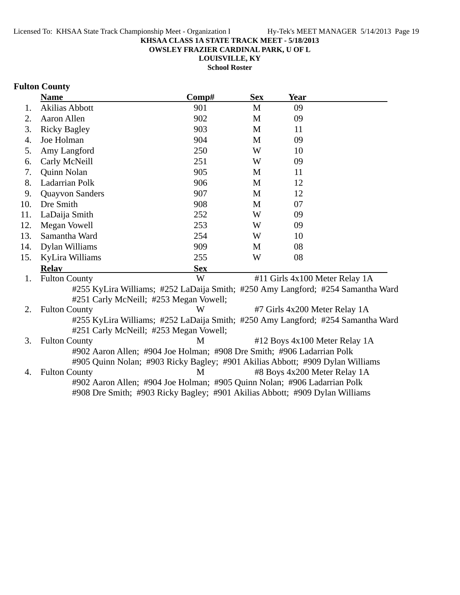**OWSLEY FRAZIER CARDINAL PARK, U OF L**

**LOUISVILLE, KY School Roster**

# **Fulton County**

|     | <b>Name</b>                            | Comp#                                                                                                                                                   | <b>Sex</b> | <b>Year</b>                   |                                |
|-----|----------------------------------------|---------------------------------------------------------------------------------------------------------------------------------------------------------|------------|-------------------------------|--------------------------------|
| 1.  | <b>Akilias Abbott</b>                  | 901                                                                                                                                                     | M          | 09                            |                                |
| 2.  | Aaron Allen                            | 902                                                                                                                                                     | M          | 09                            |                                |
| 3.  | <b>Ricky Bagley</b>                    | 903                                                                                                                                                     | M          | 11                            |                                |
| 4.  | Joe Holman                             | 904                                                                                                                                                     | M          | 09                            |                                |
| 5.  | Amy Langford                           | 250                                                                                                                                                     | W          | 10                            |                                |
| 6.  | Carly McNeill                          | 251                                                                                                                                                     | W          | 09                            |                                |
| 7.  | Quinn Nolan                            | 905                                                                                                                                                     | M          | 11                            |                                |
| 8.  | <b>Ladarrian Polk</b>                  | 906                                                                                                                                                     | M          | 12                            |                                |
| 9.  | <b>Quayvon Sanders</b>                 | 907                                                                                                                                                     | M          | 12                            |                                |
| 10. | Dre Smith                              | 908                                                                                                                                                     | M          | 07                            |                                |
| 11. | LaDaija Smith                          | 252                                                                                                                                                     | W          | 09                            |                                |
| 12. | Megan Vowell                           | 253                                                                                                                                                     | W          | 09                            |                                |
| 13. | Samantha Ward                          | 254                                                                                                                                                     | W          | 10                            |                                |
| 14. | Dylan Williams                         | 909                                                                                                                                                     | M          | 08                            |                                |
| 15. | KyLira Williams                        | 255                                                                                                                                                     | W          | 08                            |                                |
|     | <b>Relav</b>                           | <b>Sex</b>                                                                                                                                              |            |                               |                                |
| 1.  | <b>Fulton County</b>                   | W                                                                                                                                                       |            |                               | #11 Girls 4x100 Meter Relay 1A |
|     | #251 Carly McNeill; #253 Megan Vowell; | #255 KyLira Williams; #252 LaDaija Smith; #250 Amy Langford; #254 Samantha Ward                                                                         |            |                               |                                |
| 2.  | <b>Fulton County</b>                   | W                                                                                                                                                       |            | #7 Girls 4x200 Meter Relay 1A |                                |
|     | #251 Carly McNeill; #253 Megan Vowell; | #255 KyLira Williams; #252 LaDaija Smith; #250 Amy Langford; #254 Samantha Ward                                                                         |            |                               |                                |
| 3.  | <b>Fulton County</b>                   | M                                                                                                                                                       |            |                               | #12 Boys 4x100 Meter Relay 1A  |
|     |                                        | #902 Aaron Allen; #904 Joe Holman; #908 Dre Smith; #906 Ladarrian Polk<br>#905 Quinn Nolan; #903 Ricky Bagley; #901 Akilias Abbott; #909 Dylan Williams |            |                               |                                |
| 4.  | <b>Fulton County</b>                   | M                                                                                                                                                       |            | #8 Boys 4x200 Meter Relay 1A  |                                |
|     |                                        | #902 Aaron Allen; #904 Joe Holman; #905 Quinn Nolan; #906 Ladarrian Polk<br>#908 Dre Smith; #903 Ricky Bagley; #901 Akilias Abbott; #909 Dylan Williams |            |                               |                                |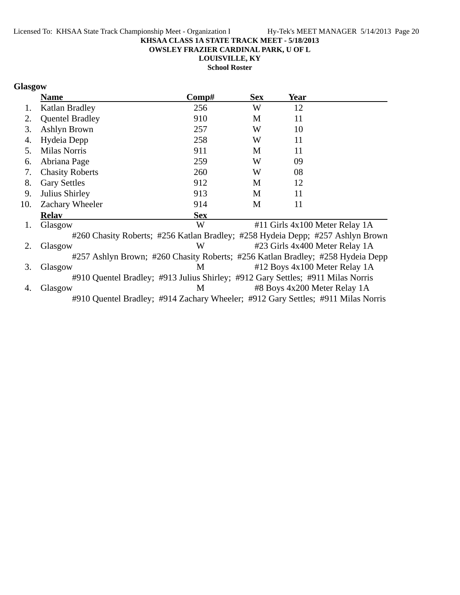**OWSLEY FRAZIER CARDINAL PARK, U OF L**

**LOUISVILLE, KY**

**School Roster**

# **Glasgow**

|     | <b>Name</b>                                                                      | $\bf Comp\#$ | <b>Sex</b> | Year |                                |
|-----|----------------------------------------------------------------------------------|--------------|------------|------|--------------------------------|
| 1.  | Katlan Bradley                                                                   | 256          | W          | 12   |                                |
| 2.  | <b>Quentel Bradley</b>                                                           | 910          | M          | 11   |                                |
| 3.  | Ashlyn Brown                                                                     | 257          | W          | 10   |                                |
| 4.  | Hydeia Depp                                                                      | 258          | W          | 11   |                                |
| 5.  | Milas Norris                                                                     | 911          | M          | 11   |                                |
| 6.  | Abriana Page                                                                     | 259          | W          | 09   |                                |
| 7.  | <b>Chasity Roberts</b>                                                           | 260          | W          | 08   |                                |
| 8.  | <b>Gary Settles</b>                                                              | 912          | M          | 12   |                                |
| 9.  | Julius Shirley                                                                   | 913          | M          | 11   |                                |
| 10. | Zachary Wheeler                                                                  | 914          | M          | 11   |                                |
|     | <b>Relav</b>                                                                     | <b>Sex</b>   |            |      |                                |
| 1.  | Glasgow                                                                          | W            |            |      | #11 Girls 4x100 Meter Relay 1A |
|     | #260 Chasity Roberts; #256 Katlan Bradley; #258 Hydeia Depp; #257 Ashlyn Brown   |              |            |      |                                |
| 2.  | Glasgow                                                                          | W            |            |      | #23 Girls 4x400 Meter Relay 1A |
|     | #257 Ashlyn Brown; #260 Chasity Roberts; #256 Katlan Bradley; #258 Hydeia Depp   |              |            |      |                                |
| 3.  | Glasgow                                                                          | M            |            |      | #12 Boys 4x100 Meter Relay 1A  |
|     | #910 Quentel Bradley; #913 Julius Shirley; #912 Gary Settles; #911 Milas Norris  |              |            |      |                                |
| 4.  | Glasgow                                                                          | M            |            |      | #8 Boys 4x200 Meter Relay 1A   |
|     | #910 Quentel Bradley; #914 Zachary Wheeler; #912 Gary Settles; #911 Milas Norris |              |            |      |                                |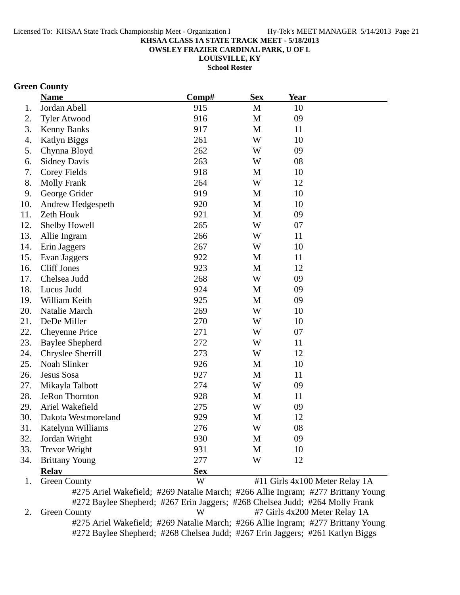**OWSLEY FRAZIER CARDINAL PARK, U OF L**

**LOUISVILLE, KY**

**School Roster**

### **Green County**

|     | <b>Name</b>                                  | Comp#      | <b>Sex</b>    | Year |                                            |
|-----|----------------------------------------------|------------|---------------|------|--------------------------------------------|
| 1.  | Jordan Abell                                 | 915        | M             | 10   |                                            |
| 2.  | <b>Tyler Atwood</b>                          | 916        | M             | 09   |                                            |
| 3.  | <b>Kenny Banks</b>                           | 917        | M             | 11   |                                            |
| 4.  | <b>Katlyn Biggs</b>                          | 261        | W             | 10   |                                            |
| 5.  | Chynna Bloyd                                 | 262        | W             | 09   |                                            |
| 6.  | <b>Sidney Davis</b>                          | 263        | W             | 08   |                                            |
| 7.  | <b>Corey Fields</b>                          | 918        | M             | 10   |                                            |
| 8.  | <b>Molly Frank</b>                           | 264        | W             | 12   |                                            |
| 9.  | George Grider                                | 919        | M             | 10   |                                            |
| 10. | Andrew Hedgespeth                            | 920        | M             | 10   |                                            |
| 11. | Zeth Houk                                    | 921        | M             | 09   |                                            |
| 12. | Shelby Howell                                | 265        | W             | 07   |                                            |
| 13. | Allie Ingram                                 | 266        | W             | 11   |                                            |
| 14. | Erin Jaggers                                 | 267        | W             | 10   |                                            |
| 15. | Evan Jaggers                                 | 922        | M             | 11   |                                            |
| 16. | <b>Cliff Jones</b>                           | 923        | M             | 12   |                                            |
| 17. | Chelsea Judd                                 | 268        | W             | 09   |                                            |
| 18. | Lucus Judd                                   | 924        | M             | 09   |                                            |
| 19. | William Keith                                | 925        | M             | 09   |                                            |
| 20. | Natalie March                                | 269        | W             | 10   |                                            |
| 21. | DeDe Miller                                  | 270        | W             | 10   |                                            |
| 22. | <b>Cheyenne Price</b>                        | 271        | W             | 07   |                                            |
| 23. | <b>Baylee Shepherd</b>                       | 272        | W             | 11   |                                            |
| 24. | Chryslee Sherrill                            | 273        | W             | 12   |                                            |
| 25. | Noah Slinker                                 | 926        | M             | 10   |                                            |
| 26. | Jesus Sosa                                   | 927        | M             | 11   |                                            |
| 27. | Mikayla Talbott                              | 274        | W             | 09   |                                            |
| 28. | <b>JeRon Thornton</b>                        | 928        | M             | 11   |                                            |
| 29. | Ariel Wakefield                              | 275        | W             | 09   |                                            |
| 30. | Dakota Westmoreland                          | 929        | M             | 12   |                                            |
| 31  | Katelynn Williams                            | 276        | W             | 08   |                                            |
| 32. | Jordan Wright                                | 930        | M             | 09   |                                            |
| 33. | <b>Trevor Wright</b>                         | 931        | M             | 10   |                                            |
| 34. | <b>Brittany Young</b>                        | 277        | W             | 12   |                                            |
|     | <b>Relay</b>                                 | <b>Sex</b> |               |      |                                            |
| 1.  | <b>Green County</b><br>$\mu \cap \tau \in A$ | W          | $A$ 11: $T$ . |      | #11 Girls 4x100 Meter Relay 1A<br>$1077$ D |

#275 Ariel Wakefield; #269 Natalie March; #266 Allie Ingram; #277 Brittany Young #272 Baylee Shepherd; #267 Erin Jaggers; #268 Chelsea Judd; #264 Molly Frank 2. Green County W #7 Girls 4x200 Meter Relay 1A #275 Ariel Wakefield; #269 Natalie March; #266 Allie Ingram; #277 Brittany Young #272 Baylee Shepherd; #268 Chelsea Judd; #267 Erin Jaggers; #261 Katlyn Biggs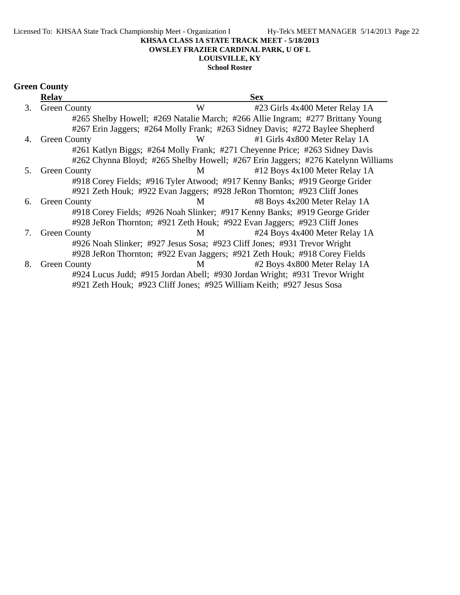#### **OWSLEY FRAZIER CARDINAL PARK, U OF L**

# **LOUISVILLE, KY**

# **School Roster**

|    | <b>Relav</b>        |   | <b>Sex</b>                                                                       |  |
|----|---------------------|---|----------------------------------------------------------------------------------|--|
| 3. | <b>Green County</b> | W | #23 Girls 4x400 Meter Relay 1A                                                   |  |
|    |                     |   | #265 Shelby Howell; #269 Natalie March; #266 Allie Ingram; #277 Brittany Young   |  |
|    |                     |   | #267 Erin Jaggers; #264 Molly Frank; #263 Sidney Davis; #272 Baylee Shepherd     |  |
| 4. | <b>Green County</b> | W | #1 Girls 4x800 Meter Relay 1A                                                    |  |
|    |                     |   | #261 Katlyn Biggs; #264 Molly Frank; #271 Cheyenne Price; #263 Sidney Davis      |  |
|    |                     |   | #262 Chynna Bloyd; #265 Shelby Howell; #267 Erin Jaggers; #276 Katelynn Williams |  |
| 5. | <b>Green County</b> | M | #12 Boys 4x100 Meter Relay 1A                                                    |  |
|    |                     |   | #918 Corey Fields; #916 Tyler Atwood; #917 Kenny Banks; #919 George Grider       |  |
|    |                     |   | #921 Zeth Houk; #922 Evan Jaggers; #928 JeRon Thornton; #923 Cliff Jones         |  |
| 6. | <b>Green County</b> | M | #8 Boys 4x200 Meter Relay 1A                                                     |  |
|    |                     |   | #918 Corey Fields; #926 Noah Slinker; #917 Kenny Banks; #919 George Grider       |  |
|    |                     |   | #928 JeRon Thornton; #921 Zeth Houk; #922 Evan Jaggers; #923 Cliff Jones         |  |
| 7. | <b>Green County</b> | M | #24 Boys 4x400 Meter Relay 1A                                                    |  |
|    |                     |   | #926 Noah Slinker; #927 Jesus Sosa; #923 Cliff Jones; #931 Trevor Wright         |  |
|    |                     |   | #928 JeRon Thornton; #922 Evan Jaggers; #921 Zeth Houk; #918 Corey Fields        |  |
| 8. | <b>Green County</b> | M | #2 Boys 4x800 Meter Relay 1A                                                     |  |
|    |                     |   | #924 Lucus Judd; #915 Jordan Abell; #930 Jordan Wright; #931 Trevor Wright       |  |
|    |                     |   | #921 Zeth Houk; #923 Cliff Jones; #925 William Keith; #927 Jesus Sosa            |  |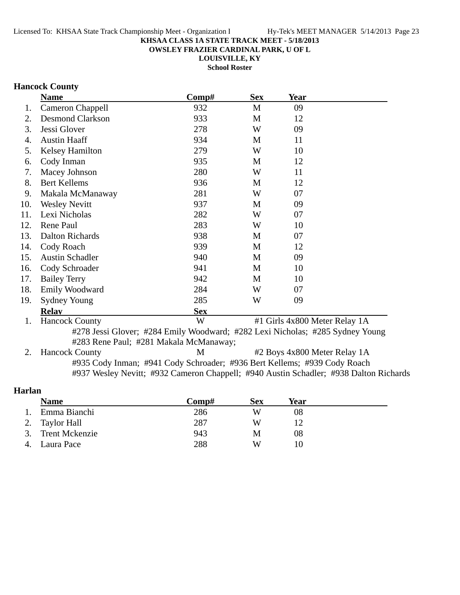**OWSLEY FRAZIER CARDINAL PARK, U OF L**

**LOUISVILLE, KY**

**School Roster**

### **Hancock County**

|     | <b>Name</b>                                                                   | Comp#                                  | <b>Sex</b>   | Year                                                     |  |
|-----|-------------------------------------------------------------------------------|----------------------------------------|--------------|----------------------------------------------------------|--|
| 1.  | <b>Cameron Chappell</b>                                                       | 932                                    | $\mathbf{M}$ | 09                                                       |  |
| 2.  | <b>Desmond Clarkson</b>                                                       | 933                                    | M            | 12                                                       |  |
| 3.  | Jessi Glover                                                                  | 278                                    | W            | 09                                                       |  |
| 4.  | <b>Austin Haaff</b>                                                           | 934                                    | M            | 11                                                       |  |
| 5.  | <b>Kelsey Hamilton</b>                                                        | 279                                    | W            | 10                                                       |  |
| 6.  | Cody Inman                                                                    | 935                                    | M            | 12                                                       |  |
| 7.  | Macey Johnson                                                                 | 280                                    | W            | 11                                                       |  |
| 8.  | <b>Bert Kellems</b>                                                           | 936                                    | M            | 12                                                       |  |
| 9.  | Makala McManaway                                                              | 281                                    | W            | 07                                                       |  |
| 10. | <b>Wesley Nevitt</b>                                                          | 937                                    | M            | 09                                                       |  |
| 11. | Lexi Nicholas                                                                 | 282                                    | W            | 07                                                       |  |
| 12. | Rene Paul                                                                     | 283                                    | W            | 10                                                       |  |
| 13. | Dalton Richards                                                               | 938                                    | M            | 07                                                       |  |
| 14. | Cody Roach                                                                    | 939                                    | M            | 12                                                       |  |
| 15. | <b>Austin Schadler</b>                                                        | 940                                    | M            | 09                                                       |  |
| 16. | Cody Schroader                                                                | 941                                    | M            | 10                                                       |  |
| 17. | <b>Bailey Terry</b>                                                           | 942                                    | M            | 10                                                       |  |
| 18. | <b>Emily Woodward</b>                                                         | 284                                    | W            | 07                                                       |  |
| 19. | <b>Sydney Young</b>                                                           | 285                                    | W            | 09                                                       |  |
|     | <b>Relay</b>                                                                  | <b>Sex</b>                             |              |                                                          |  |
| 1.  | <b>Hancock County</b>                                                         | W                                      |              | #1 Girls 4x800 Meter Relay 1A                            |  |
|     | #278 Jessi Glover; #284 Emily Woodward; #282 Lexi Nicholas; #285 Sydney Young | #283 Rene Paul; #281 Makala McManaway; |              |                                                          |  |
|     | $\prod_{\alpha} \sum_{\alpha} \sum_{\beta} \Gamma_{\alpha}$                   |                                        |              | $\mu$ D ave $\Lambda_{\nu}$ 000 M at $\mu$ D algebra 1.4 |  |

2. Hancock County M #2 Boys 4x800 Meter Relay 1A #935 Cody Inman; #941 Cody Schroader; #936 Bert Kellems; #939 Cody Roach #937 Wesley Nevitt; #932 Cameron Chappell; #940 Austin Schadler; #938 Dalton Richards

### **Harlan**

| <b>Name</b>       | Comp# | <b>Sex</b> | Year |  |
|-------------------|-------|------------|------|--|
| Emma Bianchi      | 286   | W          | 08   |  |
| 2. Taylor Hall    | 287   | W          |      |  |
| 3. Trent Mckenzie | 943   | M          | 08   |  |
| 4. Laura Pace     | 288   | W          | 10   |  |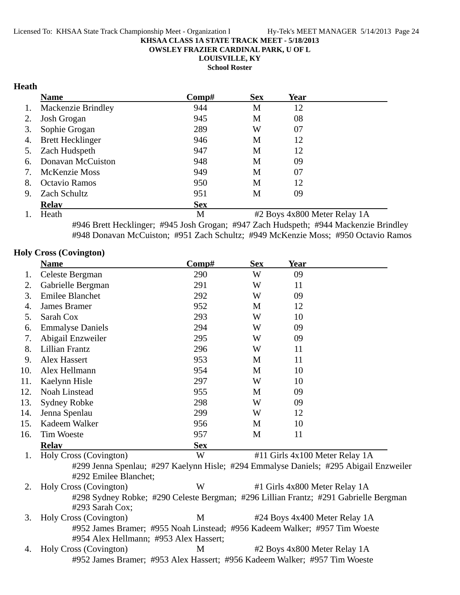**OWSLEY FRAZIER CARDINAL PARK, U OF L**

**LOUISVILLE, KY**

**School Roster**

### **Heath**

|    | <b>Name</b>             | Comp#      | <b>Sex</b> | Year |  |
|----|-------------------------|------------|------------|------|--|
| 1. | Mackenzie Brindley      | 944        | M          | 12   |  |
| 2. | Josh Grogan             | 945        | M          | 08   |  |
| 3. | Sophie Grogan           | 289        | W          | 07   |  |
| 4. | <b>Brett Hecklinger</b> | 946        | M          | 12   |  |
| 5. | Zach Hudspeth           | 947        | M          | 12   |  |
| 6. | Donavan McCuiston       | 948        | M          | 09   |  |
| 7. | <b>McKenzie Moss</b>    | 949        | M          | 07   |  |
| 8. | Octavio Ramos           | 950        | M          | 12   |  |
| 9. | Zach Schultz            | 951        | М          | 09   |  |
|    | <b>Relav</b>            | <b>Sex</b> |            |      |  |

1. Heath M #2 Boys 4x800 Meter Relay 1A #946 Brett Hecklinger; #945 Josh Grogan; #947 Zach Hudspeth; #944 Mackenzie Brindley #948 Donavan McCuiston; #951 Zach Schultz; #949 McKenzie Moss; #950 Octavio Ramos

### **Holy Cross (Covington)**

|     | <b>Name</b>                                                                | Comp#      | <b>Sex</b> | <b>Year</b> |                                                                                       |
|-----|----------------------------------------------------------------------------|------------|------------|-------------|---------------------------------------------------------------------------------------|
| 1.  | Celeste Bergman                                                            | 290        | W          | 09          |                                                                                       |
| 2.  | Gabrielle Bergman                                                          | 291        | W          | 11          |                                                                                       |
| 3.  | <b>Emilee Blanchet</b>                                                     | 292        | W          | 09          |                                                                                       |
| 4.  | James Bramer                                                               | 952        | M          | 12          |                                                                                       |
| 5.  | Sarah Cox                                                                  | 293        | W          | 10          |                                                                                       |
| 6.  | <b>Emmalyse Daniels</b>                                                    | 294        | W          | 09          |                                                                                       |
| 7.  | Abigail Enzweiler                                                          | 295        | W          | 09          |                                                                                       |
| 8.  | <b>Lillian Frantz</b>                                                      | 296        | W          | 11          |                                                                                       |
| 9.  | Alex Hassert                                                               | 953        | M          | 11          |                                                                                       |
| 10. | Alex Hellmann                                                              | 954        | M          | 10          |                                                                                       |
| 11. | Kaelynn Hisle                                                              | 297        | W          | 10          |                                                                                       |
| 12. | <b>Noah Linstead</b>                                                       | 955        | M          | 09          |                                                                                       |
| 13. | <b>Sydney Robke</b>                                                        | 298        | W          | 09          |                                                                                       |
| 14. | Jenna Spenlau                                                              | 299        | W          | 12          |                                                                                       |
| 15. | Kadeem Walker                                                              | 956        | M          | 10          |                                                                                       |
| 16. | <b>Tim Woeste</b>                                                          | 957        | M          | 11          |                                                                                       |
|     | <b>Relay</b>                                                               | <b>Sex</b> |            |             |                                                                                       |
| 1.  | Holy Cross (Covington)                                                     | W          |            |             | #11 Girls 4x100 Meter Relay 1A                                                        |
|     |                                                                            |            |            |             | #299 Jenna Spenlau; #297 Kaelynn Hisle; #294 Emmalyse Daniels; #295 Abigail Enzweiler |
|     | #292 Emilee Blanchet:                                                      |            |            |             |                                                                                       |
| 2.  | Holy Cross (Covington)                                                     | W          |            |             | #1 Girls 4x800 Meter Relay 1A                                                         |
|     |                                                                            |            |            |             | #298 Sydney Robke; #290 Celeste Bergman; #296 Lillian Frantz; #291 Gabrielle Bergman  |
|     | #293 Sarah Cox;                                                            |            |            |             |                                                                                       |
| 3.  | Holy Cross (Covington)                                                     | M          |            |             | #24 Boys 4x400 Meter Relay 1A                                                         |
|     | #952 James Bramer; #955 Noah Linstead; #956 Kadeem Walker; #957 Tim Woeste |            |            |             |                                                                                       |
|     | #954 Alex Hellmann; #953 Alex Hassert;                                     |            |            |             |                                                                                       |
| 4.  | Holy Cross (Covington)                                                     | M          |            |             | #2 Boys 4x800 Meter Relay 1A                                                          |
|     | #952 James Bramer; #953 Alex Hassert; #956 Kadeem Walker; #957 Tim Woeste  |            |            |             |                                                                                       |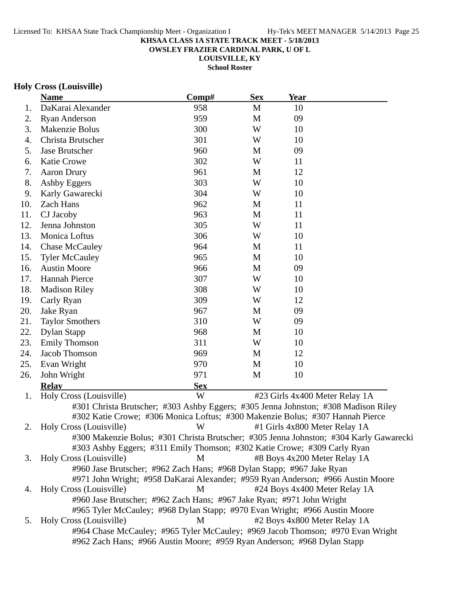**OWSLEY FRAZIER CARDINAL PARK, U OF L**

**LOUISVILLE, KY School Roster**

# **Holy Cross (Louisville)**

|     | <b>Name</b>                                                                            | Comp#      | <b>Sex</b> | <b>Year</b>                    |  |
|-----|----------------------------------------------------------------------------------------|------------|------------|--------------------------------|--|
| 1.  | DaKarai Alexander                                                                      | 958        | M          | 10                             |  |
| 2.  | <b>Ryan Anderson</b>                                                                   | 959        | M          | 09                             |  |
| 3.  | Makenzie Bolus                                                                         | 300        | W          | 10                             |  |
| 4.  | Christa Brutscher                                                                      | 301        | W          | 10                             |  |
| 5.  | Jase Brutscher                                                                         | 960        | M          | 09                             |  |
| 6.  | Katie Crowe                                                                            | 302        | W          | 11                             |  |
| 7.  | <b>Aaron Drury</b>                                                                     | 961        | M          | 12                             |  |
| 8.  | Ashby Eggers                                                                           | 303        | W          | 10                             |  |
| 9.  | Karly Gawarecki                                                                        | 304        | W          | 10                             |  |
| 10. | Zach Hans                                                                              | 962        | M          | 11                             |  |
| 11. | CJ Jacoby                                                                              | 963        | M          | 11                             |  |
| 12. | Jenna Johnston                                                                         | 305        | W          | 11                             |  |
| 13. | Monica Loftus                                                                          | 306        | W          | 10                             |  |
| 14. | <b>Chase McCauley</b>                                                                  | 964        | M          | 11                             |  |
| 15. | <b>Tyler McCauley</b>                                                                  | 965        | M          | 10                             |  |
| 16. | <b>Austin Moore</b>                                                                    | 966        | M          | 09                             |  |
| 17. | <b>Hannah Pierce</b>                                                                   | 307        | W          | 10                             |  |
| 18. | <b>Madison Riley</b>                                                                   | 308        | W          | 10                             |  |
| 19. | Carly Ryan                                                                             | 309        | W          | 12                             |  |
| 20. | Jake Ryan                                                                              | 967        | M          | 09                             |  |
| 21. | <b>Taylor Smothers</b>                                                                 | 310        | W          | 09                             |  |
| 22. | Dylan Stapp                                                                            | 968        | M          | 10                             |  |
| 23. | <b>Emily Thomson</b>                                                                   | 311        | W          | 10                             |  |
| 24. | Jacob Thomson                                                                          | 969        | M          | 12                             |  |
| 25. | Evan Wright                                                                            | 970        | M          | 10                             |  |
| 26. | John Wright                                                                            | 971        | M          | 10                             |  |
|     | <b>Relay</b>                                                                           | <b>Sex</b> |            |                                |  |
| 1.  | Holy Cross (Louisville)                                                                | W          |            | #23 Girls 4x400 Meter Relay 1A |  |
|     | #301 Christa Brutscher; #303 Ashby Eggers; #305 Jenna Johnston; #308 Madison Riley     |            |            |                                |  |
|     | #302 Katie Crowe; #306 Monica Loftus; #300 Makenzie Bolus; #307 Hannah Pierce          |            |            |                                |  |
| 2.  | Holy Cross (Louisville)                                                                | W          |            | #1 Girls 4x800 Meter Relay 1A  |  |
|     | #300 Makenzie Bolus; #301 Christa Brutscher; #305 Jenna Johnston; #304 Karly Gawarecki |            |            |                                |  |
|     | #303 Ashby Eggers; #311 Emily Thomson; #302 Katie Crowe; #309 Carly Ryan               |            |            |                                |  |
| 3.  | Holy Cross (Louisville)                                                                | M          |            | #8 Boys 4x200 Meter Relay 1A   |  |
|     | #960 Jase Brutscher; #962 Zach Hans; #968 Dylan Stapp; #967 Jake Ryan                  |            |            |                                |  |
|     | #971 John Wright; #958 DaKarai Alexander; #959 Ryan Anderson; #966 Austin Moore        |            |            |                                |  |
| 4.  | Holy Cross (Louisville)                                                                | M          |            | #24 Boys 4x400 Meter Relay 1A  |  |
|     | #960 Jase Brutscher; #962 Zach Hans; #967 Jake Ryan; #971 John Wright                  |            |            |                                |  |
|     | #965 Tyler McCauley; #968 Dylan Stapp; #970 Evan Wright; #966 Austin Moore             |            |            |                                |  |
| 5.  | Holy Cross (Louisville)                                                                | M          |            | #2 Boys 4x800 Meter Relay 1A   |  |
|     | #964 Chase McCauley; #965 Tyler McCauley; #969 Jacob Thomson; #970 Evan Wright         |            |            |                                |  |
|     | #962 Zach Hans; #966 Austin Moore; #959 Ryan Anderson; #968 Dylan Stapp                |            |            |                                |  |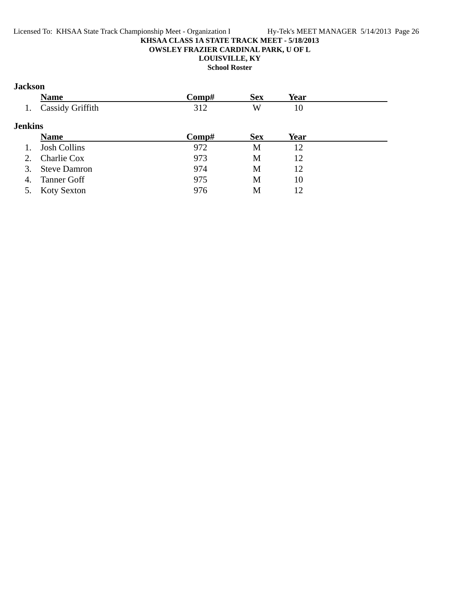### **Jackson**

|                | <b>Name</b>             | Comp# | <b>Sex</b> | <b>Year</b> |  |
|----------------|-------------------------|-------|------------|-------------|--|
|                | <b>Cassidy Griffith</b> | 312   | W          | 10          |  |
| <b>Jenkins</b> |                         |       |            |             |  |
|                | <b>Name</b>             | Comp# | <b>Sex</b> | Year        |  |
|                | <b>Josh Collins</b>     | 972   | M          | 12          |  |
| 2.             | Charlie Cox             | 973   | M          | 12          |  |
| 3.             | <b>Steve Damron</b>     | 974   | M          | 12          |  |
| 4.             | <b>Tanner Goff</b>      | 975   | M          | 10          |  |
| 5.             | <b>Koty Sexton</b>      | 976   | М          | 12          |  |
|                |                         |       |            |             |  |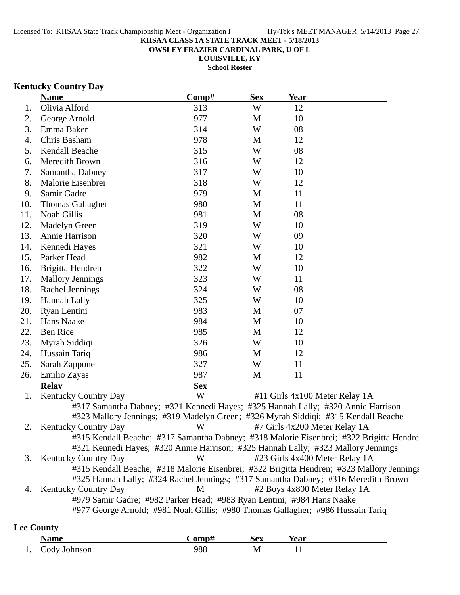**OWSLEY FRAZIER CARDINAL PARK, U OF L**

**LOUISVILLE, KY**

**School Roster**

### **Kentucky Country Day**

|     | <b>Name</b>                                                            | Comp#      | <b>Sex</b> | <b>Year</b>                                                                               |
|-----|------------------------------------------------------------------------|------------|------------|-------------------------------------------------------------------------------------------|
| 1.  | Olivia Alford                                                          | 313        | W          | 12                                                                                        |
| 2.  | George Arnold                                                          | 977        | M          | 10                                                                                        |
| 3.  | Emma Baker                                                             | 314        | W          | 08                                                                                        |
| 4.  | Chris Basham                                                           | 978        | M          | 12                                                                                        |
| 5.  | Kendall Beache                                                         | 315        | W          | 08                                                                                        |
| 6.  | Meredith Brown                                                         | 316        | W          | 12                                                                                        |
| 7.  | Samantha Dabney                                                        | 317        | W          | 10                                                                                        |
| 8.  | Malorie Eisenbrei                                                      | 318        | W          | 12                                                                                        |
| 9.  | Samir Gadre                                                            | 979        | M          | 11                                                                                        |
| 10. | <b>Thomas Gallagher</b>                                                | 980        | M          | 11                                                                                        |
| 11. | Noah Gillis                                                            | 981        | M          | 08                                                                                        |
| 12. | <b>Madelyn Green</b>                                                   | 319        | W          | 10                                                                                        |
| 13. | Annie Harrison                                                         | 320        | W          | 09                                                                                        |
| 14. | Kennedi Hayes                                                          | 321        | W          | 10                                                                                        |
| 15. | Parker Head                                                            | 982        | M          | 12                                                                                        |
| 16. | Brigitta Hendren                                                       | 322        | W          | 10                                                                                        |
| 17. | <b>Mallory Jennings</b>                                                | 323        | W          | 11                                                                                        |
| 18. | Rachel Jennings                                                        | 324        | W          | 08                                                                                        |
| 19. | Hannah Lally                                                           | 325        | W          | 10                                                                                        |
| 20. | Ryan Lentini                                                           | 983        | M          | 07                                                                                        |
| 21. | Hans Naake                                                             | 984        | M          | 10                                                                                        |
| 22. | <b>Ben Rice</b>                                                        | 985        | M          | 12                                                                                        |
| 23. | Myrah Siddiqi                                                          | 326        | W          | 10                                                                                        |
| 24. | Hussain Tariq                                                          | 986        | M          | 12                                                                                        |
| 25. | Sarah Zappone                                                          | 327        | W          | 11                                                                                        |
| 26. | Emilio Zayas                                                           | 987        | M          | 11                                                                                        |
|     | <b>Relay</b>                                                           | <b>Sex</b> |            |                                                                                           |
| 1.  | Kentucky Country Day                                                   | W          |            | #11 Girls 4x100 Meter Relay 1A                                                            |
|     |                                                                        |            |            | #317 Samantha Dabney; #321 Kennedi Hayes; #325 Hannah Lally; #320 Annie Harrison          |
|     |                                                                        |            |            | #323 Mallory Jennings; #319 Madelyn Green; #326 Myrah Siddiqi; #315 Kendall Beache        |
| 2.  | <b>Kentucky Country Day</b>                                            | W          |            | #7 Girls 4x200 Meter Relay 1A                                                             |
|     |                                                                        |            |            | #315 Kendall Beache; #317 Samantha Dabney; #318 Malorie Eisenbrei; #322 Brigitta Hendre   |
|     |                                                                        |            |            | #321 Kennedi Hayes; #320 Annie Harrison; #325 Hannah Lally; #323 Mallory Jennings         |
| 3.  | <b>Kentucky Country Day</b>                                            | W          |            | #23 Girls 4x400 Meter Relay 1A                                                            |
|     |                                                                        |            |            | #315 Kendall Beache; #318 Malorie Eisenbrei; #322 Brigitta Hendren; #323 Mallory Jennings |
|     |                                                                        |            |            | #325 Hannah Lally; #324 Rachel Jennings; #317 Samantha Dabney; #316 Meredith Brown        |
| 4.  | <b>Kentucky Country Day</b>                                            | M          |            | #2 Boys 4x800 Meter Relay 1A                                                              |
|     | #979 Samir Gadre; #982 Parker Head; #983 Ryan Lentini; #984 Hans Naake |            |            |                                                                                           |
|     |                                                                        |            |            | #977 George Arnold; #981 Noah Gillis; #980 Thomas Gallagher; #986 Hussain Tariq           |
|     |                                                                        |            |            |                                                                                           |

# **Lee County**

| √ame            | `omn# | Sex | Year |
|-----------------|-------|-----|------|
| 1. Cody Johnson | 988   | M   |      |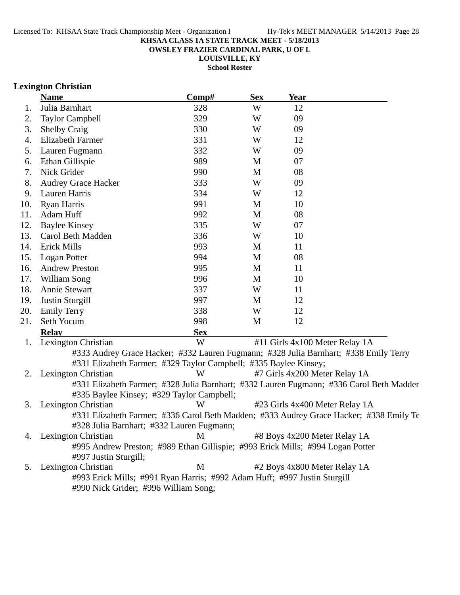**OWSLEY FRAZIER CARDINAL PARK, U OF L**

**LOUISVILLE, KY School Roster**

### **Lexington Christian**

|     | <b>Name</b>                                                                          | Comp#      | <b>Sex</b> | <b>Year</b>                   |                                                                                         |
|-----|--------------------------------------------------------------------------------------|------------|------------|-------------------------------|-----------------------------------------------------------------------------------------|
| 1.  | Julia Barnhart                                                                       | 328        | W          | 12                            |                                                                                         |
| 2.  | <b>Taylor Campbell</b>                                                               | 329        | W          | 09                            |                                                                                         |
| 3.  | <b>Shelby Craig</b>                                                                  | 330        | W          | 09                            |                                                                                         |
| 4.  | <b>Elizabeth Farmer</b>                                                              | 331        | W          | 12                            |                                                                                         |
| 5.  | Lauren Fugmann                                                                       | 332        | W          | 09                            |                                                                                         |
| 6.  | Ethan Gillispie                                                                      | 989        | M          | 07                            |                                                                                         |
| 7.  | Nick Grider                                                                          | 990        | M          | 08                            |                                                                                         |
| 8.  | <b>Audrey Grace Hacker</b>                                                           | 333        | W          | 09                            |                                                                                         |
| 9.  | Lauren Harris                                                                        | 334        | W          | 12                            |                                                                                         |
| 10. | Ryan Harris                                                                          | 991        | M          | 10                            |                                                                                         |
| 11. | Adam Huff                                                                            | 992        | M          | 08                            |                                                                                         |
| 12. | <b>Baylee Kinsey</b>                                                                 | 335        | W          | 07                            |                                                                                         |
| 13. | Carol Beth Madden                                                                    | 336        | W          | 10                            |                                                                                         |
| 14. | <b>Erick Mills</b>                                                                   | 993        | M          | 11                            |                                                                                         |
| 15. | Logan Potter                                                                         | 994        | M          | 08                            |                                                                                         |
| 16. | <b>Andrew Preston</b>                                                                | 995        | M          | 11                            |                                                                                         |
| 17. | William Song                                                                         | 996        | M          | 10                            |                                                                                         |
| 18. | Annie Stewart                                                                        | 337        | W          | 11                            |                                                                                         |
| 19. | <b>Justin Sturgill</b>                                                               | 997        | M          | 12                            |                                                                                         |
| 20. | <b>Emily Terry</b>                                                                   | 338        | W          | 12                            |                                                                                         |
| 21. | Seth Yocum                                                                           | 998        | M          | 12                            |                                                                                         |
|     | <b>Relay</b>                                                                         | <b>Sex</b> |            |                               |                                                                                         |
| 1.  | Lexington Christian                                                                  | W          |            |                               | #11 Girls 4x100 Meter Relay 1A                                                          |
|     | #333 Audrey Grace Hacker; #332 Lauren Fugmann; #328 Julia Barnhart; #338 Emily Terry |            |            |                               |                                                                                         |
|     | #331 Elizabeth Farmer; #329 Taylor Campbell; #335 Baylee Kinsey;                     |            |            |                               |                                                                                         |
| 2.  | Lexington Christian                                                                  | W          |            | #7 Girls 4x200 Meter Relay 1A |                                                                                         |
|     |                                                                                      |            |            |                               | #331 Elizabeth Farmer; #328 Julia Barnhart; #332 Lauren Fugmann; #336 Carol Beth Madden |
|     | #335 Baylee Kinsey; #329 Taylor Campbell;                                            |            |            |                               |                                                                                         |
| 3.  | Lexington Christian                                                                  | W          |            |                               | #23 Girls 4x400 Meter Relay 1A                                                          |
|     |                                                                                      |            |            |                               | #331 Elizabeth Farmer; #336 Carol Beth Madden; #333 Audrey Grace Hacker; #338 Emily Te  |
|     | #328 Julia Barnhart; #332 Lauren Fugmann;                                            |            |            |                               |                                                                                         |
| 4.  | Lexington Christian                                                                  | M          |            | #8 Boys 4x200 Meter Relay 1A  |                                                                                         |
|     | #995 Andrew Preston; #989 Ethan Gillispie; #993 Erick Mills; #994 Logan Potter       |            |            |                               |                                                                                         |
|     | #997 Justin Sturgill;                                                                |            |            |                               |                                                                                         |
| 5.  | Lexington Christian                                                                  | M          |            | #2 Boys 4x800 Meter Relay 1A  |                                                                                         |
|     | #993 Erick Mills; #991 Ryan Harris; #992 Adam Huff; #997 Justin Sturgill             |            |            |                               |                                                                                         |
|     | #990 Nick Grider; #996 William Song;                                                 |            |            |                               |                                                                                         |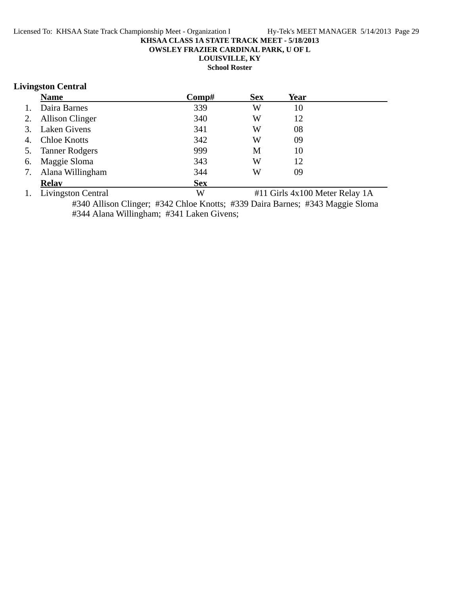**OWSLEY FRAZIER CARDINAL PARK, U OF L**

**LOUISVILLE, KY**

**School Roster**

### **Livingston Central**

|    | <b>Name</b>            | Comp#      | <b>Sex</b> | Year |  |
|----|------------------------|------------|------------|------|--|
| 1. | Daira Barnes           | 339        | W          | 10   |  |
| 2. | <b>Allison Clinger</b> | 340        | W          | 12   |  |
| 3. | Laken Givens           | 341        | W          | 08   |  |
| 4. | <b>Chloe Knotts</b>    | 342        | W          | 09   |  |
| 5. | <b>Tanner Rodgers</b>  | 999        | M          | 10   |  |
| 6. | Maggie Sloma           | 343        | W          | 12   |  |
| 7. | Alana Willingham       | 344        | W          | 09   |  |
|    | <b>Relav</b>           | <b>Sex</b> |            |      |  |

1. Livingston Central W #11 Girls 4x100 Meter Relay 1A

#340 Allison Clinger; #342 Chloe Knotts; #339 Daira Barnes; #343 Maggie Sloma #344 Alana Willingham; #341 Laken Givens;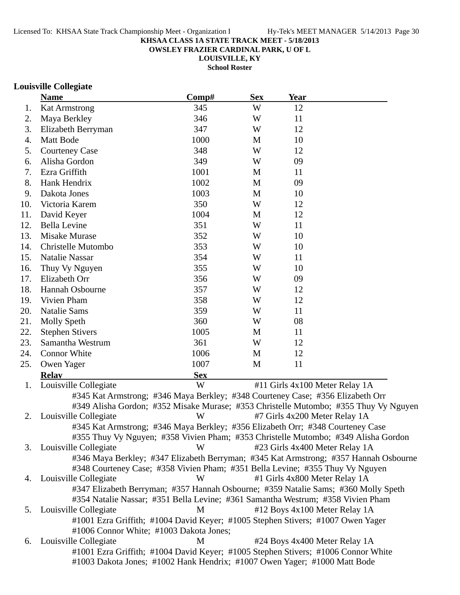**OWSLEY FRAZIER CARDINAL PARK, U OF L**

**LOUISVILLE, KY**

**School Roster**

### **Louisville Collegiate**

|     | <b>Name</b>                                                                          | Comp#      | <b>Sex</b> | Year                               |  |
|-----|--------------------------------------------------------------------------------------|------------|------------|------------------------------------|--|
| 1.  | <b>Kat Armstrong</b>                                                                 | 345        | W          | 12                                 |  |
| 2.  | Maya Berkley                                                                         | 346        | W          | 11                                 |  |
| 3.  | Elizabeth Berryman                                                                   | 347        | W          | 12                                 |  |
| 4.  | Matt Bode                                                                            | 1000       | M          | 10                                 |  |
| 5.  | <b>Courteney Case</b>                                                                | 348        | W          | 12                                 |  |
| 6.  | Alisha Gordon                                                                        | 349        | W          | 09                                 |  |
| 7.  | Ezra Griffith                                                                        | 1001       | M          | 11                                 |  |
| 8.  | Hank Hendrix                                                                         | 1002       | M          | 09                                 |  |
| 9.  | Dakota Jones                                                                         | 1003       | M          | 10                                 |  |
| 10. | Victoria Karem                                                                       | 350        | W          | 12                                 |  |
| 11. | David Keyer                                                                          | 1004       | M          | 12                                 |  |
| 12. | <b>Bella Levine</b>                                                                  | 351        | W          | 11                                 |  |
| 13. | Misake Murase                                                                        | 352        | W          | 10                                 |  |
| 14. | Christelle Mutombo                                                                   | 353        | W          | 10                                 |  |
| 15. | <b>Natalie Nassar</b>                                                                | 354        | W          | 11                                 |  |
| 16. | Thuy Vy Nguyen                                                                       | 355        | W          | 10                                 |  |
| 17. | Elizabeth Orr                                                                        | 356        | W          | 09                                 |  |
| 18. | Hannah Osbourne                                                                      | 357        | W          | 12                                 |  |
| 19. | Vivien Pham                                                                          | 358        | W          | 12                                 |  |
| 20. | <b>Natalie Sams</b>                                                                  | 359        | W          | 11                                 |  |
| 21. | <b>Molly Speth</b>                                                                   | 360        | W          | 08                                 |  |
| 22. | <b>Stephen Stivers</b>                                                               | 1005       | M          | 11                                 |  |
| 23. | Samantha Westrum                                                                     | 361        | W          | 12                                 |  |
| 24. | Connor White                                                                         | 1006       | M          | 12                                 |  |
| 25. | Owen Yager                                                                           | 1007       | M          | 11                                 |  |
|     | <b>Relav</b>                                                                         | <b>Sex</b> |            |                                    |  |
| 1.  | Louisville Collegiate                                                                | W          |            | #11 Girls 4x100 Meter Relay 1A     |  |
|     | #345 Kat Armstrong; #346 Maya Berkley; #348 Courteney Case; #356 Elizabeth Orr       |            |            |                                    |  |
|     | #349 Alisha Gordon; #352 Misake Murase; #353 Christelle Mutombo; #355 Thuy Vy Nguyen |            |            |                                    |  |
| 2.  | Louisville Collegiate                                                                | W          |            | #7 Girls 4x200 Meter Relay 1A      |  |
|     | #345 Kat Armstrong; #346 Maya Berkley; #356 Elizabeth Orr; #348 Courteney Case       |            |            |                                    |  |
|     | #355 Thuy Vy Nguyen; #358 Vivien Pham; #353 Christelle Mutombo; #349 Alisha Gordon   |            |            |                                    |  |
|     | 3. Louisville Collegiate                                                             | W          |            | #23 Girls 4x400 Meter Relay 1A     |  |
|     | #346 Maya Berkley; #347 Elizabeth Berryman; #345 Kat Armstrong; #357 Hannah Osbourne |            |            |                                    |  |
|     | #348 Courteney Case; #358 Vivien Pham; #351 Bella Levine; #355 Thuy Vy Nguyen        |            |            |                                    |  |
| 4.  | Louisville Collegiate                                                                | W          |            | #1 Girls 4x800 Meter Relay 1A      |  |
|     | #347 Elizabeth Berryman; #357 Hannah Osbourne; #359 Natalie Sams; #360 Molly Speth   |            |            |                                    |  |
|     | #354 Natalie Nassar; #351 Bella Levine; #361 Samantha Westrum; #358 Vivien Pham      |            |            |                                    |  |
| 5.  | Louisville Collegiate                                                                | M          |            | #12 Boys 4x100 Meter Relay 1A      |  |
|     | #1001 Ezra Griffith; #1004 David Keyer; #1005 Stephen Stivers; #1007 Owen Yager      |            |            |                                    |  |
|     | #1006 Connor White; #1003 Dakota Jones;<br>$\omega$ icville Celleciate               | $\bf M$    |            | $#24$ Dove $4x400$ Motor Dolov 1.A |  |
|     |                                                                                      |            |            |                                    |  |

6. Louisville Collegiate **1988** M +24 Boys 4x400 Meter Relay 1A #1001 Ezra Griffith; #1004 David Keyer; #1005 Stephen Stivers; #1006 Connor White #1003 Dakota Jones; #1002 Hank Hendrix; #1007 Owen Yager; #1000 Matt Bode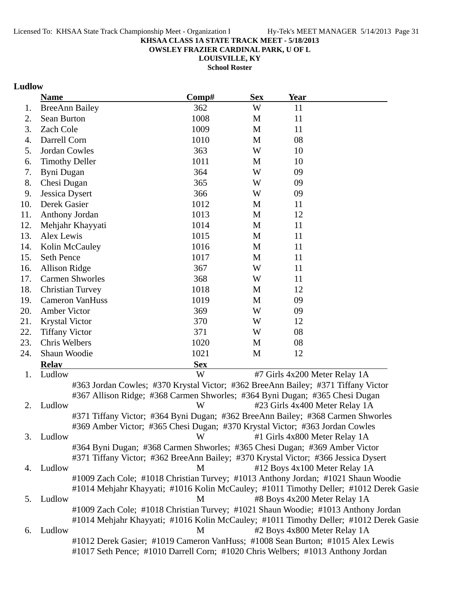**OWSLEY FRAZIER CARDINAL PARK, U OF L**

**LOUISVILLE, KY School Roster**

# **Ludlow**

|     | <b>Name</b>                                                                        | Comp#      | <b>Sex</b> | <b>Year</b> |                                                                                       |
|-----|------------------------------------------------------------------------------------|------------|------------|-------------|---------------------------------------------------------------------------------------|
| 1.  | <b>BreeAnn Bailey</b>                                                              | 362        | W          | 11          |                                                                                       |
| 2.  | Sean Burton                                                                        | 1008       | M          | 11          |                                                                                       |
| 3.  | Zach Cole                                                                          | 1009       | M          | 11          |                                                                                       |
| 4.  | Darrell Corn                                                                       | 1010       | M          | 08          |                                                                                       |
| 5.  | Jordan Cowles                                                                      | 363        | W          | 10          |                                                                                       |
| 6.  | <b>Timothy Deller</b>                                                              | 1011       | M          | 10          |                                                                                       |
| 7.  | Byni Dugan                                                                         | 364        | W          | 09          |                                                                                       |
| 8.  | Chesi Dugan                                                                        | 365        | W          | 09          |                                                                                       |
| 9.  | Jessica Dysert                                                                     | 366        | W          | 09          |                                                                                       |
| 10. | Derek Gasier                                                                       | 1012       | M          | 11          |                                                                                       |
| 11. | Anthony Jordan                                                                     | 1013       | M          | 12          |                                                                                       |
| 12. | Mehjahr Khayyati                                                                   | 1014       | M          | 11          |                                                                                       |
| 13. | Alex Lewis                                                                         | 1015       | M          | 11          |                                                                                       |
| 14. | Kolin McCauley                                                                     | 1016       | M          | 11          |                                                                                       |
| 15. | <b>Seth Pence</b>                                                                  | 1017       | M          | 11          |                                                                                       |
| 16. | Allison Ridge                                                                      | 367        | W          | 11          |                                                                                       |
| 17. | <b>Carmen Shworles</b>                                                             | 368        | W          | 11          |                                                                                       |
| 18. | <b>Christian Turvey</b>                                                            | 1018       | M          | 12          |                                                                                       |
| 19. | <b>Cameron VanHuss</b>                                                             | 1019       | M          | 09          |                                                                                       |
| 20. | Amber Victor                                                                       | 369        | W          | 09          |                                                                                       |
| 21. | <b>Krystal Victor</b>                                                              | 370        | W          | 12          |                                                                                       |
| 22. | <b>Tiffany Victor</b>                                                              | 371        | W          | 08          |                                                                                       |
| 23. | Chris Welbers                                                                      | 1020       | M          | 08          |                                                                                       |
| 24. | Shaun Woodie                                                                       | 1021       | M          | 12          |                                                                                       |
|     | <b>Relay</b>                                                                       | <b>Sex</b> |            |             |                                                                                       |
| 1.  | Ludlow                                                                             | W          |            |             | #7 Girls 4x200 Meter Relay 1A                                                         |
|     | #363 Jordan Cowles; #370 Krystal Victor; #362 BreeAnn Bailey; #371 Tiffany Victor  |            |            |             |                                                                                       |
|     | #367 Allison Ridge; #368 Carmen Shworles; #364 Byni Dugan; #365 Chesi Dugan        |            |            |             |                                                                                       |
| 2.  | Ludlow                                                                             | W          |            |             | #23 Girls 4x400 Meter Relay 1A                                                        |
|     | #371 Tiffany Victor; #364 Byni Dugan; #362 BreeAnn Bailey; #368 Carmen Shworles    |            |            |             |                                                                                       |
|     | #369 Amber Victor; #365 Chesi Dugan; #370 Krystal Victor; #363 Jordan Cowles       |            |            |             |                                                                                       |
| 3.  | Ludlow                                                                             | W          |            |             | #1 Girls 4x800 Meter Relay 1A                                                         |
|     | #364 Byni Dugan; #368 Carmen Shworles; #365 Chesi Dugan; #369 Amber Victor         |            |            |             |                                                                                       |
|     | #371 Tiffany Victor; #362 BreeAnn Bailey; #370 Krystal Victor; #366 Jessica Dysert |            |            |             |                                                                                       |
| 4.  | Ludlow                                                                             | M          |            |             | #12 Boys 4x100 Meter Relay 1A                                                         |
|     | #1009 Zach Cole; #1018 Christian Turvey; #1013 Anthony Jordan; #1021 Shaun Woodie  |            |            |             |                                                                                       |
|     |                                                                                    |            |            |             | #1014 Mehjahr Khayyati; #1016 Kolin McCauley; #1011 Timothy Deller; #1012 Derek Gasie |
| 5.  | Ludlow                                                                             | M          |            |             | #8 Boys 4x200 Meter Relay 1A                                                          |
|     | #1009 Zach Cole; #1018 Christian Turvey; #1021 Shaun Woodie; #1013 Anthony Jordan  |            |            |             |                                                                                       |
|     |                                                                                    |            |            |             | #1014 Mehjahr Khayyati; #1016 Kolin McCauley; #1011 Timothy Deller; #1012 Derek Gasie |
| 6.  | Ludlow                                                                             | M          |            |             | #2 Boys 4x800 Meter Relay 1A                                                          |
|     | #1012 Derek Gasier; #1019 Cameron VanHuss; #1008 Sean Burton; #1015 Alex Lewis     |            |            |             |                                                                                       |
|     | #1017 Seth Pence; #1010 Darrell Corn; #1020 Chris Welbers; #1013 Anthony Jordan    |            |            |             |                                                                                       |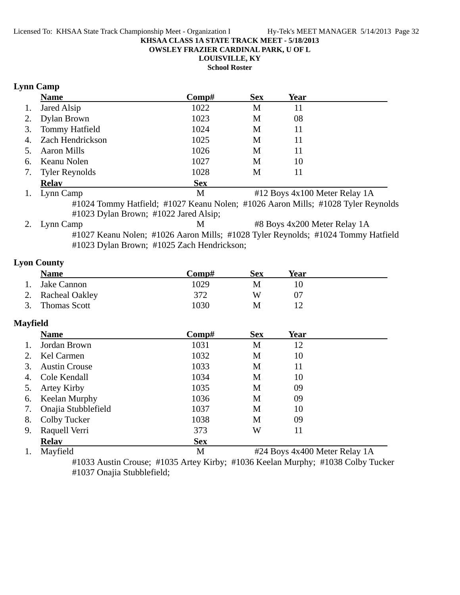**OWSLEY FRAZIER CARDINAL PARK, U OF L**

# **LOUISVILLE, KY**

**School Roster**

# **Lynn Camp**

|    | <b>Name</b>                                                                      | $\bf Comp\#$ | <b>Sex</b> | Year |                               |
|----|----------------------------------------------------------------------------------|--------------|------------|------|-------------------------------|
| 1. | Jared Alsip                                                                      | 1022         | M          | 11   |                               |
| 2. | Dylan Brown                                                                      | 1023         | М          | 08   |                               |
| 3. | <b>Tommy Hatfield</b>                                                            | 1024         | M          | 11   |                               |
|    | 4. Zach Hendrickson                                                              | 1025         | M          |      |                               |
| 5. | <b>Aaron Mills</b>                                                               | 1026         | M          | 11   |                               |
| 6. | Keanu Nolen                                                                      | 1027         | M          | 10   |                               |
|    | 7. Tyler Reynolds                                                                | 1028         | M          | 11   |                               |
|    | <b>Relav</b>                                                                     | <b>Sex</b>   |            |      |                               |
| 1. | Lynn Camp                                                                        | M            |            |      | #12 Boys 4x100 Meter Relay 1A |
|    | #1024 Tommy Hatfield; #1027 Keanu Nolen; #1026 Aaron Mills; #1028 Tyler Reynolds |              |            |      |                               |

#1023 Dylan Brown; #1022 Jared Alsip;

2. Lynn Camp M #8 Boys 4x200 Meter Relay 1A #1027 Keanu Nolen; #1026 Aaron Mills; #1028 Tyler Reynolds; #1024 Tommy Hatfield #1023 Dylan Brown; #1025 Zach Hendrickson;

# **Lyon County**

| <b>Name</b>       | Comp# | <b>Sex</b> | Year |
|-------------------|-------|------------|------|
| Jake Cannon       | 1029  | M          |      |
| 2. Racheal Oakley | 372   | W          |      |
| 3. Thomas Scott   | 1030  | M          |      |

# **Mayfield**

|    | <b>Name</b>          | Comp#      | <b>Sex</b>                    | Year |  |
|----|----------------------|------------|-------------------------------|------|--|
|    | Jordan Brown         | 1031       | M                             | 12   |  |
|    | Kel Carmen           | 1032       | M                             | 10   |  |
| 3. | <b>Austin Crouse</b> | 1033       | M                             | 11   |  |
| 4. | Cole Kendall         | 1034       | M                             | 10   |  |
| 5. | Artey Kirby          | 1035       | M                             | 09   |  |
| 6. | <b>Keelan Murphy</b> | 1036       | M                             | 09   |  |
| 7. | Onajia Stubblefield  | 1037       | M                             | 10   |  |
| 8. | Colby Tucker         | 1038       | M                             | 09   |  |
| 9. | Raquell Verri        | 373        | W                             | 11   |  |
|    | <b>Relay</b>         | <b>Sex</b> |                               |      |  |
|    | Mayfield             | M          | #24 Boys 4x400 Meter Relay 1A |      |  |

#1033 Austin Crouse; #1035 Artey Kirby; #1036 Keelan Murphy; #1038 Colby Tucker #1037 Onajia Stubblefield;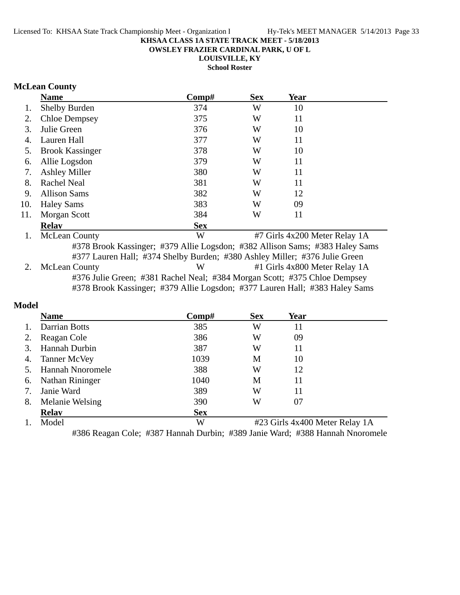**OWSLEY FRAZIER CARDINAL PARK, U OF L**

**LOUISVILLE, KY**

**School Roster**

# **McLean County**

|     | <b>Name</b>                                                                                                                                                | Comp#      | <b>Sex</b> | Year |                               |  |  |
|-----|------------------------------------------------------------------------------------------------------------------------------------------------------------|------------|------------|------|-------------------------------|--|--|
| 1.  | <b>Shelby Burden</b>                                                                                                                                       | 374        | W          | 10   |                               |  |  |
| 2.  | <b>Chloe Dempsey</b>                                                                                                                                       | 375        | W          | 11   |                               |  |  |
| 3.  | Julie Green                                                                                                                                                | 376        | W          | 10   |                               |  |  |
| 4.  | Lauren Hall                                                                                                                                                | 377        | W          | 11   |                               |  |  |
| 5.  | <b>Brook Kassinger</b>                                                                                                                                     | 378        | W          | 10   |                               |  |  |
| 6.  | Allie Logsdon                                                                                                                                              | 379        | W          | 11   |                               |  |  |
| 7.  | <b>Ashley Miller</b>                                                                                                                                       | 380        | W          | 11   |                               |  |  |
| 8.  | Rachel Neal                                                                                                                                                | 381        | W          | 11   |                               |  |  |
| 9.  | <b>Allison Sams</b>                                                                                                                                        | 382        | W          | 12   |                               |  |  |
| 10. | <b>Haley Sams</b>                                                                                                                                          | 383        | W          | 09   |                               |  |  |
| 11. | Morgan Scott                                                                                                                                               | 384        | W          | 11   |                               |  |  |
|     | <b>Relav</b>                                                                                                                                               | <b>Sex</b> |            |      |                               |  |  |
| 1.  | <b>McLean County</b>                                                                                                                                       | W          |            |      | #7 Girls 4x200 Meter Relay 1A |  |  |
|     | #378 Brook Kassinger; #379 Allie Logsdon; #382 Allison Sams; #383 Haley Sams<br>#377 Lauren Hall; #374 Shelby Burden; #380 Ashley Miller; #376 Julie Green |            |            |      |                               |  |  |
| 2.  | <b>McLean County</b>                                                                                                                                       | W          |            |      | #1 Girls 4x800 Meter Relay 1A |  |  |
|     | #376 Julie Green; #381 Rachel Neal; #384 Morgan Scott; #375 Chloe Dempsey                                                                                  |            |            |      |                               |  |  |
|     | #378 Brook Kassinger; #379 Allie Logsdon; #377 Lauren Hall; #383 Haley Sams                                                                                |            |            |      |                               |  |  |
|     |                                                                                                                                                            |            |            |      |                               |  |  |

# **Model**

|    | <b>Name</b>             | Comp#      | <b>Sex</b>                     | Year |  |  |
|----|-------------------------|------------|--------------------------------|------|--|--|
|    | <b>Darrian Botts</b>    | 385        | W                              | 11   |  |  |
|    | Reagan Cole             | 386        | W                              | 09   |  |  |
|    | Hannah Durbin           | 387        | W                              | 11   |  |  |
| 4. | <b>Tanner McVey</b>     | 1039       | M                              | 10   |  |  |
|    | <b>Hannah Nnoromele</b> | 388        | W                              | 12   |  |  |
| 6. | Nathan Rininger         | 1040       | Μ                              | 11   |  |  |
| 7. | Janie Ward              | 389        | W                              | 11   |  |  |
| 8. | Melanie Welsing         | 390        | W                              | 07   |  |  |
|    | <b>Relav</b>            | <b>Sex</b> |                                |      |  |  |
|    | Model                   | W          | #23 Girls 4x400 Meter Relay 1A |      |  |  |

#386 Reagan Cole; #387 Hannah Durbin; #389 Janie Ward; #388 Hannah Nnoromele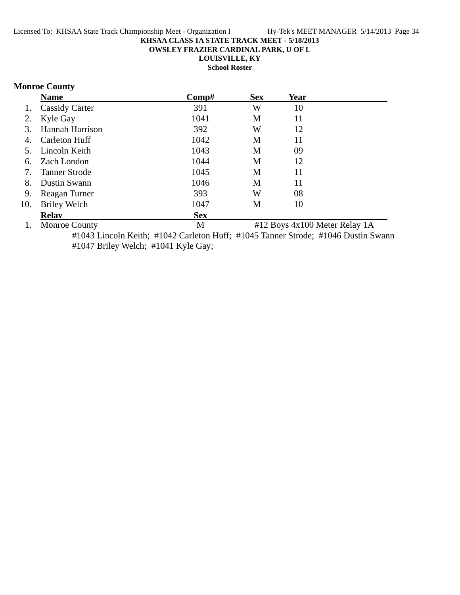**OWSLEY FRAZIER CARDINAL PARK, U OF L**

**LOUISVILLE, KY**

**School Roster**

# **Monroe County**

|     | <b>Name</b>            | Comp#      | <b>Sex</b> | <b>Year</b>               |  |
|-----|------------------------|------------|------------|---------------------------|--|
| 1.  | <b>Cassidy Carter</b>  | 391        | W          | 10                        |  |
| 2.  | Kyle Gay               | 1041       | M          | 11                        |  |
| 3.  | <b>Hannah Harrison</b> | 392        | W          | 12                        |  |
| 4.  | Carleton Huff          | 1042       | M          | 11                        |  |
| 5.  | Lincoln Keith          | 1043       | M          | 09                        |  |
| 6.  | Zach London            | 1044       | M          | 12                        |  |
| 7.  | <b>Tanner Strode</b>   | 1045       | M          | 11                        |  |
| 8.  | Dustin Swann           | 1046       | M          | 11                        |  |
| 9.  | Reagan Turner          | 393        | W          | 08                        |  |
| 10. | Briley Welch           | 1047       | M          | 10                        |  |
|     | <b>Relav</b>           | <b>Sex</b> |            |                           |  |
|     | $1 \cdot M$            | <b>N</b>   |            | $\text{H12 P}$ $\text{P}$ |  |

1. Monroe County **M** #12 Boys 4x100 Meter Relay 1A #1043 Lincoln Keith; #1042 Carleton Huff; #1045 Tanner Strode; #1046 Dustin Swann #1047 Briley Welch; #1041 Kyle Gay;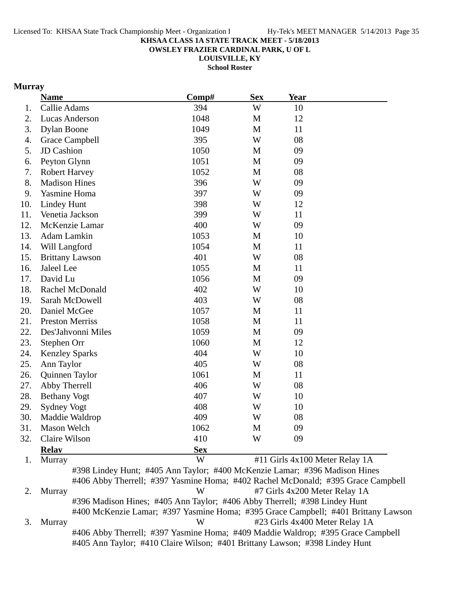**OWSLEY FRAZIER CARDINAL PARK, U OF L**

**LOUISVILLE, KY**

**School Roster**

### **Murray**

|     | <b>Name</b>            | Comp#                                                                                                                                                                                                                                            | <b>Sex</b> | <b>Year</b> |                                                                                                                                                                                                                                                                                                                                                                                                                                                                                                                                                                |
|-----|------------------------|--------------------------------------------------------------------------------------------------------------------------------------------------------------------------------------------------------------------------------------------------|------------|-------------|----------------------------------------------------------------------------------------------------------------------------------------------------------------------------------------------------------------------------------------------------------------------------------------------------------------------------------------------------------------------------------------------------------------------------------------------------------------------------------------------------------------------------------------------------------------|
| 1.  | Callie Adams           | 394                                                                                                                                                                                                                                              | W          | 10          |                                                                                                                                                                                                                                                                                                                                                                                                                                                                                                                                                                |
| 2.  | <b>Lucas Anderson</b>  | 1048                                                                                                                                                                                                                                             | M          | 12          |                                                                                                                                                                                                                                                                                                                                                                                                                                                                                                                                                                |
| 3.  | <b>Dylan Boone</b>     | 1049                                                                                                                                                                                                                                             | M          | 11          |                                                                                                                                                                                                                                                                                                                                                                                                                                                                                                                                                                |
| 4.  | Grace Campbell         | 395                                                                                                                                                                                                                                              | W          | 08          |                                                                                                                                                                                                                                                                                                                                                                                                                                                                                                                                                                |
| 5.  | JD Cashion             | 1050                                                                                                                                                                                                                                             | M          | 09          |                                                                                                                                                                                                                                                                                                                                                                                                                                                                                                                                                                |
| 6.  | Peyton Glynn           | 1051                                                                                                                                                                                                                                             | M          | 09          |                                                                                                                                                                                                                                                                                                                                                                                                                                                                                                                                                                |
| 7.  | <b>Robert Harvey</b>   | 1052                                                                                                                                                                                                                                             | M          | 08          |                                                                                                                                                                                                                                                                                                                                                                                                                                                                                                                                                                |
| 8.  | <b>Madison Hines</b>   | 396                                                                                                                                                                                                                                              | W          | 09          |                                                                                                                                                                                                                                                                                                                                                                                                                                                                                                                                                                |
| 9.  | Yasmine Homa           | 397                                                                                                                                                                                                                                              | W          | 09          |                                                                                                                                                                                                                                                                                                                                                                                                                                                                                                                                                                |
| 10. | <b>Lindey Hunt</b>     | 398                                                                                                                                                                                                                                              | W          | 12          |                                                                                                                                                                                                                                                                                                                                                                                                                                                                                                                                                                |
| 11. | Venetia Jackson        | 399                                                                                                                                                                                                                                              | W          | 11          |                                                                                                                                                                                                                                                                                                                                                                                                                                                                                                                                                                |
| 12. | McKenzie Lamar         | 400                                                                                                                                                                                                                                              | W          | 09          |                                                                                                                                                                                                                                                                                                                                                                                                                                                                                                                                                                |
| 13. | Adam Lamkin            | 1053                                                                                                                                                                                                                                             | M          | 10          |                                                                                                                                                                                                                                                                                                                                                                                                                                                                                                                                                                |
| 14. | Will Langford          | 1054                                                                                                                                                                                                                                             | M          | 11          |                                                                                                                                                                                                                                                                                                                                                                                                                                                                                                                                                                |
| 15. | <b>Brittany Lawson</b> | 401                                                                                                                                                                                                                                              | W          | 08          |                                                                                                                                                                                                                                                                                                                                                                                                                                                                                                                                                                |
| 16. | Jaleel Lee             | 1055                                                                                                                                                                                                                                             | M          | 11          |                                                                                                                                                                                                                                                                                                                                                                                                                                                                                                                                                                |
| 17. | David Lu               | 1056                                                                                                                                                                                                                                             | M          | 09          |                                                                                                                                                                                                                                                                                                                                                                                                                                                                                                                                                                |
| 18. | Rachel McDonald        | 402                                                                                                                                                                                                                                              | W          | 10          |                                                                                                                                                                                                                                                                                                                                                                                                                                                                                                                                                                |
| 19. | Sarah McDowell         | 403                                                                                                                                                                                                                                              | W          | 08          |                                                                                                                                                                                                                                                                                                                                                                                                                                                                                                                                                                |
| 20. | Daniel McGee           | 1057                                                                                                                                                                                                                                             | M          | 11          |                                                                                                                                                                                                                                                                                                                                                                                                                                                                                                                                                                |
| 21. | <b>Preston Merriss</b> | 1058                                                                                                                                                                                                                                             | M          | 11          |                                                                                                                                                                                                                                                                                                                                                                                                                                                                                                                                                                |
| 22. | Des'Jahvonni Miles     | 1059                                                                                                                                                                                                                                             | M          | 09          |                                                                                                                                                                                                                                                                                                                                                                                                                                                                                                                                                                |
| 23. | Stephen Orr            | 1060                                                                                                                                                                                                                                             | M          | 12          |                                                                                                                                                                                                                                                                                                                                                                                                                                                                                                                                                                |
| 24. | <b>Kenzley Sparks</b>  | 404                                                                                                                                                                                                                                              | W          | 10          |                                                                                                                                                                                                                                                                                                                                                                                                                                                                                                                                                                |
| 25. | Ann Taylor             | 405                                                                                                                                                                                                                                              | W          | 08          |                                                                                                                                                                                                                                                                                                                                                                                                                                                                                                                                                                |
| 26. | Quinnen Taylor         | 1061                                                                                                                                                                                                                                             | M          | 11          |                                                                                                                                                                                                                                                                                                                                                                                                                                                                                                                                                                |
| 27. | Abby Therrell          | 406                                                                                                                                                                                                                                              | W          | 08          |                                                                                                                                                                                                                                                                                                                                                                                                                                                                                                                                                                |
| 28. | <b>Bethany Vogt</b>    | 407                                                                                                                                                                                                                                              | W          | 10          |                                                                                                                                                                                                                                                                                                                                                                                                                                                                                                                                                                |
| 29. | Sydney Vogt            | 408                                                                                                                                                                                                                                              | W          | 10          |                                                                                                                                                                                                                                                                                                                                                                                                                                                                                                                                                                |
| 30. | Maddie Waldrop         | 409                                                                                                                                                                                                                                              | W          | 08          |                                                                                                                                                                                                                                                                                                                                                                                                                                                                                                                                                                |
| 31. | Mason Welch            | 1062                                                                                                                                                                                                                                             | M          | 09          |                                                                                                                                                                                                                                                                                                                                                                                                                                                                                                                                                                |
| 32. | Claire Wilson          | 410                                                                                                                                                                                                                                              | W          | 09          |                                                                                                                                                                                                                                                                                                                                                                                                                                                                                                                                                                |
|     | <b>Relay</b>           | <b>Sex</b>                                                                                                                                                                                                                                       |            |             |                                                                                                                                                                                                                                                                                                                                                                                                                                                                                                                                                                |
| 1.  | Murray                 | W                                                                                                                                                                                                                                                |            |             | #11 Girls 4x100 Meter Relay 1A                                                                                                                                                                                                                                                                                                                                                                                                                                                                                                                                 |
| 2.  | Murray                 | #398 Lindey Hunt; #405 Ann Taylor; #400 McKenzie Lamar; #396 Madison Hines<br>#406 Abby Therrell; #397 Yasmine Homa; #402 Rachel McDonald; #395 Grace Campbell<br>W<br>#396 Madison Hines; #405 Ann Taylor; #406 Abby Therrell; #398 Lindey Hunt |            |             | #7 Girls 4x200 Meter Relay 1A                                                                                                                                                                                                                                                                                                                                                                                                                                                                                                                                  |
|     |                        | #400 McKenzie Lamar; #397 Yasmine Homa; #395 Grace Campbell; #401 Brittany Lawson                                                                                                                                                                |            |             | $\mu$ <sub>2</sub> $\Omega$ <sub>12</sub> $\mu$ <sub>2</sub> $\mu$ <sub>2</sub> $\Omega$ <sub>2</sub> $\Lambda$ <sub>2</sub> $\mu$ <sub>2</sub> $\mu$ <sub>2</sub> $\mu$ <sub>2</sub> $\mu$ <sub>2</sub> $\mu$ <sub>2</sub> $\mu$ <sub>2</sub> $\mu$ <sub>2</sub> $\mu$ <sub>2</sub> $\mu$ <sub>2</sub> $\mu$ <sub>2</sub> $\mu$ <sub>2</sub> $\mu$ <sub>2</sub> $\mu$ <sub>2</sub> $\mu$ <sub>2</sub> $\mu$ <sub>2</sub> $\mu$ <sub>2</sub> $\mu$ <sub>2</sub> $\mu$ <sub>2</sub> $\mu$ <sub>2</sub> $\mu$ <sub>2</sub> $\mu$ <sub>2</sub> $\mu$ <sub>2</sub> |

3. Murray W #23 Girls 4x400 Meter Relay 1A #406 Abby Therrell; #397 Yasmine Homa; #409 Maddie Waldrop; #395 Grace Campbell #405 Ann Taylor; #410 Claire Wilson; #401 Brittany Lawson; #398 Lindey Hunt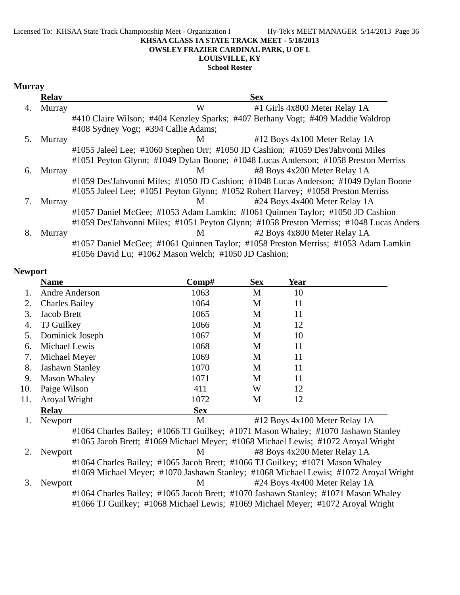#### Licensed To: KHSAA State Track Championship Meet - Organization I Hy-Tek's MEET MANAGER 5/14/2013 Page 36 **KHSAA CLASS 1A STATE TRACK MEET - 5/18/2013 OWSLEY FRAZIER CARDINAL PARK, U OF L**

# **LOUISVILLE, KY**

**School Roster**

### **Murray**

|    | <b>Relay</b> | <b>Sex</b>                                                                              |
|----|--------------|-----------------------------------------------------------------------------------------|
| 4. | Murray       | W<br>#1 Girls 4x800 Meter Relay 1A                                                      |
|    |              | #410 Claire Wilson; #404 Kenzley Sparks; #407 Bethany Vogt; #409 Maddie Waldrop         |
|    |              | #408 Sydney Vogt; #394 Callie Adams;                                                    |
| 5. | Murray       | #12 Boys 4x100 Meter Relay 1A<br>M                                                      |
|    |              | #1055 Jaleel Lee; #1060 Stephen Orr; #1050 JD Cashion; #1059 Des'Jahvonni Miles         |
|    |              | #1051 Peyton Glynn; #1049 Dylan Boone; #1048 Lucas Anderson; #1058 Preston Merriss      |
| 6. | Murray       | #8 Boys 4x200 Meter Relay 1A<br>M <sub>1</sub>                                          |
|    |              | #1059 Des'Jahvonni Miles; #1050 JD Cashion; #1048 Lucas Anderson; #1049 Dylan Boone     |
|    |              | #1055 Jaleel Lee; #1051 Peyton Glynn; #1052 Robert Harvey; #1058 Preston Merriss        |
|    | Murray       | #24 Boys 4x400 Meter Relay 1A<br>M                                                      |
|    |              | #1057 Daniel McGee; #1053 Adam Lamkin; #1061 Quinnen Taylor; #1050 JD Cashion           |
|    |              | #1059 Des'Jahvonni Miles; #1051 Peyton Glynn; #1058 Preston Merriss; #1048 Lucas Anders |
| 8. | Murray       | #2 Boys 4x800 Meter Relay 1A<br>M                                                       |
|    |              | #1057 Daniel McGee; #1061 Quinnen Taylor; #1058 Preston Merriss; #1053 Adam Lamkin      |
|    |              | #1056 David Lu; #1062 Mason Welch; #1050 JD Cashion;                                    |

### **Newport**

|     | <b>Name</b>                                                                       | $\bf Comp\#$ | <b>Sex</b> | Year                          |                                                                                      |
|-----|-----------------------------------------------------------------------------------|--------------|------------|-------------------------------|--------------------------------------------------------------------------------------|
|     | Andre Anderson                                                                    | 1063         | M          | 10                            |                                                                                      |
| 2.  | <b>Charles Bailey</b>                                                             | 1064         | M          | 11                            |                                                                                      |
| 3.  | Jacob Brett                                                                       | 1065         | M          | 11                            |                                                                                      |
| 4.  | <b>TJ</b> Guilkey                                                                 | 1066         | M          | 12                            |                                                                                      |
| 5.  | Dominick Joseph                                                                   | 1067         | M          | 10                            |                                                                                      |
| 6.  | Michael Lewis                                                                     | 1068         | M          | 11                            |                                                                                      |
| 7.  | Michael Meyer                                                                     | 1069         | M          | 11                            |                                                                                      |
| 8.  | <b>Jashawn Stanley</b>                                                            | 1070         | M          | 11                            |                                                                                      |
| 9.  | <b>Mason Whaley</b>                                                               | 1071         | M          | 11                            |                                                                                      |
| 10. | Paige Wilson                                                                      | 411          | W          | 12                            |                                                                                      |
| 11. | Aroyal Wright                                                                     | 1072         | M          | 12                            |                                                                                      |
|     | <b>Relay</b>                                                                      | <b>Sex</b>   |            |                               |                                                                                      |
|     | Newport                                                                           | M            |            | #12 Boys 4x100 Meter Relay 1A |                                                                                      |
|     | #1064 Charles Bailey; #1066 TJ Guilkey; #1071 Mason Whaley; #1070 Jashawn Stanley |              |            |                               |                                                                                      |
|     | #1065 Jacob Brett; #1069 Michael Meyer; #1068 Michael Lewis; #1072 Aroyal Wright  |              |            |                               |                                                                                      |
|     | Newport                                                                           | M            |            | #8 Boys 4x200 Meter Relay 1A  |                                                                                      |
|     | #1064 Charles Bailey; #1065 Jacob Brett; #1066 TJ Guilkey; #1071 Mason Whaley     |              |            |                               |                                                                                      |
|     |                                                                                   |              |            |                               | #1069 Michael Meyer; #1070 Jashawn Stanley; #1068 Michael Lewis; #1072 Aroyal Wright |

3. Newport M #24 Boys 4x400 Meter Relay 1A #1064 Charles Bailey; #1065 Jacob Brett; #1070 Jashawn Stanley; #1071 Mason Whaley #1066 TJ Guilkey; #1068 Michael Lewis; #1069 Michael Meyer; #1072 Aroyal Wright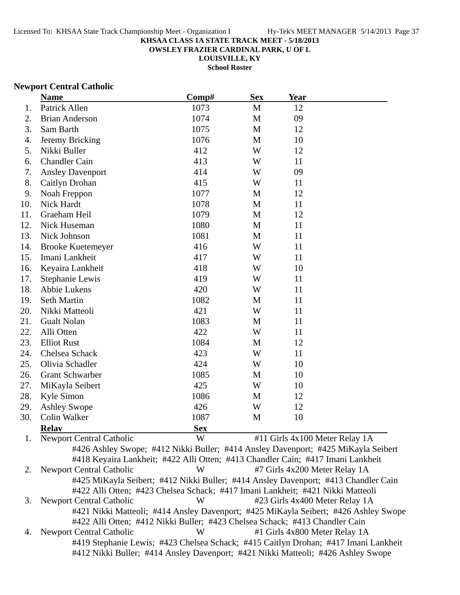**OWSLEY FRAZIER CARDINAL PARK, U OF L**

**LOUISVILLE, KY**

**School Roster**

### **Newport Central Catholic**

|     | <b>Name</b>                                                                       | Comp#      | <b>Sex</b>   | Year                           |  |
|-----|-----------------------------------------------------------------------------------|------------|--------------|--------------------------------|--|
| 1.  | Patrick Allen                                                                     | 1073       | $\mathbf{M}$ | 12                             |  |
| 2.  | <b>Brian Anderson</b>                                                             | 1074       | M            | 09                             |  |
| 3.  | Sam Barth                                                                         | 1075       | M            | 12                             |  |
| 4.  | Jeremy Bricking                                                                   | 1076       | M            | 10                             |  |
| 5.  | Nikki Buller                                                                      | 412        | W            | 12                             |  |
| 6.  | <b>Chandler Cain</b>                                                              | 413        | W            | 11                             |  |
| 7.  | <b>Ansley Davenport</b>                                                           | 414        | W            | 09                             |  |
| 8.  | Caitlyn Drohan                                                                    | 415        | W            | 11                             |  |
| 9.  | Noah Freppon                                                                      | 1077       | M            | 12                             |  |
| 10. | Nick Hardt                                                                        | 1078       | M            | 11                             |  |
| 11. | Graeham Heil                                                                      | 1079       | M            | 12                             |  |
| 12. | Nick Huseman                                                                      | 1080       | M            | 11                             |  |
| 13. | Nick Johnson                                                                      | 1081       | M            | 11                             |  |
| 14. | <b>Brooke Kuetemeyer</b>                                                          | 416        | W            | 11                             |  |
| 15. | Imani Lankheit                                                                    | 417        | W            | 11                             |  |
| 16. | Keyaira Lankheit                                                                  | 418        | W            | 10                             |  |
| 17. | Stephanie Lewis                                                                   | 419        | W            | 11                             |  |
| 18. | Abbie Lukens                                                                      | 420        | W            | 11                             |  |
| 19. | Seth Martin                                                                       | 1082       | M            | 11                             |  |
| 20. | Nikki Matteoli                                                                    | 421        | W            | 11                             |  |
| 21. | <b>Gualt Nolan</b>                                                                | 1083       | M            | 11                             |  |
| 22. | Alli Otten                                                                        | 422        | W            | 11                             |  |
| 23. | <b>Elliot Rust</b>                                                                | 1084       | $\mathbf{M}$ | 12                             |  |
| 24. | Chelsea Schack                                                                    | 423        | W            | 11                             |  |
| 25. | Olivia Schadler                                                                   | 424        | W            | 10                             |  |
| 26. | <b>Grant Schwarber</b>                                                            | 1085       | M            | 10                             |  |
| 27. | MiKayla Seibert                                                                   | 425        | W            | 10                             |  |
| 28. | Kyle Simon                                                                        | 1086       | M            | 12                             |  |
| 29. | <b>Ashley Swope</b>                                                               | 426        | W            | 12                             |  |
| 30. | Colin Walker                                                                      | 1087       | M            | 10                             |  |
|     | <b>Relav</b>                                                                      | <b>Sex</b> |              |                                |  |
| 1.  | <b>Newport Central Catholic</b>                                                   | W          |              | #11 Girls 4x100 Meter Relay 1A |  |
|     | #426 Ashley Swope; #412 Nikki Buller; #414 Ansley Davenport; #425 MiKayla Seibert |            |              |                                |  |
|     | #418 Keyaira Lankheit; #422 Alli Otten; #413 Chandler Cain; #417 Imani Lankheit   |            |              |                                |  |

2. Newport Central Catholic W #7 Girls 4x200 Meter Relay 1A #425 MiKayla Seibert; #412 Nikki Buller; #414 Ansley Davenport; #413 Chandler Cain #422 Alli Otten; #423 Chelsea Schack; #417 Imani Lankheit; #421 Nikki Matteoli 3. Newport Central Catholic W #23 Girls 4x400 Meter Relay 1A #421 Nikki Matteoli; #414 Ansley Davenport; #425 MiKayla Seibert; #426 Ashley Swope #422 Alli Otten; #412 Nikki Buller; #423 Chelsea Schack; #413 Chandler Cain 4. Newport Central Catholic W #1 Girls 4x800 Meter Relay 1A

#419 Stephanie Lewis; #423 Chelsea Schack; #415 Caitlyn Drohan; #417 Imani Lankheit #412 Nikki Buller; #414 Ansley Davenport; #421 Nikki Matteoli; #426 Ashley Swope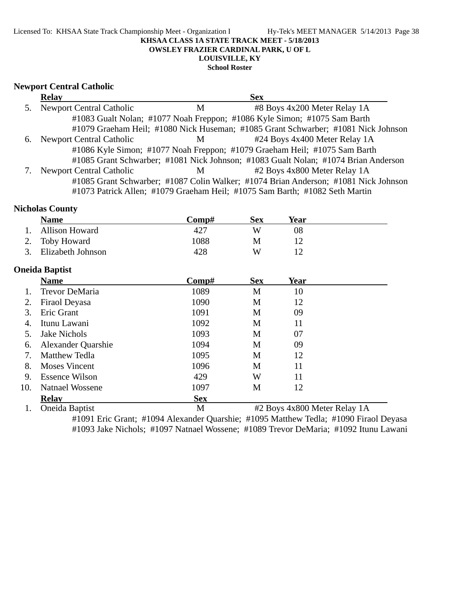**School Roster**

#### **Newport Central Catholic**

|    | <b>Relay</b>                    |   | <b>Sex</b>                                                                          |
|----|---------------------------------|---|-------------------------------------------------------------------------------------|
| 5. | <b>Newport Central Catholic</b> | M | #8 Boys 4x200 Meter Relay 1A                                                        |
|    |                                 |   | #1083 Gualt Nolan; #1077 Noah Freppon; #1086 Kyle Simon; #1075 Sam Barth            |
|    |                                 |   | #1079 Graeham Heil; #1080 Nick Huseman; #1085 Grant Schwarber; #1081 Nick Johnson   |
| 6. | Newport Central Catholic        | M | #24 Boys 4x400 Meter Relay 1A                                                       |
|    |                                 |   | #1086 Kyle Simon; #1077 Noah Freppon; #1079 Graeham Heil; #1075 Sam Barth           |
|    |                                 |   | #1085 Grant Schwarber; #1081 Nick Johnson; #1083 Gualt Nolan; #1074 Brian Anderson  |
|    | <b>Newport Central Catholic</b> | M | #2 Boys 4x800 Meter Relay 1A                                                        |
|    |                                 |   | #1085 Grant Schwarber; #1087 Colin Walker; #1074 Brian Anderson; #1081 Nick Johnson |
|    |                                 |   | #1073 Patrick Allen; #1079 Graeham Heil; #1075 Sam Barth; #1082 Seth Martin         |

#### **Nicholas County**

|     | <b>Name</b>            | Comp#      | <b>Sex</b> | Year                         |  |
|-----|------------------------|------------|------------|------------------------------|--|
| 1.  | <b>Allison Howard</b>  | 427        | W          | 08                           |  |
| 2.  | <b>Toby Howard</b>     | 1088       | M          | 12                           |  |
| 3.  | Elizabeth Johnson      | 428        | W          | 12                           |  |
|     | <b>Oneida Baptist</b>  |            |            |                              |  |
|     | <b>Name</b>            | Comp#      | <b>Sex</b> | Year                         |  |
| 1.  | <b>Trevor DeMaria</b>  | 1089       | M          | 10                           |  |
| 2.  | Firaol Deyasa          | 1090       | M          | 12                           |  |
| 3.  | Eric Grant             | 1091       | M          | 09                           |  |
| 4.  | Itunu Lawani           | 1092       | M          | 11                           |  |
| 5.  | <b>Jake Nichols</b>    | 1093       | M          | 07                           |  |
| 6.  | Alexander Quarshie     | 1094       | M          | 09                           |  |
| 7.  | Matthew Tedla          | 1095       | M          | 12                           |  |
| 8.  | <b>Moses Vincent</b>   | 1096       | M          | 11                           |  |
| 9.  | <b>Essence Wilson</b>  | 429        | W          | 11                           |  |
| 10. | <b>Natnael Wossene</b> | 1097       | M          | 12                           |  |
|     | <b>Relay</b>           | <b>Sex</b> |            |                              |  |
| 1.  | Oneida Baptist         | M          |            | #2 Boys 4x800 Meter Relay 1A |  |

#1091 Eric Grant; #1094 Alexander Quarshie; #1095 Matthew Tedla; #1090 Firaol Deyasa #1093 Jake Nichols; #1097 Natnael Wossene; #1089 Trevor DeMaria; #1092 Itunu Lawani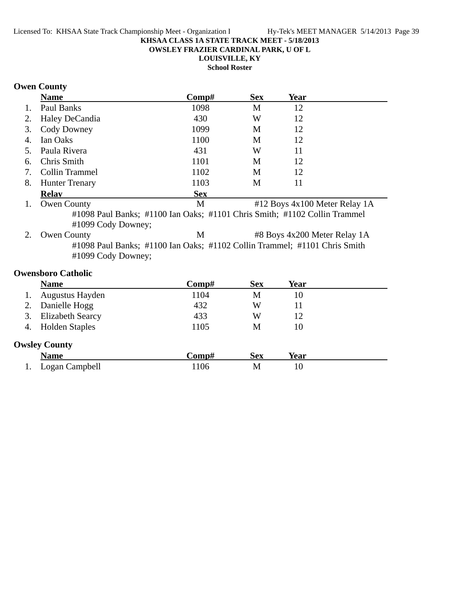**OWSLEY FRAZIER CARDINAL PARK, U OF L**

**LOUISVILLE, KY**

**School Roster**

# **Owen County**

|    | <b>Name</b>                                                                                        | Comp#      | <b>Sex</b> | <b>Year</b>                     |  |  |
|----|----------------------------------------------------------------------------------------------------|------------|------------|---------------------------------|--|--|
| 1. | Paul Banks                                                                                         | 1098       | M          | 12                              |  |  |
| 2. | Haley DeCandia                                                                                     | 430        | W          | 12                              |  |  |
| 3. | Cody Downey                                                                                        | 1099       | M          | 12                              |  |  |
| 4. | Ian Oaks                                                                                           | 1100       | М          | 12                              |  |  |
| 5. | Paula Rivera                                                                                       | 431        | W          | 11                              |  |  |
| 6. | Chris Smith                                                                                        | 1101       | M          | 12                              |  |  |
| 7. | Collin Trammel                                                                                     | 1102       | M          | 12                              |  |  |
| 8. | <b>Hunter Trenary</b>                                                                              | 1103       | M          | 11                              |  |  |
|    | <b>Relav</b>                                                                                       | <b>Sex</b> |            |                                 |  |  |
| 1. | <b>Owen County</b>                                                                                 | M          |            | $#12$ Boys 4x100 Meter Relay 1A |  |  |
|    | #1098 Paul Banks; #1100 Ian Oaks; #1101 Chris Smith; #1102 Collin Trammel                          |            |            |                                 |  |  |
|    | #1099 Cody Downey;                                                                                 |            |            |                                 |  |  |
|    | <b>Owen County</b>                                                                                 | M          |            | #8 Boys 4x200 Meter Relay 1A    |  |  |
|    | $111000$ D 1 $11100$ D $1$ $11100$ D $11100$ D $11'$ T $111101$ $\alpha$ $\alpha$ $\beta$ $\alpha$ |            |            |                                 |  |  |

#1098 Paul Banks; #1100 Ian Oaks; #1102 Collin Trammel; #1101 Chris Smith #1099 Cody Downey;

### **Owensboro Catholic**

|    | <b>Name</b>             | Comp# | <b>Sex</b> | Year |  |
|----|-------------------------|-------|------------|------|--|
|    | Augustus Hayden         | 1104  | М          | 10   |  |
|    | Danielle Hogg           | 432   | W          | 11   |  |
| 3. | <b>Elizabeth Searcy</b> | 433   | W          | 12   |  |
| 4. | <b>Holden Staples</b>   | 1105  | М          | 10   |  |
|    | <b>Owsley County</b>    |       |            |      |  |
|    | <b>Name</b>             | Comp# | <b>Sex</b> | Year |  |
|    | Logan Campbell          | 1106  | М          | 10   |  |
|    |                         |       |            |      |  |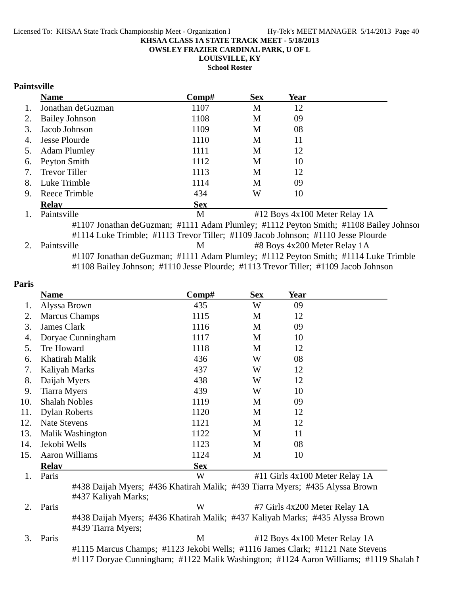**OWSLEY FRAZIER CARDINAL PARK, U OF L**

**LOUISVILLE, KY**

**School Roster**

### **Paintsville**

|    | <b>Name</b>           | Comp#      | <b>Sex</b> | Year                          |  |
|----|-----------------------|------------|------------|-------------------------------|--|
| 1. | Jonathan deGuzman     | 1107       | M          | 12                            |  |
| 2. | <b>Bailey Johnson</b> | 1108       | M          | 09                            |  |
| 3. | Jacob Johnson         | 1109       | M          | 08                            |  |
| 4. | <b>Jesse Plourde</b>  | 1110       | M          | 11                            |  |
| 5. | <b>Adam Plumley</b>   | 1111       | M          | 12                            |  |
| 6. | Peyton Smith          | 1112       | M          | 10                            |  |
| 7. | <b>Trevor Tiller</b>  | 1113       | M          | 12                            |  |
| 8. | Luke Trimble          | 1114       | M          | 09                            |  |
| 9. | Reece Trimble         | 434        | W          | 10                            |  |
|    | <b>Relav</b>          | <b>Sex</b> |            |                               |  |
| 1. | Paintsville           | M          |            | #12 Boys 4x100 Meter Relay 1A |  |

#1107 Jonathan deGuzman; #1111 Adam Plumley; #1112 Peyton Smith; #1108 Bailey Johnson #1114 Luke Trimble; #1113 Trevor Tiller; #1109 Jacob Johnson; #1110 Jesse Plourde 2. Paintsville M #8 Boys 4x200 Meter Relay 1A #1107 Jonathan deGuzman; #1111 Adam Plumley; #1112 Peyton Smith; #1114 Luke Trimble #1108 Bailey Johnson; #1110 Jesse Plourde; #1113 Trevor Tiller; #1109 Jacob Johnson

#### **Paris**

|     | <b>Name</b>           | Comp#                                                                                                                                                                   | <b>Sex</b> | <b>Year</b>                    |  |
|-----|-----------------------|-------------------------------------------------------------------------------------------------------------------------------------------------------------------------|------------|--------------------------------|--|
| 1.  | Alyssa Brown          | 435                                                                                                                                                                     | W          | 09                             |  |
| 2.  | <b>Marcus Champs</b>  | 1115                                                                                                                                                                    | M          | 12                             |  |
| 3.  | James Clark           | 1116                                                                                                                                                                    | M          | 09                             |  |
| 4.  | Doryae Cunningham     | 1117                                                                                                                                                                    | M          | 10                             |  |
| 5.  | Tre Howard            | 1118                                                                                                                                                                    | M          | 12                             |  |
| 6.  | Khatirah Malik        | 436                                                                                                                                                                     | W          | 08                             |  |
| 7.  | Kaliyah Marks         | 437                                                                                                                                                                     | W          | 12                             |  |
| 8.  | Daijah Myers          | 438                                                                                                                                                                     | W          | 12                             |  |
| 9.  | <b>Tiarra Myers</b>   | 439                                                                                                                                                                     | W          | 10                             |  |
| 10. | <b>Shalah Nobles</b>  | 1119                                                                                                                                                                    | M          | 09                             |  |
| 11. | <b>Dylan Roberts</b>  | 1120                                                                                                                                                                    | M          | 12                             |  |
| 12. | <b>Nate Stevens</b>   | 1121                                                                                                                                                                    | M          | 12                             |  |
| 13. | Malik Washington      | 1122                                                                                                                                                                    | M          | 11                             |  |
| 14. | Jekobi Wells          | 1123                                                                                                                                                                    | M          | 08                             |  |
| 15. | <b>Aaron Williams</b> | 1124                                                                                                                                                                    | M          | 10                             |  |
|     | <b>Relay</b>          | <b>Sex</b>                                                                                                                                                              |            |                                |  |
| 1.  | Paris                 | W                                                                                                                                                                       |            | #11 Girls 4x100 Meter Relay 1A |  |
|     | #437 Kaliyah Marks;   | #438 Daijah Myers; #436 Khatirah Malik; #439 Tiarra Myers; #435 Alyssa Brown                                                                                            |            |                                |  |
| 2.  | Paris                 | W                                                                                                                                                                       |            | #7 Girls 4x200 Meter Relay 1A  |  |
|     | #439 Tiarra Myers;    | #438 Daijah Myers; #436 Khatirah Malik; #437 Kaliyah Marks; #435 Alyssa Brown                                                                                           |            |                                |  |
| 3.  | Paris                 | M                                                                                                                                                                       |            | #12 Boys 4x100 Meter Relay 1A  |  |
|     |                       | #1115 Marcus Champs; #1123 Jekobi Wells; #1116 James Clark; #1121 Nate Stevens<br>#1117 Doryae Cunningham; #1122 Malik Washington; #1124 Aaron Williams; #1119 Shalah N |            |                                |  |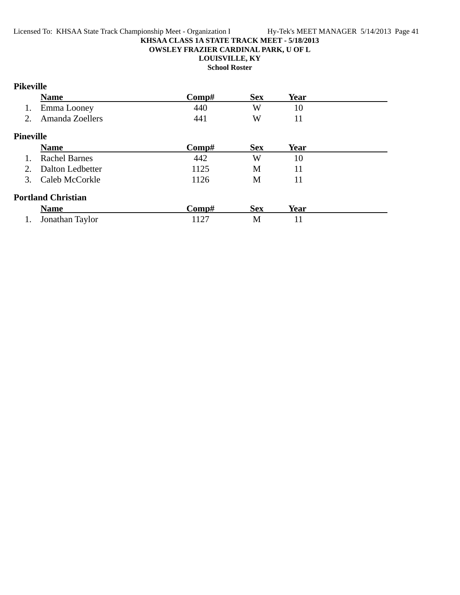#### **KHSAA CLASS 1A STATE TRACK MEET - 5/18/2013 OWSLEY FRAZIER CARDINAL PARK, U OF L**

## **LOUISVILLE, KY**

**School Roster**

# **Pikeville**

|                  | <b>Name</b>               | Comp# | <b>Sex</b> | Year        |  |
|------------------|---------------------------|-------|------------|-------------|--|
| 1.               | Emma Looney               | 440   | W          | 10          |  |
| 2.               | Amanda Zoellers           | 441   | W          | 11          |  |
| <b>Pineville</b> |                           |       |            |             |  |
|                  | <b>Name</b>               | Comp# | <b>Sex</b> | <b>Year</b> |  |
|                  | <b>Rachel Barnes</b>      | 442   | W          | 10          |  |
| 2.               | Dalton Ledbetter          | 1125  | M          | 11          |  |
| 3.               | Caleb McCorkle            | 1126  | M          | 11          |  |
|                  | <b>Portland Christian</b> |       |            |             |  |
|                  | <b>Name</b>               | Comp# | <b>Sex</b> | Year        |  |
|                  | Jonathan Taylor           | 1127  | M          |             |  |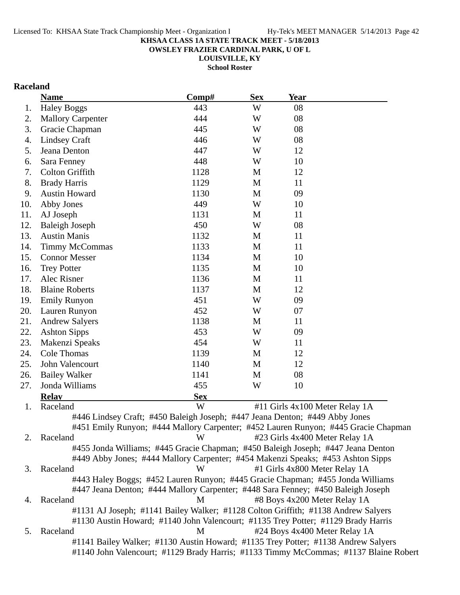**OWSLEY FRAZIER CARDINAL PARK, U OF L**

**LOUISVILLE, KY School Roster**

# **Raceland**

|     | <b>Name</b>                                                                                                                                                               | Comp#      | <b>Sex</b>  | <b>Year</b>                    |  |
|-----|---------------------------------------------------------------------------------------------------------------------------------------------------------------------------|------------|-------------|--------------------------------|--|
| 1.  | <b>Haley Boggs</b>                                                                                                                                                        | 443        | W           | 08                             |  |
| 2.  | <b>Mallory Carpenter</b>                                                                                                                                                  | 444        | W           | 08                             |  |
| 3.  | Gracie Chapman                                                                                                                                                            | 445        | W           | 08                             |  |
| 4.  | <b>Lindsey Craft</b>                                                                                                                                                      | 446        | W           | 08                             |  |
| 5.  | Jeana Denton                                                                                                                                                              | 447        | W           | 12                             |  |
| 6.  | Sara Fenney                                                                                                                                                               | 448        | W           | 10                             |  |
| 7.  | Colton Griffith                                                                                                                                                           | 1128       | M           | 12                             |  |
| 8.  | <b>Brady Harris</b>                                                                                                                                                       | 1129       | M           | 11                             |  |
| 9.  | <b>Austin Howard</b>                                                                                                                                                      | 1130       | M           | 09                             |  |
| 10. | Abby Jones                                                                                                                                                                | 449        | W           | 10                             |  |
| 11. | AJ Joseph                                                                                                                                                                 | 1131       | M           | 11                             |  |
| 12. | <b>Baleigh Joseph</b>                                                                                                                                                     | 450        | W           | 08                             |  |
| 13. | <b>Austin Manis</b>                                                                                                                                                       | 1132       | M           | 11                             |  |
| 14. | <b>Timmy McCommas</b>                                                                                                                                                     | 1133       | M           | 11                             |  |
| 15. | <b>Connor Messer</b>                                                                                                                                                      | 1134       | $\mathbf M$ | 10                             |  |
| 16. | <b>Trey Potter</b>                                                                                                                                                        | 1135       | M           | 10                             |  |
| 17. | Alec Risner                                                                                                                                                               | 1136       | M           | 11                             |  |
| 18. | <b>Blaine Roberts</b>                                                                                                                                                     | 1137       | M           | 12                             |  |
| 19. | <b>Emily Runyon</b>                                                                                                                                                       | 451        | W           | 09                             |  |
| 20. | Lauren Runyon                                                                                                                                                             | 452        | W           | 07                             |  |
| 21. | <b>Andrew Salyers</b>                                                                                                                                                     | 1138       | M           | 11                             |  |
| 22. | <b>Ashton Sipps</b>                                                                                                                                                       | 453        | W           | 09                             |  |
| 23. | Makenzi Speaks                                                                                                                                                            | 454        | W           | 11                             |  |
| 24. | Cole Thomas                                                                                                                                                               | 1139       | M           | 12                             |  |
| 25. | John Valencourt                                                                                                                                                           | 1140       | M           | 12                             |  |
| 26. | <b>Bailey Walker</b>                                                                                                                                                      | 1141       | M           | 08                             |  |
| 27. | Jonda Williams                                                                                                                                                            | 455        | W           | 10                             |  |
|     | <b>Relay</b>                                                                                                                                                              | <b>Sex</b> |             |                                |  |
| 1.  | Raceland                                                                                                                                                                  | W          |             | #11 Girls 4x100 Meter Relay 1A |  |
|     | #446 Lindsey Craft; #450 Baleigh Joseph; #447 Jeana Denton; #449 Abby Jones                                                                                               |            |             |                                |  |
|     | #451 Emily Runyon; #444 Mallory Carpenter; #452 Lauren Runyon; #445 Gracie Chapman                                                                                        |            |             |                                |  |
| 2.  | Raceland                                                                                                                                                                  | W          |             | #23 Girls 4x400 Meter Relay 1A |  |
|     | #455 Jonda Williams; #445 Gracie Chapman; #450 Baleigh Joseph; #447 Jeana Denton                                                                                          |            |             |                                |  |
|     | #449 Abby Jones; #444 Mallory Carpenter; #454 Makenzi Speaks; #453 Ashton Sipps                                                                                           |            |             |                                |  |
| 3.  | Raceland                                                                                                                                                                  | W          |             | #1 Girls 4x800 Meter Relay 1A  |  |
|     | #443 Haley Boggs; #452 Lauren Runyon; #445 Gracie Chapman; #455 Jonda Williams                                                                                            |            |             |                                |  |
|     | #447 Jeana Denton; #444 Mallory Carpenter; #448 Sara Fenney; #450 Baleigh Joseph                                                                                          |            |             |                                |  |
| 4.  | Raceland                                                                                                                                                                  | M          |             | #8 Boys 4x200 Meter Relay 1A   |  |
|     | #1131 AJ Joseph; #1141 Bailey Walker; #1128 Colton Griffith; #1138 Andrew Salyers                                                                                         |            |             |                                |  |
|     | #1130 Austin Howard; #1140 John Valencourt; #1135 Trey Potter; #1129 Brady Harris                                                                                         |            |             |                                |  |
| 5.  | Raceland                                                                                                                                                                  | M          |             | #24 Boys 4x400 Meter Relay 1A  |  |
|     | #1141 Bailey Walker; #1130 Austin Howard; #1135 Trey Potter; #1138 Andrew Salyers<br>#1140 John Valencourt; #1129 Brady Harris; #1133 Timmy McCommas; #1137 Blaine Robert |            |             |                                |  |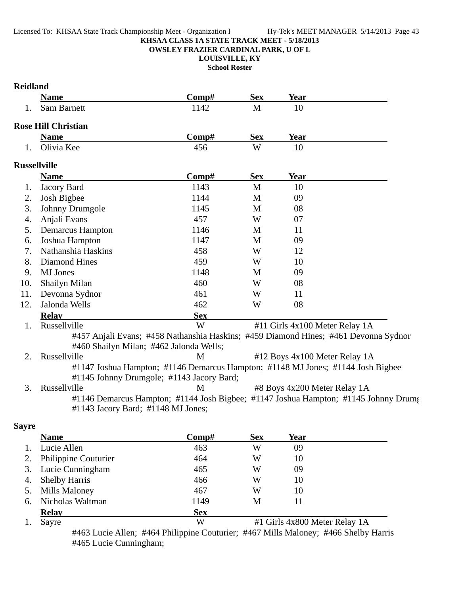**OWSLEY FRAZIER CARDINAL PARK, U OF L**

**LOUISVILLE, KY School Roster**

|              | <b>Name</b>                                                                                                                    | Comp#      | <b>Sex</b>  | Year                           |  |
|--------------|--------------------------------------------------------------------------------------------------------------------------------|------------|-------------|--------------------------------|--|
| 1.           | <b>Sam Barnett</b>                                                                                                             | 1142       | $\mathbf M$ | 10                             |  |
|              | <b>Rose Hill Christian</b>                                                                                                     |            |             |                                |  |
|              | <b>Name</b>                                                                                                                    | Comp#      | <b>Sex</b>  | <b>Year</b>                    |  |
| 1.           | Olivia Kee                                                                                                                     | 456        | W           | 10                             |  |
|              | <b>Russellville</b>                                                                                                            |            |             |                                |  |
|              | <b>Name</b>                                                                                                                    | Comp#      | <b>Sex</b>  | Year                           |  |
| 1.           | Jacory Bard                                                                                                                    | 1143       | $\mathbf M$ | 10                             |  |
| 2.           | Josh Bigbee                                                                                                                    | 1144       | M           | 09                             |  |
| 3.           | Johnny Drumgole                                                                                                                | 1145       | M           | 08                             |  |
| 4.           | Anjali Evans                                                                                                                   | 457        | W           | 07                             |  |
| 5.           | Demarcus Hampton                                                                                                               | 1146       | M           | 11                             |  |
| 6.           | Joshua Hampton                                                                                                                 | 1147       | M           | 09                             |  |
| 7.           | Nathanshia Haskins                                                                                                             | 458        | W           | 12                             |  |
| 8.           | <b>Diamond Hines</b>                                                                                                           | 459        | W           | 10                             |  |
| 9.           | <b>MJ</b> Jones                                                                                                                | 1148       | M           | 09                             |  |
| 10.          | Shailyn Milan                                                                                                                  | 460        | W           | 08                             |  |
| 11.          | Devonna Sydnor                                                                                                                 | 461        | W           | 11                             |  |
| 12.          | Jalonda Wells                                                                                                                  | 462        | W           | 08                             |  |
|              | <b>Relav</b>                                                                                                                   | <b>Sex</b> |             |                                |  |
| 1.           | Russellville                                                                                                                   | W          |             | #11 Girls 4x100 Meter Relay 1A |  |
|              | #457 Anjali Evans; #458 Nathanshia Haskins; #459 Diamond Hines; #461 Devonna Sydnor<br>#460 Shailyn Milan; #462 Jalonda Wells; |            |             |                                |  |
| 2.           | Russellville                                                                                                                   | M          |             | #12 Boys 4x100 Meter Relay 1A  |  |
|              | #1147 Joshua Hampton; #1146 Demarcus Hampton; #1148 MJ Jones; #1144 Josh Bigbee                                                |            |             |                                |  |
|              | #1145 Johnny Drumgole; #1143 Jacory Bard;                                                                                      |            |             |                                |  |
| 3.           | Russellville                                                                                                                   | M          |             | #8 Boys 4x200 Meter Relay 1A   |  |
|              | #1146 Demarcus Hampton; #1144 Josh Bigbee; #1147 Joshua Hampton; #1145 Johnny Drums                                            |            |             |                                |  |
|              | #1143 Jacory Bard; #1148 MJ Jones;                                                                                             |            |             |                                |  |
| <b>Sayre</b> |                                                                                                                                |            |             |                                |  |
|              | <b>Name</b>                                                                                                                    | Comp#      | <b>Sex</b>  | <b>Year</b>                    |  |
| 1.           | Lucie Allen                                                                                                                    | 463        | W           | 09                             |  |
| 2.           | Philippine Couturier                                                                                                           | 464        | W           | 10                             |  |
| 3.           | Lucie Cunningham                                                                                                               | 465        | W           | 09                             |  |

| 5. Mills Maloney<br>467<br>W<br>6. Nicholas Waltman<br>1149<br>М |              | <b>Sex</b> |                               |  |
|------------------------------------------------------------------|--------------|------------|-------------------------------|--|
|                                                                  | <b>Relay</b> |            | #1 Girls 4x800 Meter Relay 1A |  |
|                                                                  |              |            |                               |  |
|                                                                  |              |            |                               |  |
|                                                                  |              |            |                               |  |

4. Shelby Harris 466 W 10

#463 Lucie Allen; #464 Philippine Couturier; #467 Mills Maloney; #466 Shelby Harris #465 Lucie Cunningham;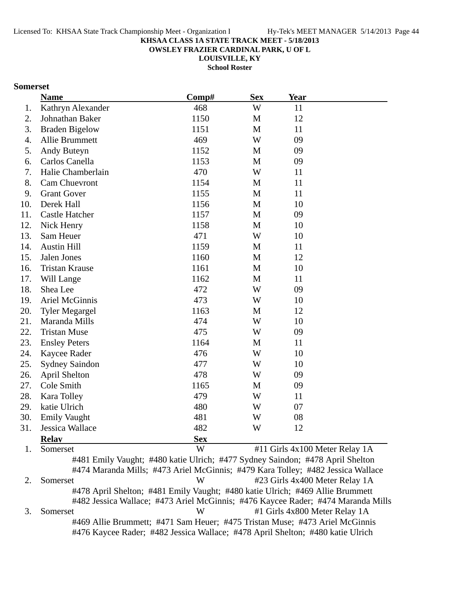**OWSLEY FRAZIER CARDINAL PARK, U OF L**

**LOUISVILLE, KY**

**School Roster**

### **Somerset**

|     | <b>Name</b>           | Comp#      |              | Year                           |  |
|-----|-----------------------|------------|--------------|--------------------------------|--|
| 1.  | Kathryn Alexander     | 468        | W            | 11                             |  |
| 2.  | Johnathan Baker       | 1150       | M            | 12                             |  |
| 3.  | <b>Braden Bigelow</b> | 1151       | M            | 11                             |  |
| 4.  | Allie Brummett        | 469        | W            | 09                             |  |
| 5.  | Andy Buteyn           | 1152       | M            | 09                             |  |
| 6.  | Carlos Canella        | 1153       | M            | 09                             |  |
| 7.  | Halie Chamberlain     | 470        | W            | 11                             |  |
| 8.  | Cam Chuevront         | 1154       | M            | 11                             |  |
| 9.  | <b>Grant Gover</b>    | 1155       | M            | 11                             |  |
| 10. | Derek Hall            | 1156       | M            | 10                             |  |
| 11. | <b>Castle Hatcher</b> | 1157       | M            | 09                             |  |
| 12. | Nick Henry            | 1158       | M            | 10                             |  |
| 13. | Sam Heuer             | 471        | W            | 10                             |  |
| 14. | <b>Austin Hill</b>    | 1159       | M            | 11                             |  |
| 15. | Jalen Jones           | 1160       | M            | 12                             |  |
| 16. | <b>Tristan Krause</b> | 1161       | $\mathbf{M}$ | 10                             |  |
| 17. | Will Lange            | 1162       | M            | 11                             |  |
| 18. | Shea Lee              | 472        | W            | 09                             |  |
| 19. | <b>Ariel McGinnis</b> | 473        | W            | 10                             |  |
| 20. | <b>Tyler Megargel</b> | 1163       | M            | 12                             |  |
| 21. | Maranda Mills         | 474        | W            | 10                             |  |
| 22. | <b>Tristan Muse</b>   | 475        | W            | 09                             |  |
| 23. | <b>Ensley Peters</b>  | 1164       | M            | 11                             |  |
| 24. | Kaycee Rader          | 476        | W            | 10                             |  |
| 25. | <b>Sydney Saindon</b> | 477        | W            | 10                             |  |
| 26. | <b>April Shelton</b>  | 478        | W            | 09                             |  |
| 27. | Cole Smith            | 1165       | M            | 09                             |  |
| 28. | Kara Tolley           | 479        | W            | 11                             |  |
| 29. | katie Ulrich          | 480        | W            | 07                             |  |
| 30. | <b>Emily Vaught</b>   | 481        | W            | 08                             |  |
| 31. | Jessica Wallace       | 482        | W            | 12                             |  |
|     | <b>Relay</b>          | <b>Sex</b> |              |                                |  |
| 1.  | Somerset              | W          |              | #11 Girls 4x100 Meter Relay 1A |  |

#481 Emily Vaught; #480 katie Ulrich; #477 Sydney Saindon; #478 April Shelton #474 Maranda Mills; #473 Ariel McGinnis; #479 Kara Tolley; #482 Jessica Wallace 2. Somerset W #23 Girls 4x400 Meter Relay 1A #478 April Shelton; #481 Emily Vaught; #480 katie Ulrich; #469 Allie Brummett #482 Jessica Wallace; #473 Ariel McGinnis; #476 Kaycee Rader; #474 Maranda Mills 3. Somerset W #1 Girls 4x800 Meter Relay 1A #469 Allie Brummett; #471 Sam Heuer; #475 Tristan Muse; #473 Ariel McGinnis #476 Kaycee Rader; #482 Jessica Wallace; #478 April Shelton; #480 katie Ulrich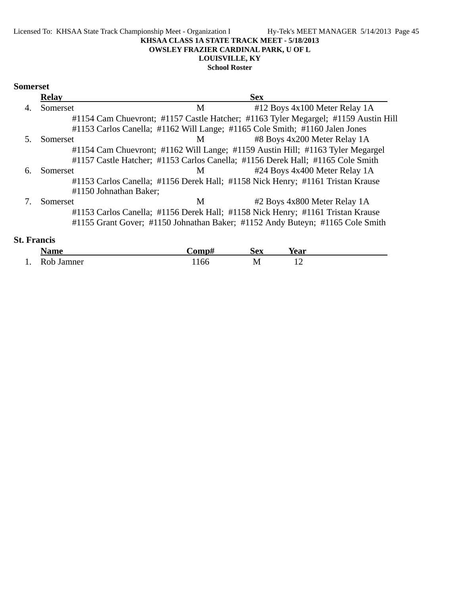#### Licensed To: KHSAA State Track Championship Meet - Organization I Hy-Tek's MEET MANAGER 5/14/2013 Page 45 **KHSAA CLASS 1A STATE TRACK MEET - 5/18/2013 OWSLEY FRAZIER CARDINAL PARK, U OF L LOUISVILLE, KY School Roster**

### **Somerset**

| <b>Relay</b> |                        |   | <b>Sex</b>                                                                         |  |
|--------------|------------------------|---|------------------------------------------------------------------------------------|--|
| Somerset     |                        | M | #12 Boys 4x100 Meter Relay 1A                                                      |  |
|              |                        |   | #1154 Cam Chuevront; #1157 Castle Hatcher; #1163 Tyler Megargel; #1159 Austin Hill |  |
|              |                        |   | #1153 Carlos Canella; #1162 Will Lange; #1165 Cole Smith; #1160 Jalen Jones        |  |
| Somerset     |                        | M | #8 Boys 4x200 Meter Relay 1A                                                       |  |
|              |                        |   | #1154 Cam Chuevront; #1162 Will Lange; #1159 Austin Hill; #1163 Tyler Megargel     |  |
|              |                        |   | #1157 Castle Hatcher; #1153 Carlos Canella; #1156 Derek Hall; #1165 Cole Smith     |  |
| Somerset     |                        | M | #24 Boys 4x400 Meter Relay 1A                                                      |  |
|              |                        |   | #1153 Carlos Canella; #1156 Derek Hall; #1158 Nick Henry; #1161 Tristan Krause     |  |
|              | #1150 Johnathan Baker; |   |                                                                                    |  |
| Somerset     |                        | M | #2 Boys 4x800 Meter Relay 1A                                                       |  |
|              |                        |   | #1153 Carlos Canella; #1156 Derek Hall; #1158 Nick Henry; #1161 Tristan Krause     |  |
|              |                        |   | #1155 Grant Gover; #1150 Johnathan Baker; #1152 Andy Buteyn; #1165 Cole Smith      |  |
|              |                        |   |                                                                                    |  |

# **St. Francis**

|     | <b>Name</b>   | `omp# | Sex        | Year     |  |
|-----|---------------|-------|------------|----------|--|
| . . | Rob<br>Jamner | .166  | M<br>- - - | <b>I</b> |  |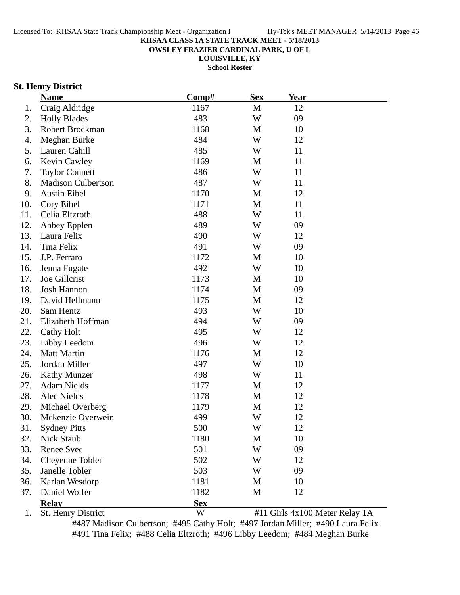**OWSLEY FRAZIER CARDINAL PARK, U OF L**

**LOUISVILLE, KY**

**School Roster**

### **St. Henry District**

|     | <b>Name</b>               | Comp#      | <b>Sex</b> | <b>Year</b> |                                |
|-----|---------------------------|------------|------------|-------------|--------------------------------|
| 1.  | Craig Aldridge            | 1167       | M          | 12          |                                |
| 2.  | <b>Holly Blades</b>       | 483        | W          | 09          |                                |
| 3.  | Robert Brockman           | 1168       | M          | 10          |                                |
| 4.  | Meghan Burke              | 484        | W          | 12          |                                |
| 5.  | Lauren Cahill             | 485        | W          | 11          |                                |
| 6.  | <b>Kevin Cawley</b>       | 1169       | M          | 11          |                                |
| 7.  | <b>Taylor Connett</b>     | 486        | W          | 11          |                                |
| 8.  | <b>Madison Culbertson</b> | 487        | W          | 11          |                                |
| 9.  | <b>Austin Eibel</b>       | 1170       | M          | 12          |                                |
| 10. | Cory Eibel                | 1171       | M          | 11          |                                |
| 11. | Celia Eltzroth            | 488        | W          | 11          |                                |
| 12. | Abbey Epplen              | 489        | W          | 09          |                                |
| 13. | Laura Felix               | 490        | W          | 12          |                                |
| 14. | Tina Felix                | 491        | W          | 09          |                                |
| 15. | J.P. Ferraro              | 1172       | M          | 10          |                                |
| 16. | Jenna Fugate              | 492        | W          | 10          |                                |
| 17. | Joe Gillcrist             | 1173       | M          | 10          |                                |
| 18. | <b>Josh Hannon</b>        | 1174       | M          | 09          |                                |
| 19. | David Hellmann            | 1175       | M          | 12          |                                |
| 20. | Sam Hentz                 | 493        | W          | 10          |                                |
| 21. | Elizabeth Hoffman         | 494        | W          | 09          |                                |
| 22. | Cathy Holt                | 495        | W          | 12          |                                |
| 23. | Libby Leedom              | 496        | W          | 12          |                                |
| 24. | <b>Matt Martin</b>        | 1176       | M          | 12          |                                |
| 25. | Jordan Miller             | 497        | W          | 10          |                                |
| 26. | <b>Kathy Munzer</b>       | 498        | W          | 11          |                                |
| 27. | <b>Adam Nields</b>        | 1177       | M          | 12          |                                |
| 28. | Alec Nields               | 1178       | M          | 12          |                                |
| 29. | Michael Overberg          | 1179       | M          | 12          |                                |
| 30. | Mckenzie Overwein         | 499        | W          | 12          |                                |
| 31. | <b>Sydney Pitts</b>       | 500        | W          | 12          |                                |
| 32. | Nick Staub                | 1180       | M          | 10          |                                |
| 33. | <b>Renee Svec</b>         | 501        | W          | 09          |                                |
| 34. | Cheyenne Tobler           | 502        | W          | 12          |                                |
| 35. | Janelle Tobler            | 503        | W          | 09          |                                |
| 36. | Karlan Wesdorp            | 1181       | M          | 10          |                                |
| 37. | Daniel Wolfer             | 1182       | M          | 12          |                                |
|     | <b>Relay</b>              | <b>Sex</b> |            |             |                                |
| 1.  | St. Henry District        | W          |            |             | #11 Girls 4x100 Meter Relay 1A |

#487 Madison Culbertson; #495 Cathy Holt; #497 Jordan Miller; #490 Laura Felix #491 Tina Felix; #488 Celia Eltzroth; #496 Libby Leedom; #484 Meghan Burke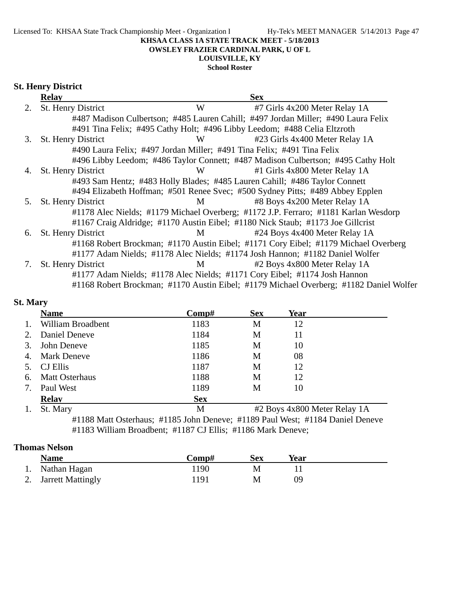### **OWSLEY FRAZIER CARDINAL PARK, U OF L**

# **LOUISVILLE, KY**

# **School Roster**

# **St. Henry District**

| <b>Relay</b>              |   | <b>Sex</b>                                                                                                                                                                                                                                                                                                                                                                                                                                                                                                                                                                                                                                                                                                                                                                                                                        |
|---------------------------|---|-----------------------------------------------------------------------------------------------------------------------------------------------------------------------------------------------------------------------------------------------------------------------------------------------------------------------------------------------------------------------------------------------------------------------------------------------------------------------------------------------------------------------------------------------------------------------------------------------------------------------------------------------------------------------------------------------------------------------------------------------------------------------------------------------------------------------------------|
| St. Henry District<br>2.  | W | #7 Girls 4x200 Meter Relay 1A                                                                                                                                                                                                                                                                                                                                                                                                                                                                                                                                                                                                                                                                                                                                                                                                     |
|                           |   |                                                                                                                                                                                                                                                                                                                                                                                                                                                                                                                                                                                                                                                                                                                                                                                                                                   |
|                           |   |                                                                                                                                                                                                                                                                                                                                                                                                                                                                                                                                                                                                                                                                                                                                                                                                                                   |
| St. Henry District<br>3.  | W | #23 Girls 4x400 Meter Relay 1A                                                                                                                                                                                                                                                                                                                                                                                                                                                                                                                                                                                                                                                                                                                                                                                                    |
|                           |   |                                                                                                                                                                                                                                                                                                                                                                                                                                                                                                                                                                                                                                                                                                                                                                                                                                   |
|                           |   |                                                                                                                                                                                                                                                                                                                                                                                                                                                                                                                                                                                                                                                                                                                                                                                                                                   |
| <b>St. Henry District</b> | W | #1 Girls 4x800 Meter Relay 1A                                                                                                                                                                                                                                                                                                                                                                                                                                                                                                                                                                                                                                                                                                                                                                                                     |
|                           |   |                                                                                                                                                                                                                                                                                                                                                                                                                                                                                                                                                                                                                                                                                                                                                                                                                                   |
|                           |   |                                                                                                                                                                                                                                                                                                                                                                                                                                                                                                                                                                                                                                                                                                                                                                                                                                   |
| St. Henry District        | M | #8 Boys 4x200 Meter Relay 1A                                                                                                                                                                                                                                                                                                                                                                                                                                                                                                                                                                                                                                                                                                                                                                                                      |
|                           |   |                                                                                                                                                                                                                                                                                                                                                                                                                                                                                                                                                                                                                                                                                                                                                                                                                                   |
|                           |   |                                                                                                                                                                                                                                                                                                                                                                                                                                                                                                                                                                                                                                                                                                                                                                                                                                   |
| <b>St. Henry District</b> | M | #24 Boys 4x400 Meter Relay 1A                                                                                                                                                                                                                                                                                                                                                                                                                                                                                                                                                                                                                                                                                                                                                                                                     |
|                           |   | #1168 Robert Brockman; #1170 Austin Eibel; #1171 Cory Eibel; #1179 Michael Overberg                                                                                                                                                                                                                                                                                                                                                                                                                                                                                                                                                                                                                                                                                                                                               |
|                           |   |                                                                                                                                                                                                                                                                                                                                                                                                                                                                                                                                                                                                                                                                                                                                                                                                                                   |
| <b>St. Henry District</b> | M | #2 Boys 4x800 Meter Relay 1A                                                                                                                                                                                                                                                                                                                                                                                                                                                                                                                                                                                                                                                                                                                                                                                                      |
|                           |   |                                                                                                                                                                                                                                                                                                                                                                                                                                                                                                                                                                                                                                                                                                                                                                                                                                   |
|                           |   | #1168 Robert Brockman; #1170 Austin Eibel; #1179 Michael Overberg; #1182 Daniel Wolfer                                                                                                                                                                                                                                                                                                                                                                                                                                                                                                                                                                                                                                                                                                                                            |
|                           |   | #487 Madison Culbertson; #485 Lauren Cahill; #497 Jordan Miller; #490 Laura Felix<br>#491 Tina Felix; #495 Cathy Holt; #496 Libby Leedom; #488 Celia Eltzroth<br>#490 Laura Felix; #497 Jordan Miller; #491 Tina Felix; #491 Tina Felix<br>#496 Libby Leedom; #486 Taylor Connett; #487 Madison Culbertson; #495 Cathy Holt<br>#493 Sam Hentz; #483 Holly Blades; #485 Lauren Cahill; #486 Taylor Connett<br>#494 Elizabeth Hoffman; #501 Renee Svec; #500 Sydney Pitts; #489 Abbey Epplen<br>#1178 Alec Nields; #1179 Michael Overberg; #1172 J.P. Ferraro; #1181 Karlan Wesdorp<br>#1167 Craig Aldridge; #1170 Austin Eibel; #1180 Nick Staub; #1173 Joe Gillcrist<br>#1177 Adam Nields; #1178 Alec Nields; #1174 Josh Hannon; #1182 Daniel Wolfer<br>#1177 Adam Nields; #1178 Alec Nields; #1171 Cory Eibel; #1174 Josh Hannon |

# **St. Mary**

|    | <b>Name</b>           | Comp#      | <b>Sex</b> | Year                         |
|----|-----------------------|------------|------------|------------------------------|
|    | William Broadbent     | 1183       | M          | 12                           |
| 2. | Daniel Deneve         | 1184       | M          | 11                           |
| 3. | John Deneve           | 1185       | M          | 10                           |
| 4. | <b>Mark Deneve</b>    | 1186       | М          | 08                           |
|    | <b>CJ</b> Ellis       | 1187       | М          | 12                           |
| 6. | <b>Matt Osterhaus</b> | 1188       | M          | 12                           |
|    | Paul West             | 1189       | М          | 10                           |
|    | <b>Relay</b>          | <b>Sex</b> |            |                              |
|    | St. Mary              | M          |            | #2 Boys 4x800 Meter Relay 1A |

#1188 Matt Osterhaus; #1185 John Deneve; #1189 Paul West; #1184 Daniel Deneve #1183 William Broadbent; #1187 CJ Ellis; #1186 Mark Deneve;

### **Thomas Nelson**

| <b>Name</b>          | Comp# | Sex | Year |  |
|----------------------|-------|-----|------|--|
| 1. Nathan Hagan      | .190  | M   |      |  |
| 2. Jarrett Mattingly | ! 191 | М   | 09   |  |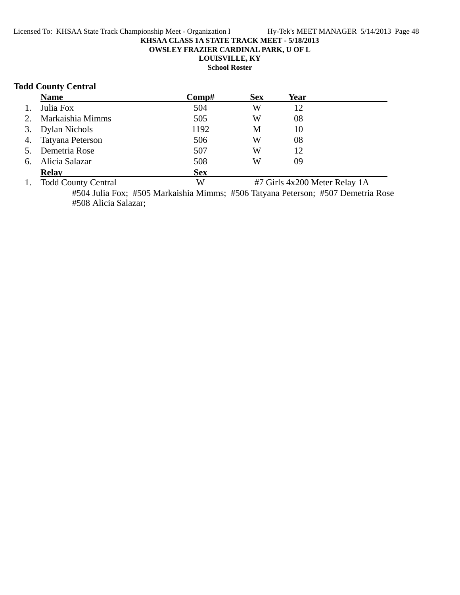**OWSLEY FRAZIER CARDINAL PARK, U OF L**

# **LOUISVILLE, KY**

**School Roster**

### **Todd County Central**

|    | <b>Name</b>                | Comp#      | <b>Sex</b> | Year                          |  |
|----|----------------------------|------------|------------|-------------------------------|--|
| 1. | Julia Fox                  | 504        | W          | 12                            |  |
| 2. | Markaishia Mimms           | 505        | W          | 08                            |  |
|    | 3. Dylan Nichols           | 1192       | М          | 10                            |  |
| 4. | Tatyana Peterson           | 506        | W          | 08                            |  |
| 5. | Demetria Rose              | 507        | W          | 12                            |  |
| 6. | Alicia Salazar             | 508        | W          | 09                            |  |
|    | <b>Relay</b>               | <b>Sex</b> |            |                               |  |
| 1. | <b>Todd County Central</b> | W          |            | #7 Girls 4x200 Meter Relay 1A |  |

#504 Julia Fox; #505 Markaishia Mimms; #506 Tatyana Peterson; #507 Demetria Rose #508 Alicia Salazar;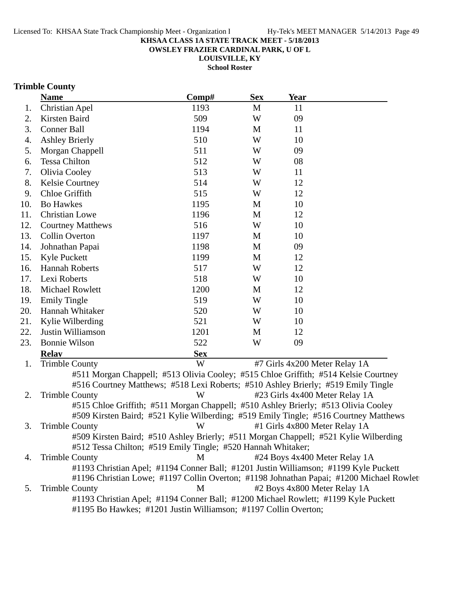**OWSLEY FRAZIER CARDINAL PARK, U OF L**

**LOUISVILLE, KY School Roster**

# **Trimble County**

|     | <b>Name</b>                                                                          | Comp#      | <b>Sex</b> | <b>Year</b> |                                                                                                                         |
|-----|--------------------------------------------------------------------------------------|------------|------------|-------------|-------------------------------------------------------------------------------------------------------------------------|
| 1.  | Christian Apel                                                                       | 1193       | M          | 11          |                                                                                                                         |
| 2.  | Kirsten Baird                                                                        | 509        | W          | 09          |                                                                                                                         |
| 3.  | <b>Conner Ball</b>                                                                   | 1194       | M          | 11          |                                                                                                                         |
| 4.  | <b>Ashley Brierly</b>                                                                | 510        | W          | 10          |                                                                                                                         |
| 5.  | Morgan Chappell                                                                      | 511        | W          | 09          |                                                                                                                         |
| 6.  | <b>Tessa Chilton</b>                                                                 | 512        | W          | 08          |                                                                                                                         |
| 7.  | Olivia Cooley                                                                        | 513        | W          | 11          |                                                                                                                         |
| 8.  | <b>Kelsie Courtney</b>                                                               | 514        | W          | 12          |                                                                                                                         |
| 9.  | Chloe Griffith                                                                       | 515        | W          | 12          |                                                                                                                         |
| 10. | <b>Bo Hawkes</b>                                                                     | 1195       | M          | 10          |                                                                                                                         |
| 11. | <b>Christian Lowe</b>                                                                | 1196       | M          | 12          |                                                                                                                         |
| 12. | <b>Courtney Matthews</b>                                                             | 516        | W          | 10          |                                                                                                                         |
| 13. | <b>Collin Overton</b>                                                                | 1197       | M          | 10          |                                                                                                                         |
| 14. | Johnathan Papai                                                                      | 1198       | M          | 09          |                                                                                                                         |
| 15. | Kyle Puckett                                                                         | 1199       | M          | 12          |                                                                                                                         |
| 16. | <b>Hannah Roberts</b>                                                                | 517        | W          | 12          |                                                                                                                         |
| 17. | Lexi Roberts                                                                         | 518        | W          | 10          |                                                                                                                         |
| 18. | Michael Rowlett                                                                      | 1200       | M          | 12          |                                                                                                                         |
| 19. | <b>Emily Tingle</b>                                                                  | 519        | W          | 10          |                                                                                                                         |
| 20. | Hannah Whitaker                                                                      | 520        | W          | 10          |                                                                                                                         |
| 21. | Kylie Wilberding                                                                     | 521        | W          | 10          |                                                                                                                         |
| 22. | Justin Williamson                                                                    | 1201       | M          | 12          |                                                                                                                         |
| 23. | <b>Bonnie Wilson</b>                                                                 | 522        | W          | 09          |                                                                                                                         |
|     | <b>Relay</b>                                                                         | <b>Sex</b> |            |             |                                                                                                                         |
| 1.  | <b>Trimble County</b>                                                                | W          |            |             | #7 Girls 4x200 Meter Relay 1A                                                                                           |
|     | #511 Morgan Chappell; #513 Olivia Cooley; #515 Chloe Griffith; #514 Kelsie Courtney  |            |            |             |                                                                                                                         |
|     | #516 Courtney Matthews; #518 Lexi Roberts; #510 Ashley Brierly; #519 Emily Tingle    |            |            |             |                                                                                                                         |
| 2.  | <b>Trimble County</b>                                                                | W          |            |             | #23 Girls 4x400 Meter Relay 1A                                                                                          |
|     | #515 Chloe Griffith; #511 Morgan Chappell; #510 Ashley Brierly; #513 Olivia Cooley   |            |            |             |                                                                                                                         |
|     | #509 Kirsten Baird; #521 Kylie Wilberding; #519 Emily Tingle; #516 Courtney Matthews |            |            |             |                                                                                                                         |
| 3.  | <b>Trimble County</b>                                                                | W          |            |             | #1 Girls 4x800 Meter Relay 1A                                                                                           |
|     | #509 Kirsten Baird; #510 Ashley Brierly; #511 Morgan Chappell; #521 Kylie Wilberding |            |            |             |                                                                                                                         |
|     | #512 Tessa Chilton; #519 Emily Tingle; #520 Hannah Whitaker;                         |            |            |             |                                                                                                                         |
| 4.  | <b>Trimble County</b>                                                                | M          |            |             | #24 Boys 4x400 Meter Relay 1A                                                                                           |
|     | #1193 Christian Apel; #1194 Conner Ball; #1201 Justin Williamson; #1199 Kyle Puckett |            |            |             |                                                                                                                         |
| 5.  | <b>Trimble County</b>                                                                | M          |            |             | #1196 Christian Lowe; #1197 Collin Overton; #1198 Johnathan Papai; #1200 Michael Rowlet<br>#2 Boys 4x800 Meter Relay 1A |
|     | #1193 Christian Apel; #1194 Conner Ball; #1200 Michael Rowlett; #1199 Kyle Puckett   |            |            |             |                                                                                                                         |
|     |                                                                                      |            |            |             |                                                                                                                         |
|     | #1195 Bo Hawkes; #1201 Justin Williamson; #1197 Collin Overton;                      |            |            |             |                                                                                                                         |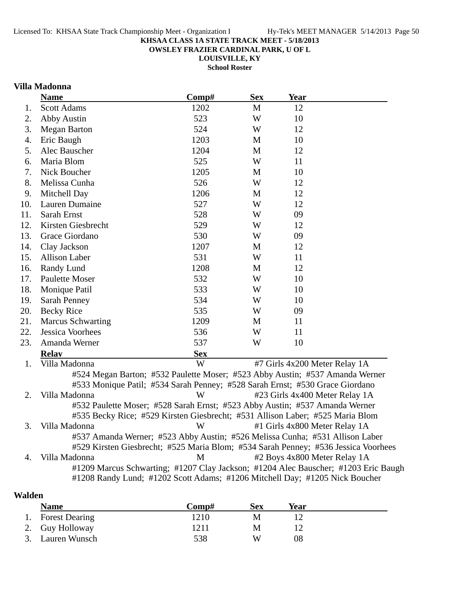**OWSLEY FRAZIER CARDINAL PARK, U OF L**

**LOUISVILLE, KY**

**School Roster**

# **Villa Madonna**

|     | <b>Name</b>              | Comp#      | <b>Sex</b> | <b>Year</b>                                                                                                                                                                                                                                                                                                                                                             |
|-----|--------------------------|------------|------------|-------------------------------------------------------------------------------------------------------------------------------------------------------------------------------------------------------------------------------------------------------------------------------------------------------------------------------------------------------------------------|
| 1.  | <b>Scott Adams</b>       | 1202       | M          | 12                                                                                                                                                                                                                                                                                                                                                                      |
| 2.  | <b>Abby Austin</b>       | 523        | W          | 10                                                                                                                                                                                                                                                                                                                                                                      |
| 3.  | <b>Megan Barton</b>      | 524        | W          | 12                                                                                                                                                                                                                                                                                                                                                                      |
| 4.  | Eric Baugh               | 1203       | M          | 10                                                                                                                                                                                                                                                                                                                                                                      |
| 5.  | Alec Bauscher            | 1204       | M          | 12                                                                                                                                                                                                                                                                                                                                                                      |
| 6.  | Maria Blom               | 525        | W          | 11                                                                                                                                                                                                                                                                                                                                                                      |
| 7.  | Nick Boucher             | 1205       | M          | 10                                                                                                                                                                                                                                                                                                                                                                      |
| 8.  | Melissa Cunha            | 526        | W          | 12                                                                                                                                                                                                                                                                                                                                                                      |
| 9.  | Mitchell Day             | 1206       | M          | 12                                                                                                                                                                                                                                                                                                                                                                      |
| 10. | Lauren Dumaine           | 527        | W          | 12                                                                                                                                                                                                                                                                                                                                                                      |
| 11. | Sarah Ernst              | 528        | W          | 09                                                                                                                                                                                                                                                                                                                                                                      |
| 12. | Kirsten Giesbrecht       | 529        | W          | 12                                                                                                                                                                                                                                                                                                                                                                      |
| 13. | Grace Giordano           | 530        | W          | 09                                                                                                                                                                                                                                                                                                                                                                      |
| 14. | Clay Jackson             | 1207       | M          | 12                                                                                                                                                                                                                                                                                                                                                                      |
| 15. | Allison Laber            | 531        | W          | 11                                                                                                                                                                                                                                                                                                                                                                      |
| 16. | Randy Lund               | 1208       | M          | 12                                                                                                                                                                                                                                                                                                                                                                      |
| 17. | <b>Paulette Moser</b>    | 532        | W          | 10                                                                                                                                                                                                                                                                                                                                                                      |
| 18. | Monique Patil            | 533        | W          | 10                                                                                                                                                                                                                                                                                                                                                                      |
| 19. | <b>Sarah Penney</b>      | 534        | W          | 10                                                                                                                                                                                                                                                                                                                                                                      |
| 20. | <b>Becky Rice</b>        | 535        | W          | 09                                                                                                                                                                                                                                                                                                                                                                      |
| 21. | <b>Marcus Schwarting</b> | 1209       | M          | 11                                                                                                                                                                                                                                                                                                                                                                      |
| 22. | Jessica Voorhees         | 536        | W          | 11                                                                                                                                                                                                                                                                                                                                                                      |
| 23. | Amanda Werner            | 537        | W          | 10                                                                                                                                                                                                                                                                                                                                                                      |
|     | <b>Relav</b>             | <b>Sex</b> |            |                                                                                                                                                                                                                                                                                                                                                                         |
| 1.  | Villa Madonna            | W          |            | #7 Girls 4x200 Meter Relay 1A                                                                                                                                                                                                                                                                                                                                           |
| 2.  | Villa Madonna            | W          |            | #524 Megan Barton; #532 Paulette Moser; #523 Abby Austin; #537 Amanda Werner<br>#533 Monique Patil; #534 Sarah Penney; #528 Sarah Ernst; #530 Grace Giordano<br>#23 Girls 4x400 Meter Relay 1A<br>#532 Paulette Moser; #528 Sarah Ernst; #523 Abby Austin; #537 Amanda Werner<br>#535 Becky Rice; #529 Kirsten Giesbrecht; #531 Allison Laber; #525 Maria Blom          |
| 3.  | Villa Madonna            | W          |            | #1 Girls 4x800 Meter Relay 1A                                                                                                                                                                                                                                                                                                                                           |
| 4.  | Villa Madonna            | M          |            | #537 Amanda Werner; #523 Abby Austin; #526 Melissa Cunha; #531 Allison Laber<br>#529 Kirsten Giesbrecht; #525 Maria Blom; #534 Sarah Penney; #536 Jessica Voorhees<br>#2 Boys 4x800 Meter Relay 1A<br>#1209 Marcus Schwarting; #1207 Clay Jackson; #1204 Alec Bauscher; #1203 Eric Baugh<br>#1208 Randy Lund; #1202 Scott Adams; #1206 Mitchell Day; #1205 Nick Boucher |
|     |                          |            |            |                                                                                                                                                                                                                                                                                                                                                                         |

# **Walden**

| <b>Name</b>       | Comp# | Sex | Year |
|-------------------|-------|-----|------|
| 1. Forest Dearing | 1210  | М   |      |
| 2. Guy Holloway   | 1211  | M   |      |
| 3. Lauren Wunsch  | 538   | W   | 08   |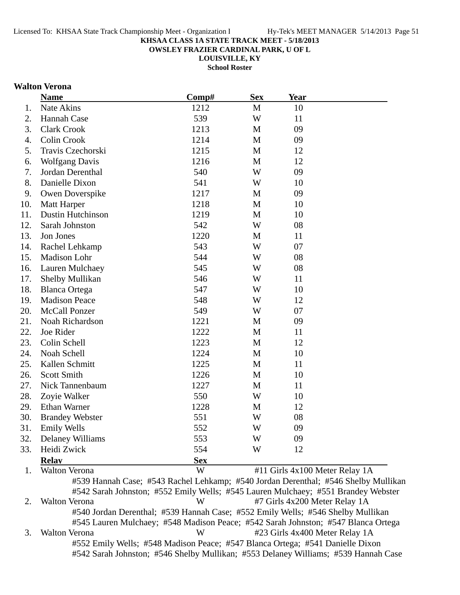**OWSLEY FRAZIER CARDINAL PARK, U OF L**

**LOUISVILLE, KY**

**School Roster**

### **Walton Verona**

|     | <b>Name</b>              | Comp#      | <b>Sex</b>   | <b>Year</b>                    |  |
|-----|--------------------------|------------|--------------|--------------------------------|--|
| 1.  | Nate Akins               | 1212       | M            | 10                             |  |
| 2.  | Hannah Case              | 539        | W            | 11                             |  |
| 3.  | <b>Clark Crook</b>       | 1213       | M            | 09                             |  |
| 4.  | <b>Colin Crook</b>       | 1214       | M            | 09                             |  |
| 5.  | Travis Czechorski        | 1215       | $\mathbf{M}$ | 12                             |  |
| 6.  | <b>Wolfgang Davis</b>    | 1216       | M            | 12                             |  |
| 7.  | Jordan Derenthal         | 540        | W            | 09                             |  |
| 8.  | Danielle Dixon           | 541        | W            | 10                             |  |
| 9.  | Owen Doverspike          | 1217       | M            | 09                             |  |
| 10. | Matt Harper              | 1218       | M            | 10                             |  |
| 11. | <b>Dustin Hutchinson</b> | 1219       | $\mathbf{M}$ | 10                             |  |
| 12. | Sarah Johnston           | 542        | W            | 08                             |  |
| 13. | Jon Jones                | 1220       | M            | 11                             |  |
| 14. | Rachel Lehkamp           | 543        | W            | 07                             |  |
| 15. | Madison Lohr             | 544        | W            | 08                             |  |
| 16. | Lauren Mulchaey          | 545        | W            | 08                             |  |
| 17. | Shelby Mullikan          | 546        | W            | 11                             |  |
| 18. | <b>Blanca Ortega</b>     | 547        | W            | 10                             |  |
| 19. | <b>Madison Peace</b>     | 548        | W            | 12                             |  |
| 20. | <b>McCall Ponzer</b>     | 549        | W            | 07                             |  |
| 21. | Noah Richardson          | 1221       | M            | 09                             |  |
| 22. | Joe Rider                | 1222       | M            | 11                             |  |
| 23. | Colin Schell             | 1223       | M            | 12                             |  |
| 24. | Noah Schell              | 1224       | M            | 10                             |  |
| 25. | Kallen Schmitt           | 1225       | M            | 11                             |  |
| 26. | <b>Scott Smith</b>       | 1226       | $\mathbf{M}$ | 10                             |  |
| 27. | Nick Tannenbaum          | 1227       | $\mathbf{M}$ | 11                             |  |
| 28. | Zoyie Walker             | 550        | W            | 10                             |  |
| 29. | Ethan Warner             | 1228       | M            | 12                             |  |
| 30. | <b>Brandey Webster</b>   | 551        | W            | 08                             |  |
| 31. | <b>Emily Wells</b>       | 552        | W            | 09                             |  |
| 32. | <b>Delaney Williams</b>  | 553        | W            | 09                             |  |
| 33. | Heidi Zwick              | 554        | W            | 12                             |  |
|     | <b>Relay</b>             | <b>Sex</b> |              |                                |  |
| 1.  | <b>Walton Verona</b>     | W          |              | #11 Girls 4x100 Meter Relay 1A |  |

#539 Hannah Case; #543 Rachel Lehkamp; #540 Jordan Derenthal; #546 Shelby Mullikan #542 Sarah Johnston; #552 Emily Wells; #545 Lauren Mulchaey; #551 Brandey Webster 2. Walton Verona W #7 Girls 4x200 Meter Relay 1A #540 Jordan Derenthal; #539 Hannah Case; #552 Emily Wells; #546 Shelby Mullikan #545 Lauren Mulchaey; #548 Madison Peace; #542 Sarah Johnston; #547 Blanca Ortega 3. Walton Verona W #23 Girls 4x400 Meter Relay 1A #552 Emily Wells; #548 Madison Peace; #547 Blanca Ortega; #541 Danielle Dixon #542 Sarah Johnston; #546 Shelby Mullikan; #553 Delaney Williams; #539 Hannah Case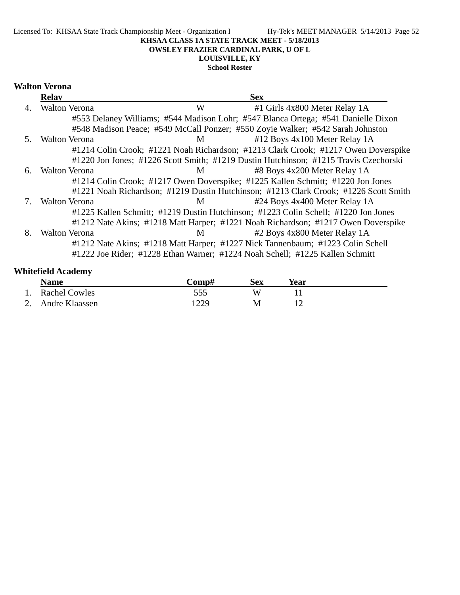#### Licensed To: KHSAA State Track Championship Meet - Organization I Hy-Tek's MEET MANAGER 5/14/2013 Page 52 **KHSAA CLASS 1A STATE TRACK MEET - 5/18/2013 OWSLEY FRAZIER CARDINAL PARK, U OF L LOUISVILLE, KY**

**School Roster**

### **Walton Verona**

|    | <b>Relay</b>         |   | <b>Sex</b>                                                                           |  |
|----|----------------------|---|--------------------------------------------------------------------------------------|--|
| 4. | <b>Walton Verona</b> | W | #1 Girls 4x800 Meter Relay 1A                                                        |  |
|    |                      |   | #553 Delaney Williams; #544 Madison Lohr; #547 Blanca Ortega; #541 Danielle Dixon    |  |
|    |                      |   | #548 Madison Peace; #549 McCall Ponzer; #550 Zoyie Walker; #542 Sarah Johnston       |  |
| 5. | <b>Walton Verona</b> | M | #12 Boys 4x100 Meter Relay 1A                                                        |  |
|    |                      |   | #1214 Colin Crook; #1221 Noah Richardson; #1213 Clark Crook; #1217 Owen Doverspike   |  |
|    |                      |   | #1220 Jon Jones; #1226 Scott Smith; #1219 Dustin Hutchinson; #1215 Travis Czechorski |  |
| 6. | <b>Walton Verona</b> | M | #8 Boys 4x200 Meter Relay 1A                                                         |  |
|    |                      |   | #1214 Colin Crook; #1217 Owen Doverspike; #1225 Kallen Schmitt; #1220 Jon Jones      |  |
|    |                      |   | #1221 Noah Richardson; #1219 Dustin Hutchinson; #1213 Clark Crook; #1226 Scott Smith |  |
|    | <b>Walton Verona</b> | M | #24 Boys 4x400 Meter Relay 1A                                                        |  |
|    |                      |   | #1225 Kallen Schmitt; #1219 Dustin Hutchinson; #1223 Colin Schell; #1220 Jon Jones   |  |
|    |                      |   | #1212 Nate Akins; #1218 Matt Harper; #1221 Noah Richardson; #1217 Owen Doverspike    |  |
| 8. | <b>Walton Verona</b> | M | #2 Boys 4x800 Meter Relay 1A                                                         |  |
|    |                      |   | #1212 Nate Akins; #1218 Matt Harper; #1227 Nick Tannenbaum; #1223 Colin Schell       |  |
|    |                      |   | #1222 Joe Rider; #1228 Ethan Warner; #1224 Noah Schell; #1225 Kallen Schmitt         |  |

# **Whitefield Academy**

| <b>Name</b>          | -`omp# | sex | Year |  |
|----------------------|--------|-----|------|--|
| <b>Rachel Cowles</b> | 555    |     |      |  |
| 2. Andre Klaassen    | 1229   | M   |      |  |